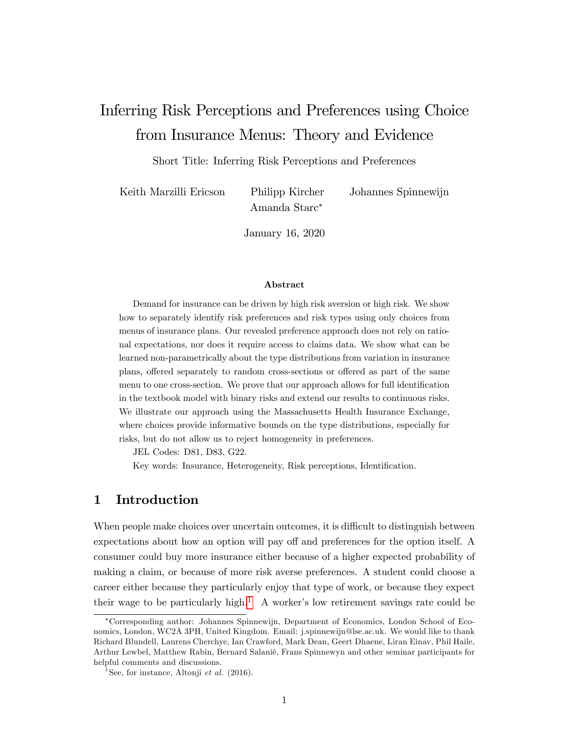# Inferring Risk Perceptions and Preferences using Choice from Insurance Menus: Theory and Evidence

Short Title: Inferring Risk Perceptions and Preferences

Keith Marzilli Ericson Philipp Kircher Johannes Spinnewijn

Amanda Starc

January 16, 2020

#### Abstract

Demand for insurance can be driven by high risk aversion or high risk. We show how to separately identify risk preferences and risk types using only choices from menus of insurance plans. Our revealed preference approach does not rely on rational expectations, nor does it require access to claims data. We show what can be learned non-parametrically about the type distributions from variation in insurance plans, offered separately to random cross-sections or offered as part of the same menu to one cross-section. We prove that our approach allows for full identification in the textbook model with binary risks and extend our results to continuous risks. We illustrate our approach using the Massachusetts Health Insurance Exchange, where choices provide informative bounds on the type distributions, especially for risks, but do not allow us to reject homogeneity in preferences.

JEL Codes: D81, D83, G22.

Key words: Insurance, Heterogeneity, Risk perceptions, Identification.

# 1 Introduction

When people make choices over uncertain outcomes, it is difficult to distinguish between expectations about how an option will pay off and preferences for the option itself. A consumer could buy more insurance either because of a higher expected probability of making a claim, or because of more risk averse preferences. A student could choose a career either because they particularly enjoy that type of work, or because they expect their wage to be particularly high.<sup>[1](#page-0-0)</sup> A worker's low retirement savings rate could be

Corresponding author: Johannes Spinnewijn, Department of Economics, London School of Economics, London, WC2A 3PH, United Kingdom. Email: j.spinnewijn@lse.ac.uk. We would like to thank Richard Blundell, Laurens Cherchye, Ian Crawford, Mark Dean, Geert Dhaene, Liran Einav, Phil Haile, Arthur Lewbel, Matthew Rabin, Bernard Salanié, Frans Spinnewyn and other seminar participants for helpful comments and discussions.

<span id="page-0-0"></span><sup>&</sup>lt;sup>1</sup>See, for instance, Altonji *et al.* (2016).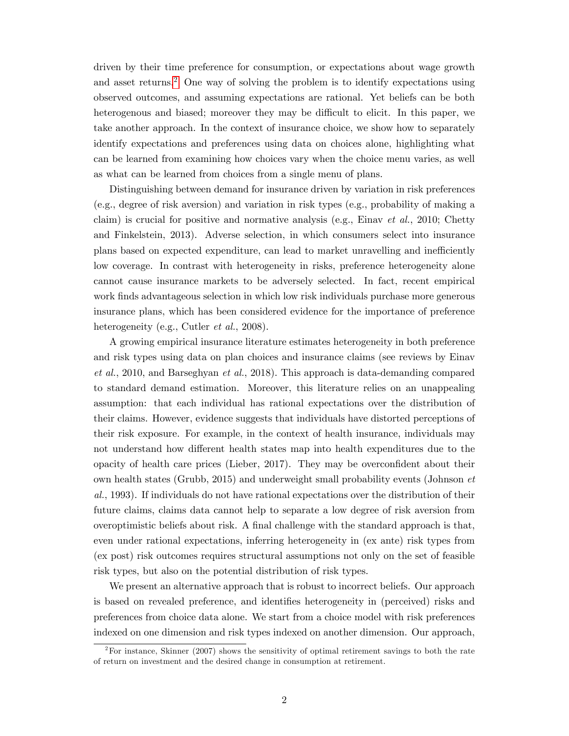driven by their time preference for consumption, or expectations about wage growth and asset returns.<sup>[2](#page-1-0)</sup> One way of solving the problem is to identify expectations using observed outcomes, and assuming expectations are rational. Yet beliefs can be both heterogenous and biased; moreover they may be difficult to elicit. In this paper, we take another approach. In the context of insurance choice, we show how to separately identify expectations and preferences using data on choices alone, highlighting what can be learned from examining how choices vary when the choice menu varies, as well as what can be learned from choices from a single menu of plans.

Distinguishing between demand for insurance driven by variation in risk preferences (e.g., degree of risk aversion) and variation in risk types (e.g., probability of making a claim) is crucial for positive and normative analysis (e.g., Einav *et al.*, 2010; Chetty and Finkelstein, 2013). Adverse selection, in which consumers select into insurance plans based on expected expenditure, can lead to market unravelling and inefficiently low coverage. In contrast with heterogeneity in risks, preference heterogeneity alone cannot cause insurance markets to be adversely selected. In fact, recent empirical work finds advantageous selection in which low risk individuals purchase more generous insurance plans, which has been considered evidence for the importance of preference heterogeneity (e.g., Cutler *et al.*, 2008).

A growing empirical insurance literature estimates heterogeneity in both preference and risk types using data on plan choices and insurance claims (see reviews by Einav et al., 2010, and Barseghyan et al., 2018). This approach is data-demanding compared to standard demand estimation. Moreover, this literature relies on an unappealing assumption: that each individual has rational expectations over the distribution of their claims. However, evidence suggests that individuals have distorted perceptions of their risk exposure. For example, in the context of health insurance, individuals may not understand how different health states map into health expenditures due to the opacity of health care prices (Lieber,  $2017$ ). They may be overconfident about their own health states (Grubb, 2015) and underweight small probability events (Johnson et al., 1993). If individuals do not have rational expectations over the distribution of their future claims, claims data cannot help to separate a low degree of risk aversion from overoptimistic beliefs about risk. A final challenge with the standard approach is that, even under rational expectations, inferring heterogeneity in (ex ante) risk types from (ex post) risk outcomes requires structural assumptions not only on the set of feasible risk types, but also on the potential distribution of risk types.

We present an alternative approach that is robust to incorrect beliefs. Our approach is based on revealed preference, and identifies heterogeneity in (perceived) risks and preferences from choice data alone. We start from a choice model with risk preferences indexed on one dimension and risk types indexed on another dimension. Our approach,

<span id="page-1-0"></span> $2F^2$  For instance, Skinner (2007) shows the sensitivity of optimal retirement savings to both the rate of return on investment and the desired change in consumption at retirement.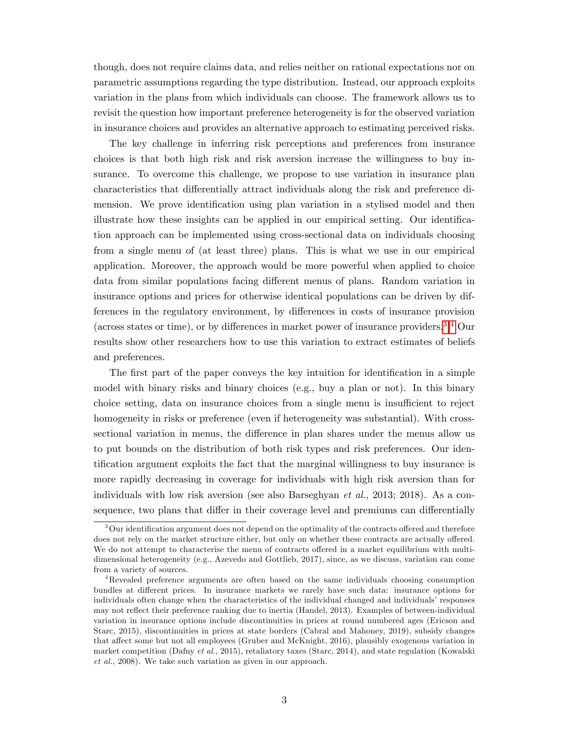though, does not require claims data, and relies neither on rational expectations nor on parametric assumptions regarding the type distribution. Instead, our approach exploits variation in the plans from which individuals can choose. The framework allows us to revisit the question how important preference heterogeneity is for the observed variation in insurance choices and provides an alternative approach to estimating perceived risks.

The key challenge in inferring risk perceptions and preferences from insurance choices is that both high risk and risk aversion increase the willingness to buy insurance. To overcome this challenge, we propose to use variation in insurance plan characteristics that differentially attract individuals along the risk and preference dimension. We prove identification using plan variation in a stylised model and then illustrate how these insights can be applied in our empirical setting. Our identifica-tion approach can be implemented using cross-sectional data on individuals choosing from a single menu of (at least three) plans. This is what we use in our empirical application. Moreover, the approach would be more powerful when applied to choice data from similar populations facing different menus of plans. Random variation in insurance options and prices for otherwise identical populations can be driven by differences in the regulatory environment, by differences in costs of insurance provision (across states or time), or by differences in market power of insurance providers.<sup>[3,](#page-2-0)[4](#page-2-1)</sup> Our results show other researchers how to use this variation to extract estimates of beliefs and preferences.

The first part of the paper conveys the key intuition for identification in a simple model with binary risks and binary choices (e.g., buy a plan or not). In this binary choice setting, data on insurance choices from a single menu is insufficient to reject homogeneity in risks or preference (even if heterogeneity was substantial). With crosssectional variation in menus, the difference in plan shares under the menus allow us to put bounds on the distribution of both risk types and risk preferences. Our identification argument exploits the fact that the marginal willingness to buy insurance is more rapidly decreasing in coverage for individuals with high risk aversion than for individuals with low risk aversion (see also Barseghyan et al., 2013; 2018). As a consequence, two plans that differ in their coverage level and premiums can differentially

<span id="page-2-0"></span> $3$  Our identification argument does not depend on the optimality of the contracts offered and therefore does not rely on the market structure either, but only on whether these contracts are actually offered. We do not attempt to characterise the menu of contracts offered in a market equilibrium with multidimensional heterogeneity (e.g., Azevedo and Gottlieb, 2017), since, as we discuss, variation can come from a variety of sources.

<span id="page-2-1"></span><sup>4</sup>Revealed preference arguments are often based on the same individuals choosing consumption bundles at different prices. In insurance markets we rarely have such data: insurance options for individuals often change when the characteristics of the individual changed and individuals' responses may not reflect their preference ranking due to inertia (Handel, 2013). Examples of between-individual variation in insurance options include discontinuities in prices at round numbered ages (Ericson and Starc, 2015), discontinuities in prices at state borders (Cabral and Mahoney, 2019), subsidy changes that affect some but not all employees (Gruber and McKnight, 2016), plausibly exogenous variation in market competition (Dafny et al., 2015), retaliatory taxes (Starc, 2014), and state regulation (Kowalski et al., 2008). We take such variation as given in our approach.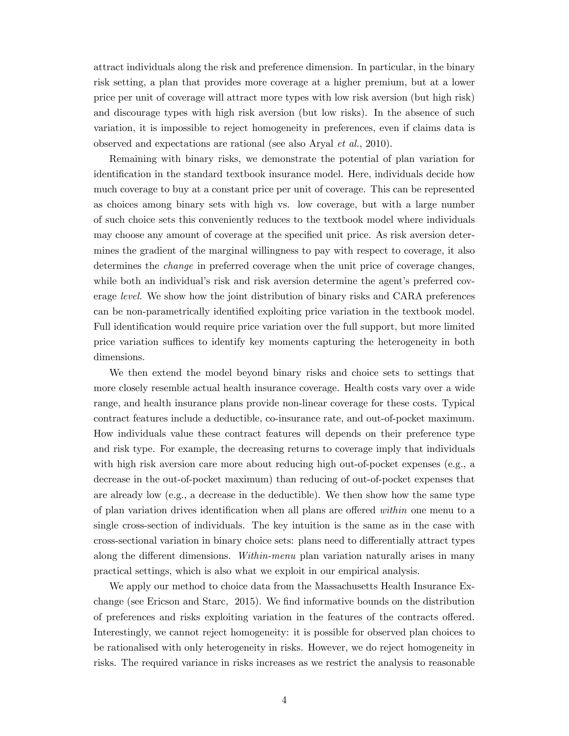attract individuals along the risk and preference dimension. In particular, in the binary risk setting, a plan that provides more coverage at a higher premium, but at a lower price per unit of coverage will attract more types with low risk aversion (but high risk) and discourage types with high risk aversion (but low risks). In the absence of such variation, it is impossible to reject homogeneity in preferences, even if claims data is observed and expectations are rational (see also Aryal et al., 2010).

Remaining with binary risks, we demonstrate the potential of plan variation for identification in the standard textbook insurance model. Here, individuals decide how much coverage to buy at a constant price per unit of coverage. This can be represented as choices among binary sets with high vs. low coverage, but with a large number of such choice sets this conveniently reduces to the textbook model where individuals may choose any amount of coverage at the specified unit price. As risk aversion determines the gradient of the marginal willingness to pay with respect to coverage, it also determines the change in preferred coverage when the unit price of coverage changes, while both an individual's risk and risk aversion determine the agent's preferred coverage level. We show how the joint distribution of binary risks and CARA preferences can be non-parametrically identified exploiting price variation in the textbook model. Full identification would require price variation over the full support, but more limited price variation suffices to identify key moments capturing the heterogeneity in both dimensions.

We then extend the model beyond binary risks and choice sets to settings that more closely resemble actual health insurance coverage. Health costs vary over a wide range, and health insurance plans provide non-linear coverage for these costs. Typical contract features include a deductible, co-insurance rate, and out-of-pocket maximum. How individuals value these contract features will depends on their preference type and risk type. For example, the decreasing returns to coverage imply that individuals with high risk aversion care more about reducing high out-of-pocket expenses (e.g., a decrease in the out-of-pocket maximum) than reducing of out-of-pocket expenses that are already low (e.g., a decrease in the deductible). We then show how the same type of plan variation drives identification when all plans are offered *within* one menu to a single cross-section of individuals. The key intuition is the same as in the case with cross-sectional variation in binary choice sets: plans need to differentially attract types along the different dimensions. Within-menu plan variation naturally arises in many practical settings, which is also what we exploit in our empirical analysis.

We apply our method to choice data from the Massachusetts Health Insurance Exchange (see Ericson and Starc, 2015). We find informative bounds on the distribution of preferences and risks exploiting variation in the features of the contracts offered. Interestingly, we cannot reject homogeneity: it is possible for observed plan choices to be rationalised with only heterogeneity in risks. However, we do reject homogeneity in risks. The required variance in risks increases as we restrict the analysis to reasonable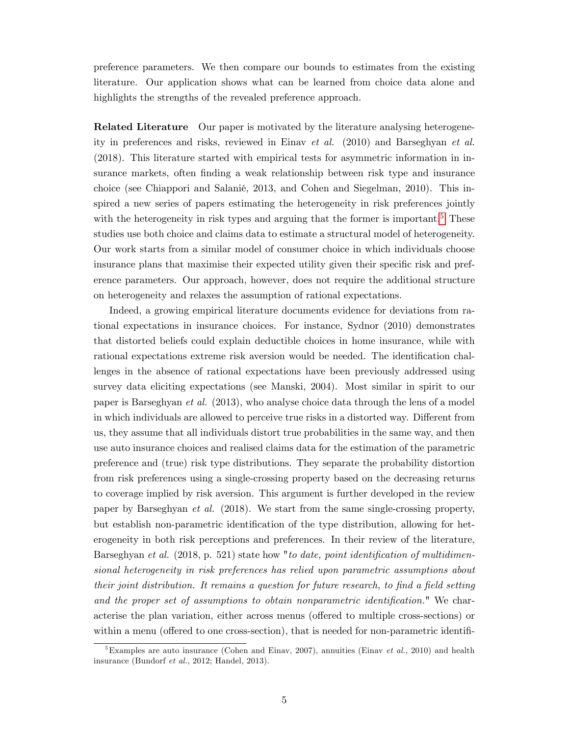preference parameters. We then compare our bounds to estimates from the existing literature. Our application shows what can be learned from choice data alone and highlights the strengths of the revealed preference approach.

Related Literature Our paper is motivated by the literature analysing heterogeneity in preferences and risks, reviewed in Einav et al. (2010) and Barseghyan et al. (2018). This literature started with empirical tests for asymmetric information in insurance markets, often finding a weak relationship between risk type and insurance choice (see Chiappori and Salanié, 2013, and Cohen and Siegelman, 2010). This inspired a new series of papers estimating the heterogeneity in risk preferences jointly with the heterogeneity in risk types and arguing that the former is important.<sup>[5](#page-4-0)</sup> These studies use both choice and claims data to estimate a structural model of heterogeneity. Our work starts from a similar model of consumer choice in which individuals choose insurance plans that maximise their expected utility given their specific risk and preference parameters. Our approach, however, does not require the additional structure on heterogeneity and relaxes the assumption of rational expectations.

Indeed, a growing empirical literature documents evidence for deviations from rational expectations in insurance choices. For instance, Sydnor (2010) demonstrates that distorted beliefs could explain deductible choices in home insurance, while with rational expectations extreme risk aversion would be needed. The identification challenges in the absence of rational expectations have been previously addressed using survey data eliciting expectations (see Manski, 2004). Most similar in spirit to our paper is Barseghyan et al. (2013), who analyse choice data through the lens of a model in which individuals are allowed to perceive true risks in a distorted way. Different from us, they assume that all individuals distort true probabilities in the same way, and then use auto insurance choices and realised claims data for the estimation of the parametric preference and (true) risk type distributions. They separate the probability distortion from risk preferences using a single-crossing property based on the decreasing returns to coverage implied by risk aversion. This argument is further developed in the review paper by Barseghyan et al. (2018). We start from the same single-crossing property, but establish non-parametric identification of the type distribution, allowing for heterogeneity in both risk perceptions and preferences. In their review of the literature, Barseghyan et al.  $(2018, p. 521)$  state how "to date, point identification of multidimensional heterogeneity in risk preferences has relied upon parametric assumptions about their joint distribution. It remains a question for future research, to find a field setting and the proper set of assumptions to obtain nonparametric identification." We characterise the plan variation, either across menus (offered to multiple cross-sections) or within a menu (offered to one cross-section), that is needed for non-parametric identifi-

<span id="page-4-0"></span><sup>&</sup>lt;sup>5</sup>Examples are auto insurance (Cohen and Einav, 2007), annuities (Einav *et al.*, 2010) and health insurance (Bundorf et al., 2012; Handel, 2013).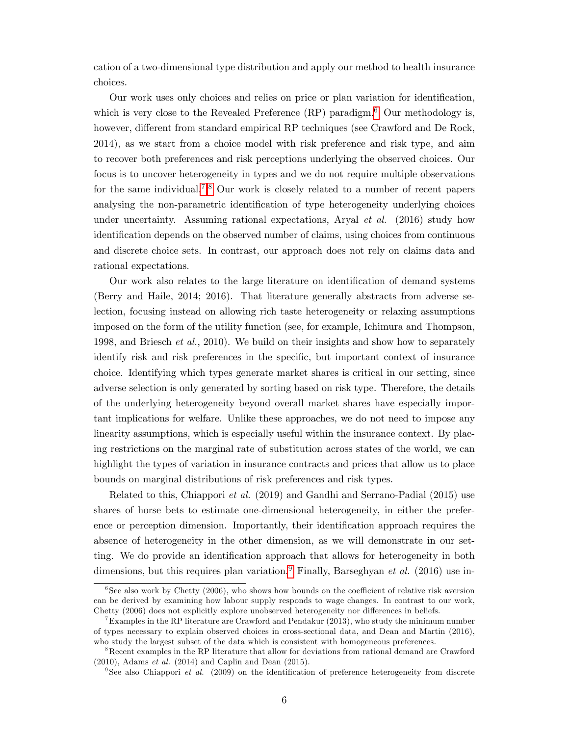cation of a two-dimensional type distribution and apply our method to health insurance choices.

Our work uses only choices and relies on price or plan variation for identification, which is very close to the Revealed Preference  $(RP)$  paradigm.<sup>[6](#page-5-0)</sup> Our methodology is, however, different from standard empirical RP techniques (see Crawford and De Rock, 2014), as we start from a choice model with risk preference and risk type, and aim to recover both preferences and risk perceptions underlying the observed choices. Our focus is to uncover heterogeneity in types and we do not require multiple observations for the same individual.<sup>[7](#page-5-1),[8](#page-5-2)</sup> Our work is closely related to a number of recent papers analysing the non-parametric identification of type heterogeneity underlying choices under uncertainty. Assuming rational expectations, Aryal *et al.* (2016) study how identification depends on the observed number of claims, using choices from continuous and discrete choice sets. In contrast, our approach does not rely on claims data and rational expectations.

Our work also relates to the large literature on identification of demand systems (Berry and Haile, 2014; 2016). That literature generally abstracts from adverse selection, focusing instead on allowing rich taste heterogeneity or relaxing assumptions imposed on the form of the utility function (see, for example, Ichimura and Thompson, 1998, and Briesch et al., 2010). We build on their insights and show how to separately identify risk and risk preferences in the specific, but important context of insurance choice. Identifying which types generate market shares is critical in our setting, since adverse selection is only generated by sorting based on risk type. Therefore, the details of the underlying heterogeneity beyond overall market shares have especially important implications for welfare. Unlike these approaches, we do not need to impose any linearity assumptions, which is especially useful within the insurance context. By placing restrictions on the marginal rate of substitution across states of the world, we can highlight the types of variation in insurance contracts and prices that allow us to place bounds on marginal distributions of risk preferences and risk types.

Related to this, Chiappori et al. (2019) and Gandhi and Serrano-Padial (2015) use shares of horse bets to estimate one-dimensional heterogeneity, in either the preference or perception dimension. Importantly, their identification approach requires the absence of heterogeneity in the other dimension, as we will demonstrate in our setting. We do provide an identification approach that allows for heterogeneity in both dimensions, but this requires plan variation.<sup>[9](#page-5-3)</sup> Finally, Barseghyan *et al.* (2016) use in-

<span id="page-5-0"></span> $6$ See also work by Chetty (2006), who shows how bounds on the coefficient of relative risk aversion can be derived by examining how labour supply responds to wage changes. In contrast to our work, Chetty (2006) does not explicitly explore unobserved heterogeneity nor differences in beliefs.

<span id="page-5-1"></span><sup>7</sup>Examples in the RP literature are Crawford and Pendakur (2013), who study the minimum number of types necessary to explain observed choices in cross-sectional data, and Dean and Martin (2016), who study the largest subset of the data which is consistent with homogeneous preferences.

<span id="page-5-2"></span><sup>8</sup>Recent examples in the RP literature that allow for deviations from rational demand are Crawford (2010), Adams et al. (2014) and Caplin and Dean (2015).

<span id="page-5-3"></span><sup>&</sup>lt;sup>9</sup>See also Chiappori *et al.* (2009) on the identification of preference heterogeneity from discrete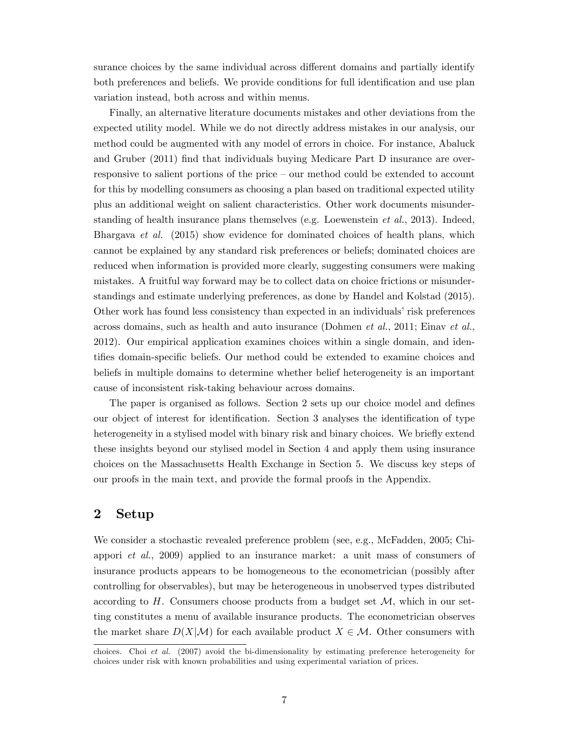surance choices by the same individual across different domains and partially identify both preferences and beliefs. We provide conditions for full identification and use plan variation instead, both across and within menus.

Finally, an alternative literature documents mistakes and other deviations from the expected utility model. While we do not directly address mistakes in our analysis, our method could be augmented with any model of errors in choice. For instance, Abaluck and Gruber (2011) find that individuals buying Medicare Part D insurance are overresponsive to salient portions of the price  $-$  our method could be extended to account for this by modelling consumers as choosing a plan based on traditional expected utility plus an additional weight on salient characteristics. Other work documents misunderstanding of health insurance plans themselves (e.g. Loewenstein et al., 2013). Indeed, Bhargava et al. (2015) show evidence for dominated choices of health plans, which cannot be explained by any standard risk preferences or beliefs; dominated choices are reduced when information is provided more clearly, suggesting consumers were making mistakes. A fruitful way forward may be to collect data on choice frictions or misunderstandings and estimate underlying preferences, as done by Handel and Kolstad (2015). Other work has found less consistency than expected in an individuals' risk preferences across domains, such as health and auto insurance (Dohmen et al., 2011; Einav et al., 2012). Our empirical application examines choices within a single domain, and identifies domain-specific beliefs. Our method could be extended to examine choices and beliefs in multiple domains to determine whether belief heterogeneity is an important cause of inconsistent risk-taking behaviour across domains.

The paper is organised as follows. Section 2 sets up our choice model and defines our object of interest for identification. Section 3 analyses the identification of type heterogeneity in a stylised model with binary risk and binary choices. We briefly extend these insights beyond our stylised model in Section 4 and apply them using insurance choices on the Massachusetts Health Exchange in Section 5. We discuss key steps of our proofs in the main text, and provide the formal proofs in the Appendix.

# 2 Setup

We consider a stochastic revealed preference problem (see, e.g., McFadden, 2005; Chiappori et al., 2009) applied to an insurance market: a unit mass of consumers of insurance products appears to be homogeneous to the econometrician (possibly after controlling for observables), but may be heterogeneous in unobserved types distributed according to  $H$ . Consumers choose products from a budget set  $M$ , which in our setting constitutes a menu of available insurance products. The econometrician observes the market share  $D(X|\mathcal{M})$  for each available product  $X \in \mathcal{M}$ . Other consumers with

choices. Choi et al. (2007) avoid the bi-dimensionality by estimating preference heterogeneity for choices under risk with known probabilities and using experimental variation of prices.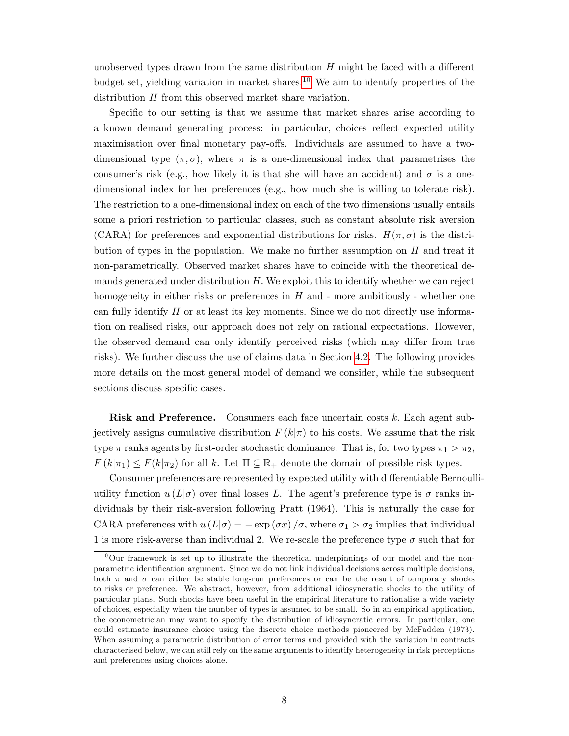unobserved types drawn from the same distribution  $H$  might be faced with a different budget set, yielding variation in market shares.<sup>[10](#page-7-0)</sup> We aim to identify properties of the distribution H from this observed market share variation.

Specific to our setting is that we assume that market shares arise according to a known demand generating process: in particular, choices reflect expected utility maximisation over final monetary pay-offs. Individuals are assumed to have a twodimensional type  $(\pi, \sigma)$ , where  $\pi$  is a one-dimensional index that parametrises the consumer's risk (e.g., how likely it is that she will have an accident) and  $\sigma$  is a onedimensional index for her preferences (e.g., how much she is willing to tolerate risk). The restriction to a one-dimensional index on each of the two dimensions usually entails some a priori restriction to particular classes, such as constant absolute risk aversion (CARA) for preferences and exponential distributions for risks.  $H(\pi, \sigma)$  is the distribution of types in the population. We make no further assumption on  $H$  and treat it non-parametrically. Observed market shares have to coincide with the theoretical demands generated under distribution  $H$ . We exploit this to identify whether we can reject homogeneity in either risks or preferences in  $H$  and  $\overline{\ }$ - more ambitiously  $\overline{\ }$ - whether one can fully identify  $H$  or at least its key moments. Since we do not directly use information on realised risks, our approach does not rely on rational expectations. However, the observed demand can only identify perceived risks (which may differ from true risks). We further discuss the use of claims data in Section [4.2.](#page-22-0) The following provides more details on the most general model of demand we consider, while the subsequent sections discuss specific cases.

Risk and Preference. Consumers each face uncertain costs k. Each agent subjectively assigns cumulative distribution  $F(k|\pi)$  to his costs. We assume that the risk type  $\pi$  ranks agents by first-order stochastic dominance: That is, for two types  $\pi_1 > \pi_2$ ,  $F(k|\pi_1) \leq F(k|\pi_2)$  for all k. Let  $\Pi \subseteq \mathbb{R}_+$  denote the domain of possible risk types.

Consumer preferences are represented by expected utility with differentiable Bernoulliutility function  $u(L|\sigma)$  over final losses L. The agent's preference type is  $\sigma$  ranks individuals by their risk-aversion following Pratt (1964). This is naturally the case for CARA preferences with  $u(L|\sigma) = -\exp(\sigma x)/\sigma$ , where  $\sigma_1 > \sigma_2$  implies that individual 1 is more risk-averse than individual 2. We re-scale the preference type  $\sigma$  such that for

<span id="page-7-0"></span> $10$ Our framework is set up to illustrate the theoretical underpinnings of our model and the nonparametric identification argument. Since we do not link individual decisions across multiple decisions, both  $\pi$  and  $\sigma$  can either be stable long-run preferences or can be the result of temporary shocks to risks or preference. We abstract, however, from additional idiosyncratic shocks to the utility of particular plans. Such shocks have been useful in the empirical literature to rationalise a wide variety of choices, especially when the number of types is assumed to be small. So in an empirical application, the econometrician may want to specify the distribution of idiosyncratic errors. In particular, one could estimate insurance choice using the discrete choice methods pioneered by McFadden (1973). When assuming a parametric distribution of error terms and provided with the variation in contracts characterised below, we can still rely on the same arguments to identify heterogeneity in risk perceptions and preferences using choices alone.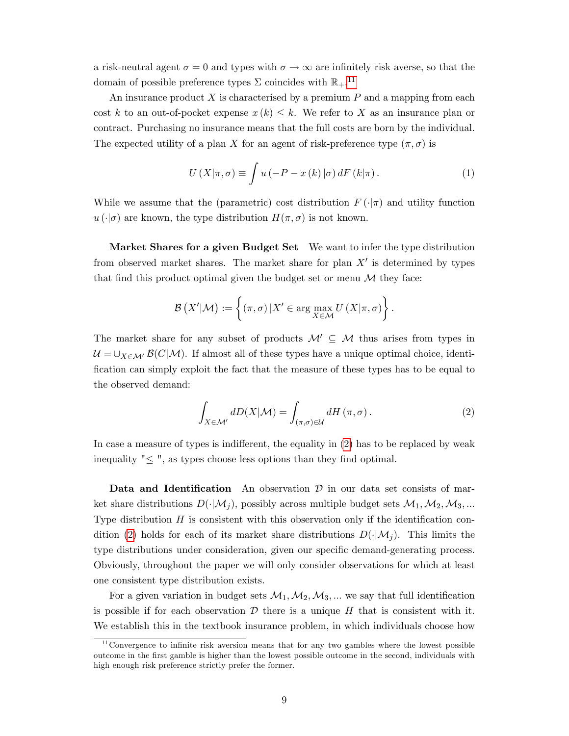a risk-neutral agent  $\sigma = 0$  and types with  $\sigma \to \infty$  are infinitely risk averse, so that the domain of possible preference types  $\Sigma$  coincides with  $\mathbb{R}_{+}$ .<sup>[11](#page-8-0)</sup>

An insurance product  $X$  is characterised by a premium  $P$  and a mapping from each cost k to an out-of-pocket expense  $x(k) \leq k$ . We refer to X as an insurance plan or contract. Purchasing no insurance means that the full costs are born by the individual. The expected utility of a plan X for an agent of risk-preference type  $(\pi, \sigma)$  is

$$
U(X|\pi,\sigma) \equiv \int u(-P - x(k)|\sigma) dF(k|\pi).
$$
 (1)

While we assume that the (parametric) cost distribution  $F(\cdot|\pi)$  and utility function  $u(\cdot|\sigma)$  are known, the type distribution  $H(\pi, \sigma)$  is not known.

Market Shares for a given Budget Set We want to infer the type distribution from observed market shares. The market share for plan  $X'$  is determined by types that find this product optimal given the budget set or menu  $\mathcal M$  they face:

$$
\mathcal{B}(X'|\mathcal{M}) := \left\{ (\pi,\sigma) \, | X' \in \arg\max_{X \in \mathcal{M}} U(X|\pi,\sigma) \right\}.
$$

The market share for any subset of products  $\mathcal{M}' \subseteq \mathcal{M}$  thus arises from types in  $\mathcal{U} = \bigcup_{X \in \mathcal{M}'} \mathcal{B}(C|\mathcal{M})$ . If almost all of these types have a unique optimal choice, identification can simply exploit the fact that the measure of these types has to be equal to the observed demand:

<span id="page-8-1"></span>
$$
\int_{X \in \mathcal{M}'} dD(X|\mathcal{M}) = \int_{(\pi,\sigma) \in \mathcal{U}} dH(\pi,\sigma).
$$
\n(2)

In case a measure of types is indifferent, the equality in  $(2)$  has to be replaced by weak inequality  $" \leq "$ , as types choose less options than they find optimal.

Data and Identification An observation  $\mathcal D$  in our data set consists of market share distributions  $D(\cdot|\mathcal{M}_j)$ , possibly across multiple budget sets  $\mathcal{M}_1, \mathcal{M}_2, \mathcal{M}_3, ...$ Type distribution  $H$  is consistent with this observation only if the identification con-dition [\(2\)](#page-8-1) holds for each of its market share distributions  $D(\cdot|\mathcal{M}_i)$ . This limits the type distributions under consideration, given our specific demand-generating process. Obviously, throughout the paper we will only consider observations for which at least one consistent type distribution exists.

For a given variation in budget sets  $\mathcal{M}_1, \mathcal{M}_2, \mathcal{M}_3, \dots$  we say that full identification is possible if for each observation  $\mathcal D$  there is a unique H that is consistent with it. We establish this in the textbook insurance problem, in which individuals choose how

<span id="page-8-0"></span> $11$ Convergence to infinite risk aversion means that for any two gambles where the lowest possible outcome in the Örst gamble is higher than the lowest possible outcome in the second, individuals with high enough risk preference strictly prefer the former.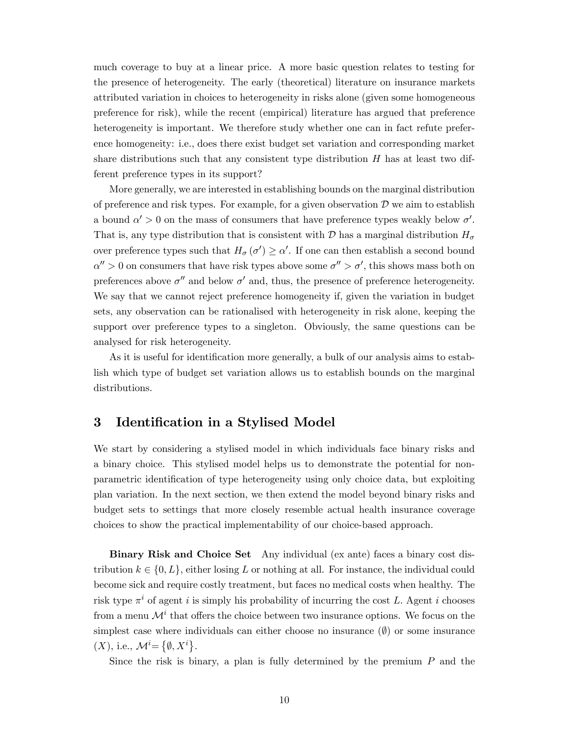much coverage to buy at a linear price. A more basic question relates to testing for the presence of heterogeneity. The early (theoretical) literature on insurance markets attributed variation in choices to heterogeneity in risks alone (given some homogeneous preference for risk), while the recent (empirical) literature has argued that preference heterogeneity is important. We therefore study whether one can in fact refute preference homogeneity: i.e., does there exist budget set variation and corresponding market share distributions such that any consistent type distribution  $H$  has at least two different preference types in its support?

More generally, we are interested in establishing bounds on the marginal distribution of preference and risk types. For example, for a given observation  $D$  we aim to establish a bound  $\alpha' > 0$  on the mass of consumers that have preference types weakly below  $\sigma'$ . That is, any type distribution that is consistent with  $\mathcal D$  has a marginal distribution  $H_{\sigma}$ over preference types such that  $H_{\sigma}(\sigma') \geq \alpha'$ . If one can then establish a second bound  $\alpha'' > 0$  on consumers that have risk types above some  $\sigma'' > \sigma'$ , this shows mass both on preferences above  $\sigma'$  and below  $\sigma'$  and, thus, the presence of preference heterogeneity. We say that we cannot reject preference homogeneity if, given the variation in budget sets, any observation can be rationalised with heterogeneity in risk alone, keeping the support over preference types to a singleton. Obviously, the same questions can be analysed for risk heterogeneity.

As it is useful for identification more generally, a bulk of our analysis aims to establish which type of budget set variation allows us to establish bounds on the marginal distributions.

# 3 Identification in a Stylised Model

We start by considering a stylised model in which individuals face binary risks and a binary choice. This stylised model helps us to demonstrate the potential for nonparametric identification of type heterogeneity using only choice data, but exploiting plan variation. In the next section, we then extend the model beyond binary risks and budget sets to settings that more closely resemble actual health insurance coverage choices to show the practical implementability of our choice-based approach.

Binary Risk and Choice Set Any individual (ex ante) faces a binary cost distribution  $k \in \{0, L\}$ , either losing L or nothing at all. For instance, the individual could become sick and require costly treatment, but faces no medical costs when healthy. The risk type  $\pi^i$  of agent i is simply his probability of incurring the cost L. Agent i chooses from a menu  $\mathcal{M}^i$  that offers the choice between two insurance options. We focus on the simplest case where individuals can either choose no insurance  $(\emptyset)$  or some insurance (X), i.e.,  $\mathcal{M}^i\text{=}\left\{\emptyset,X^i\right\}$ .

Since the risk is binary, a plan is fully determined by the premium  $P$  and the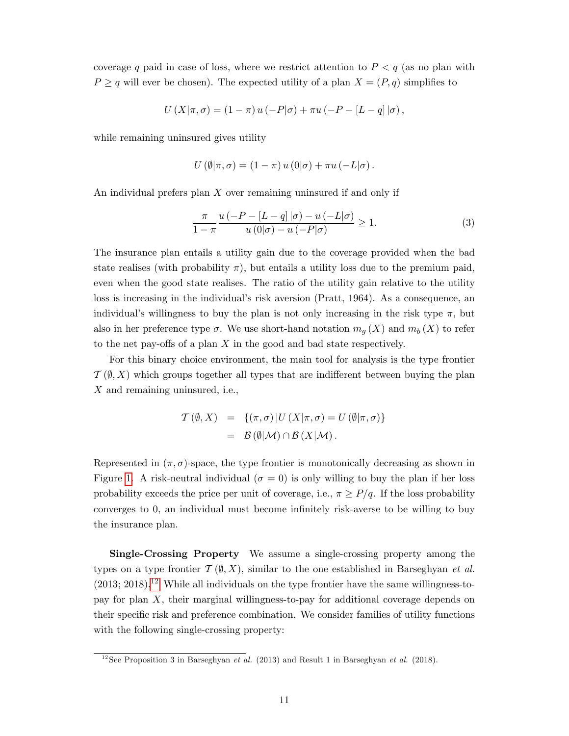coverage q paid in case of loss, where we restrict attention to  $P < q$  (as no plan with  $P \ge q$  will ever be chosen). The expected utility of a plan  $X = (P, q)$  simplifies to

$$
U(X|\pi,\sigma) = (1-\pi) u(-P|\sigma) + \pi u(-P - [L-q]|\sigma),
$$

while remaining uninsured gives utility

$$
U(\emptyset|\pi,\sigma)=(1-\pi)u(0|\sigma)+\pi u(-L|\sigma).
$$

An individual prefers plan  $X$  over remaining uninsured if and only if

<span id="page-10-2"></span>
$$
\frac{\pi}{1-\pi} \frac{u(-P - [L-q]|\sigma) - u(-L|\sigma)}{u(0|\sigma) - u(-P|\sigma)} \ge 1.
$$
\n(3)

The insurance plan entails a utility gain due to the coverage provided when the bad state realises (with probability  $\pi$ ), but entails a utility loss due to the premium paid, even when the good state realises. The ratio of the utility gain relative to the utility loss is increasing in the individual's risk aversion (Pratt, 1964). As a consequence, an individual's willingness to buy the plan is not only increasing in the risk type  $\pi$ , but also in her preference type  $\sigma$ . We use short-hand notation  $m<sub>g</sub>(X)$  and  $m<sub>b</sub>(X)$  to refer to the net pay-offs of a plan  $X$  in the good and bad state respectively.

For this binary choice environment, the main tool for analysis is the type frontier  $\mathcal{T}(\emptyset, X)$  which groups together all types that are indifferent between buying the plan X and remaining uninsured, i.e.,

$$
T(\emptyset, X) = \{(\pi, \sigma) | U(X | \pi, \sigma) = U(\emptyset | \pi, \sigma) \}
$$
  
=  $\mathcal{B}(\emptyset | \mathcal{M}) \cap \mathcal{B}(X | \mathcal{M}).$ 

Represented in  $(\pi, \sigma)$ -space, the type frontier is monotonically decreasing as shown in Figure [1.](#page-13-0) A risk-neutral individual ( $\sigma = 0$ ) is only willing to buy the plan if her loss probability exceeds the price per unit of coverage, i.e.,  $\pi \geq P/q$ . If the loss probability converges to 0, an individual must become infinitely risk-averse to be willing to buy the insurance plan.

Single-Crossing Property We assume a single-crossing property among the types on a type frontier  $\mathcal{T}(\emptyset, X)$ , similar to the one established in Barseghyan *et al.*  $(2013; 2018).$ <sup>[12](#page-10-0)</sup> While all individuals on the type frontier have the same willingness-topay for plan X, their marginal willingness-to-pay for additional coverage depends on their specific risk and preference combination. We consider families of utility functions with the following single-crossing property:

<span id="page-10-1"></span><span id="page-10-0"></span><sup>&</sup>lt;sup>12</sup> See Proposition 3 in Barseghyan *et al.* (2013) and Result 1 in Barseghyan *et al.* (2018).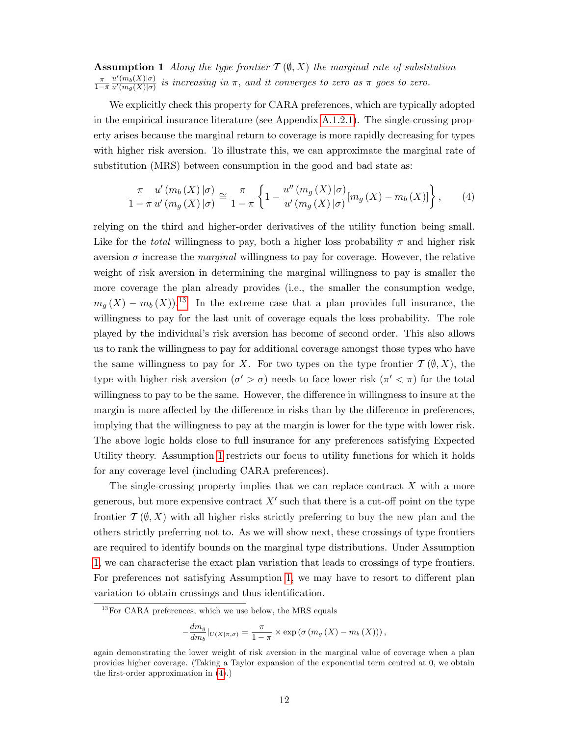**Assumption 1** Along the type frontier  $T(\emptyset, X)$  the marginal rate of substitution  $\pi$  $1-\pi$  $u'(m_b(X)|\sigma)$  $\frac{u(m_b(X))^{\sigma}}{u'(m_g(X))^{\sigma}}$  is increasing in  $\pi$ , and it converges to zero as  $\pi$  goes to zero.

We explicitly check this property for CARA preferences, which are typically adopted in the empirical insurance literature (see Appendix [A.1.2.1\)](#page-45-0). The single-crossing property arises because the marginal return to coverage is more rapidly decreasing for types with higher risk aversion. To illustrate this, we can approximate the marginal rate of substitution (MRS) between consumption in the good and bad state as:

<span id="page-11-1"></span>
$$
\frac{\pi}{1-\pi} \frac{u'(m_b(X)|\sigma)}{u'(m_g(X)|\sigma)} \cong \frac{\pi}{1-\pi} \left\{ 1 - \frac{u''(m_g(X)|\sigma)}{u'(m_g(X)|\sigma)} [m_g(X) - m_b(X)] \right\},\qquad(4)
$$

relying on the third and higher-order derivatives of the utility function being small. Like for the *total* willingness to pay, both a higher loss probability  $\pi$  and higher risk aversion  $\sigma$  increase the *marginal* willingness to pay for coverage. However, the relative weight of risk aversion in determining the marginal willingness to pay is smaller the more coverage the plan already provides (i.e., the smaller the consumption wedge,  $m_q(X) - m_b(X)$ .<sup>[13](#page-11-0)</sup> In the extreme case that a plan provides full insurance, the willingness to pay for the last unit of coverage equals the loss probability. The role played by the individualís risk aversion has become of second order. This also allows us to rank the willingness to pay for additional coverage amongst those types who have the same willingness to pay for X. For two types on the type frontier  $\mathcal{T}(\emptyset, X)$ , the type with higher risk aversion  $(\sigma' > \sigma)$  needs to face lower risk  $(\pi' < \pi)$  for the total willingness to pay to be the same. However, the difference in willingness to insure at the margin is more affected by the difference in risks than by the difference in preferences, implying that the willingness to pay at the margin is lower for the type with lower risk. The above logic holds close to full insurance for any preferences satisfying Expected Utility theory. Assumption [1](#page-10-1) restricts our focus to utility functions for which it holds for any coverage level (including CARA preferences).

The single-crossing property implies that we can replace contract  $X$  with a more generous, but more expensive contract  $X'$  such that there is a cut-off point on the type frontier  $\mathcal{T}(\emptyset, X)$  with all higher risks strictly preferring to buy the new plan and the others strictly preferring not to. As we will show next, these crossings of type frontiers are required to identify bounds on the marginal type distributions. Under Assumption [1,](#page-10-1) we can characterise the exact plan variation that leads to crossings of type frontiers. For preferences not satisfying Assumption [1,](#page-10-1) we may have to resort to different plan variation to obtain crossings and thus identification.

$$
-\frac{dm_g}{dm_b}|_{U(X|\pi,\sigma)} = \frac{\pi}{1-\pi} \times \exp\left(\sigma\left(m_g\left(X\right)-m_b\left(X\right)\right)\right),\,
$$

<span id="page-11-0"></span> $13$  For CARA preferences, which we use below, the MRS equals

again demonstrating the lower weight of risk aversion in the marginal value of coverage when a plan provides higher coverage. (Taking a Taylor expansion of the exponential term centred at 0, we obtain the first-order approximation in  $(4)$ .)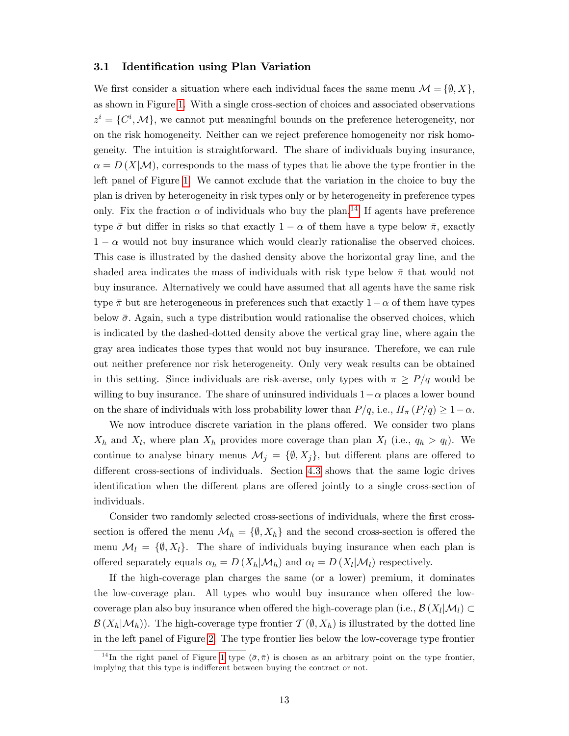## <span id="page-12-1"></span>3.1 Identification using Plan Variation

We first consider a situation where each individual faces the same menu  $\mathcal{M} = \{\emptyset, X\},\$ as shown in Figure [1.](#page-13-0) With a single cross-section of choices and associated observations  $z^i = \{C^i, \mathcal{M}\},\$  we cannot put meaningful bounds on the preference heterogeneity, nor on the risk homogeneity. Neither can we reject preference homogeneity nor risk homogeneity. The intuition is straightforward. The share of individuals buying insurance,  $\alpha = D(X|\mathcal{M})$ , corresponds to the mass of types that lie above the type frontier in the left panel of Figure [1.](#page-13-0) We cannot exclude that the variation in the choice to buy the plan is driven by heterogeneity in risk types only or by heterogeneity in preference types only. Fix the fraction  $\alpha$  of individuals who buy the plan.<sup>[14](#page-12-0)</sup> If agents have preference type  $\bar{\sigma}$  but differ in risks so that exactly  $1 - \alpha$  of them have a type below  $\bar{\pi}$ , exactly  $1 - \alpha$  would not buy insurance which would clearly rationalise the observed choices. This case is illustrated by the dashed density above the horizontal gray line, and the shaded area indicates the mass of individuals with risk type below  $\bar{\pi}$  that would not buy insurance. Alternatively we could have assumed that all agents have the same risk type  $\bar{\pi}$  but are heterogeneous in preferences such that exactly  $1 - \alpha$  of them have types below  $\bar{\sigma}$ . Again, such a type distribution would rationalise the observed choices, which is indicated by the dashed-dotted density above the vertical gray line, where again the gray area indicates those types that would not buy insurance. Therefore, we can rule out neither preference nor risk heterogeneity. Only very weak results can be obtained in this setting. Since individuals are risk-averse, only types with  $\pi \geq P/q$  would be willing to buy insurance. The share of uninsured individuals  $1-\alpha$  places a lower bound on the share of individuals with loss probability lower than  $P/q$ , i.e.,  $H_{\pi}(P/q) \geq 1-\alpha$ .

We now introduce discrete variation in the plans offered. We consider two plans  $X_h$  and  $X_l$ , where plan  $X_h$  provides more coverage than plan  $X_l$  (i.e.,  $q_h > q_l$ ). We continue to analyse binary menus  $\mathcal{M}_j = \{\emptyset, X_j\}$ , but different plans are offered to different cross-sections of individuals. Section [4.3](#page-24-0) shows that the same logic drives identification when the different plans are offered jointly to a single cross-section of individuals.

Consider two randomly selected cross-sections of individuals, where the first crosssection is offered the menu  $\mathcal{M}_h = \{ \emptyset, X_h \}$  and the second cross-section is offered the menu  $\mathcal{M}_l = \{\emptyset, X_l\}.$  The share of individuals buying insurance when each plan is offered separately equals  $\alpha_h = D(X_h|\mathcal{M}_h)$  and  $\alpha_l = D(X_l|\mathcal{M}_l)$  respectively.

If the high-coverage plan charges the same (or a lower) premium, it dominates the low-coverage plan. All types who would buy insurance when offered the lowcoverage plan also buy insurance when offered the high-coverage plan (i.e.,  $\mathcal{B}(X_l|M_l) \subset$  $\mathcal{B}(X_h|\mathcal{M}_h)$ . The high-coverage type frontier  $\mathcal{T}(\emptyset, X_h)$  is illustrated by the dotted line in the left panel of Figure [2.](#page-14-0) The type frontier lies below the low-coverage type frontier

<span id="page-12-0"></span><sup>&</sup>lt;sup>14</sup>In the right panel of Figure [1](#page-13-0) type  $(\bar{\sigma}, \bar{\pi})$  is chosen as an arbitrary point on the type frontier, implying that this type is indifferent between buying the contract or not.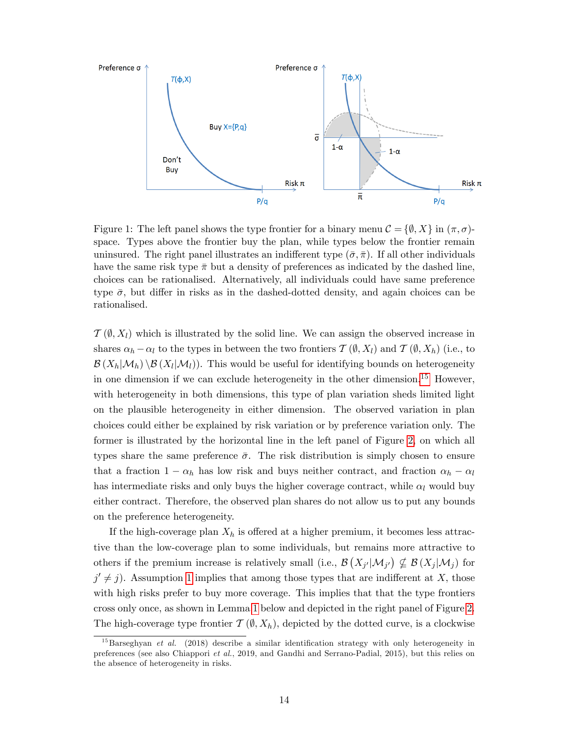

<span id="page-13-0"></span>Figure 1: The left panel shows the type frontier for a binary menu  $\mathcal{C} = \{\emptyset, X\}$  in  $(\pi, \sigma)$ space. Types above the frontier buy the plan, while types below the frontier remain uninsured. The right panel illustrates an indifferent type  $(\bar{\sigma}, \bar{\pi})$ . If all other individuals have the same risk type  $\bar{\pi}$  but a density of preferences as indicated by the dashed line, choices can be rationalised. Alternatively, all individuals could have same preference type  $\bar{\sigma}$ , but differ in risks as in the dashed-dotted density, and again choices can be rationalised.

 $\mathcal{T}(\emptyset, X_l)$  which is illustrated by the solid line. We can assign the observed increase in shares  $\alpha_h - \alpha_l$  to the types in between the two frontiers  $\mathcal{T}(\emptyset, X_l)$  and  $\mathcal{T}(\emptyset, X_h)$  (i.e., to  $\mathcal{B}(X_h|\mathcal{M}_h) \setminus \mathcal{B}(X_l|\mathcal{M}_l)$ . This would be useful for identifying bounds on heterogeneity in one dimension if we can exclude heterogeneity in the other dimension.[15](#page-13-1) However, with heterogeneity in both dimensions, this type of plan variation sheds limited light on the plausible heterogeneity in either dimension. The observed variation in plan choices could either be explained by risk variation or by preference variation only. The former is illustrated by the horizontal line in the left panel of Figure [2,](#page-14-0) on which all types share the same preference  $\bar{\sigma}$ . The risk distribution is simply chosen to ensure that a fraction  $1 - \alpha_h$  has low risk and buys neither contract, and fraction  $\alpha_h - \alpha_l$ has intermediate risks and only buys the higher coverage contract, while  $\alpha_l$  would buy either contract. Therefore, the observed plan shares do not allow us to put any bounds on the preference heterogeneity.

If the high-coverage plan  $X_h$  is offered at a higher premium, it becomes less attractive than the low-coverage plan to some individuals, but remains more attractive to others if the premium increase is relatively small (i.e.,  $\mathcal{B}(X_{j'}|\mathcal{M}_{j'}) \nsubseteq \mathcal{B}(X_j|\mathcal{M}_j)$  for  $j' \neq j$ ). Assumption [1](#page-10-1) implies that among those types that are indifferent at X, those with high risks prefer to buy more coverage. This implies that that the type frontiers cross only once, as shown in Lemma [1](#page-14-1) below and depicted in the right panel of Figure [2.](#page-14-0) The high-coverage type frontier  $\mathcal{T}(\emptyset, X_h)$ , depicted by the dotted curve, is a clockwise

<span id="page-13-1"></span> $^{15}$ Barseghyan et al. (2018) describe a similar identification strategy with only heterogeneity in preferences (see also Chiappori et al., 2019, and Gandhi and Serrano-Padial, 2015), but this relies on the absence of heterogeneity in risks.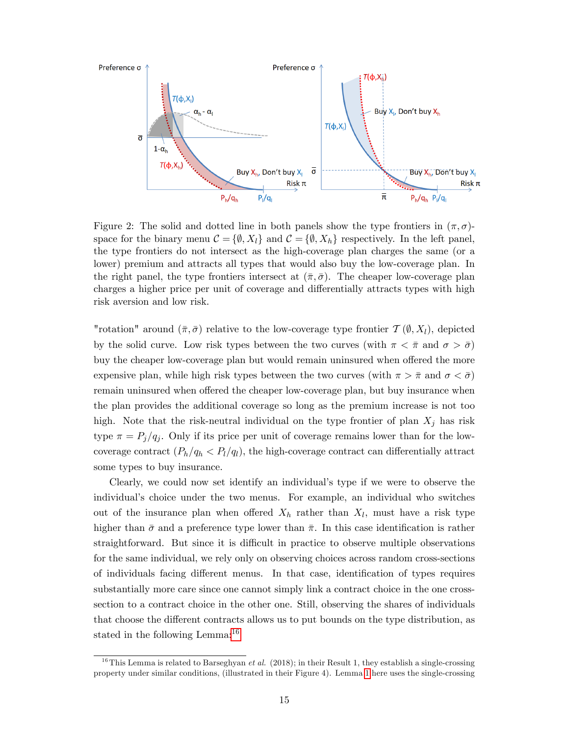

<span id="page-14-0"></span>Figure 2: The solid and dotted line in both panels show the type frontiers in  $(\pi, \sigma)$ space for the binary menu  $\mathcal{C} = \{\emptyset, X_l\}$  and  $\mathcal{C} = \{\emptyset, X_h\}$  respectively. In the left panel, the type frontiers do not intersect as the high-coverage plan charges the same (or a lower) premium and attracts all types that would also buy the low-coverage plan. In the right panel, the type frontiers intersect at  $(\bar{\pi}, \bar{\sigma})$ . The cheaper low-coverage plan charges a higher price per unit of coverage and differentially attracts types with high risk aversion and low risk.

"rotation" around  $(\bar{\pi}, \bar{\sigma})$  relative to the low-coverage type frontier  $\mathcal{T}(\emptyset, X_l)$ , depicted by the solid curve. Low risk types between the two curves (with  $\pi < \bar{\pi}$  and  $\sigma > \bar{\sigma}$ ) buy the cheaper low-coverage plan but would remain uninsured when offered the more expensive plan, while high risk types between the two curves (with  $\pi > \bar{\pi}$  and  $\sigma < \bar{\sigma}$ ) remain uninsured when offered the cheaper low-coverage plan, but buy insurance when the plan provides the additional coverage so long as the premium increase is not too high. Note that the risk-neutral individual on the type frontier of plan  $X_j$  has risk type  $\pi = P_j/q_j$ . Only if its price per unit of coverage remains lower than for the lowcoverage contract  $(P_h/q_h < P_l/q_l)$ , the high-coverage contract can differentially attract some types to buy insurance.

Clearly, we could now set identify an individual's type if we were to observe the individualís choice under the two menus. For example, an individual who switches out of the insurance plan when offered  $X_h$  rather than  $X_l$ , must have a risk type higher than  $\bar{\sigma}$  and a preference type lower than  $\bar{\pi}$ . In this case identification is rather straightforward. But since it is difficult in practice to observe multiple observations for the same individual, we rely only on observing choices across random cross-sections of individuals facing different menus. In that case, identification of types requires substantially more care since one cannot simply link a contract choice in the one crosssection to a contract choice in the other one. Still, observing the shares of individuals that choose the different contracts allows us to put bounds on the type distribution, as stated in the following Lemma:<sup>[16](#page-14-2)</sup>

<span id="page-14-2"></span><span id="page-14-1"></span><sup>&</sup>lt;sup>16</sup>This Lemma is related to Barseghyan *et al.* (2018); in their Result 1, they establish a single-crossing property under similar conditions, (illustrated in their Figure 4). Lemma [1](#page-14-1) here uses the single-crossing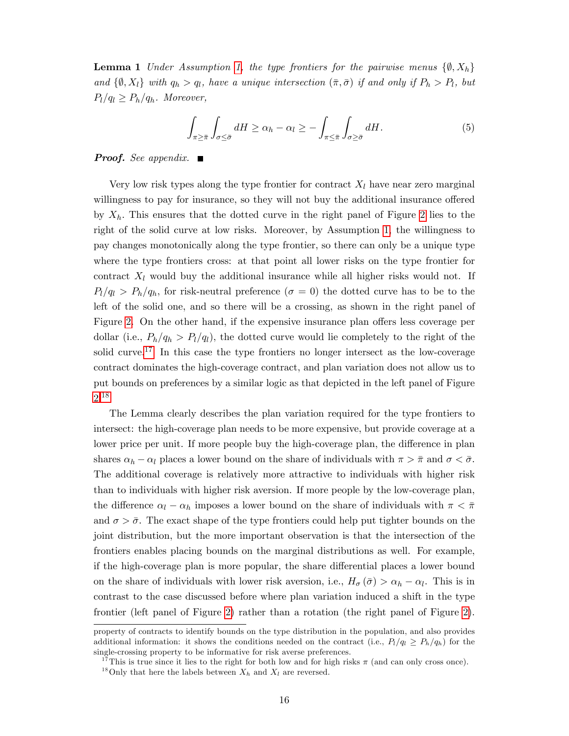**Lemma 1** Under Assumption [1,](#page-10-1) the type frontiers for the pairwise menus  $\{\emptyset, X_h\}$ and  $\{\emptyset, X_l\}$  with  $q_h > q_l$ , have a unique intersection  $(\bar{\pi}, \bar{\sigma})$  if and only if  $P_h > P_l$ , but  $P_l/q_l \geq P_h/q_h$ . Moreover,

$$
\int_{\pi \geq \bar{\pi}} \int_{\sigma \leq \bar{\sigma}} dH \geq \alpha_h - \alpha_l \geq - \int_{\pi \leq \bar{\pi}} \int_{\sigma \geq \bar{\sigma}} dH.
$$
\n(5)

## **Proof.** See appendix.  $\blacksquare$

Very low risk types along the type frontier for contract  $X_l$  have near zero marginal willingness to pay for insurance, so they will not buy the additional insurance offered by  $X_h$ . This ensures that the dotted curve in the right panel of Figure [2](#page-14-0) lies to the right of the solid curve at low risks. Moreover, by Assumption [1,](#page-10-1) the willingness to pay changes monotonically along the type frontier, so there can only be a unique type where the type frontiers cross: at that point all lower risks on the type frontier for contract  $X_l$  would buy the additional insurance while all higher risks would not. If  $P_l/q_l > P_h/q_h$ , for risk-neutral preference  $(\sigma = 0)$  the dotted curve has to be to the left of the solid one, and so there will be a crossing, as shown in the right panel of Figure [2.](#page-14-0) On the other hand, if the expensive insurance plan offers less coverage per dollar (i.e.,  $P_h/q_h > P_l/q_l$ ), the dotted curve would lie completely to the right of the solid curve.<sup>[17](#page-15-0)</sup> In this case the type frontiers no longer intersect as the low-coverage contract dominates the high-coverage contract, and plan variation does not allow us to put bounds on preferences by a similar logic as that depicted in the left panel of Figure [2.](#page-14-0)[18](#page-15-1)

The Lemma clearly describes the plan variation required for the type frontiers to intersect: the high-coverage plan needs to be more expensive, but provide coverage at a lower price per unit. If more people buy the high-coverage plan, the difference in plan shares  $\alpha_h - \alpha_l$  places a lower bound on the share of individuals with  $\pi > \bar{\pi}$  and  $\sigma < \bar{\sigma}$ . The additional coverage is relatively more attractive to individuals with higher risk than to individuals with higher risk aversion. If more people by the low-coverage plan, the difference  $\alpha_l - \alpha_h$  imposes a lower bound on the share of individuals with  $\pi < \bar{\pi}$ and  $\sigma > \bar{\sigma}$ . The exact shape of the type frontiers could help put tighter bounds on the joint distribution, but the more important observation is that the intersection of the frontiers enables placing bounds on the marginal distributions as well. For example, if the high-coverage plan is more popular, the share differential places a lower bound on the share of individuals with lower risk aversion, i.e.,  $H_{\sigma}(\bar{\sigma}) > \alpha_h - \alpha_l$ . This is in contrast to the case discussed before where plan variation induced a shift in the type frontier (left panel of Figure [2\)](#page-14-0) rather than a rotation (the right panel of Figure [2\)](#page-14-0).

property of contracts to identify bounds on the type distribution in the population, and also provides additional information: it shows the conditions needed on the contract (i.e.,  $P_l/q_l \geq P_h/q_h$ ) for the single-crossing property to be informative for risk averse preferences.

<span id="page-15-0"></span><sup>&</sup>lt;sup>17</sup>This is true since it lies to the right for both low and for high risks  $\pi$  (and can only cross once).

<span id="page-15-1"></span><sup>&</sup>lt;sup>18</sup>Only that here the labels between  $X_h$  and  $X_l$  are reversed.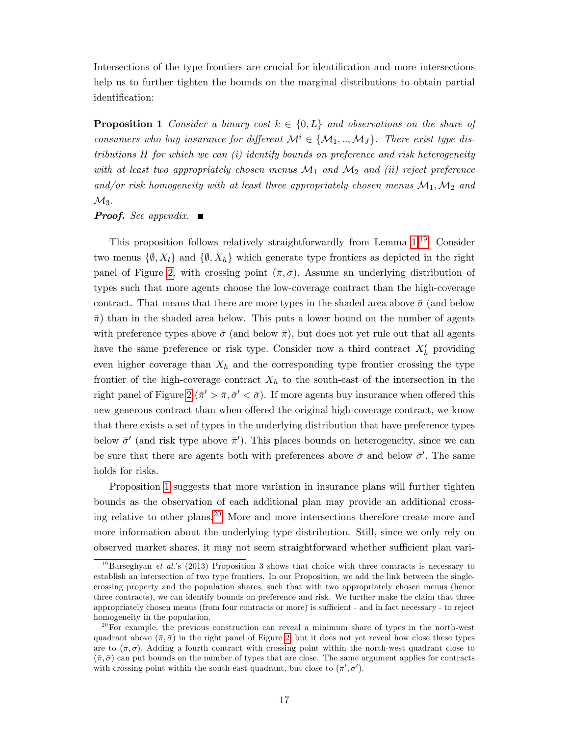Intersections of the type frontiers are crucial for identification and more intersections help us to further tighten the bounds on the marginal distributions to obtain partial identification:

<span id="page-16-1"></span>**Proposition 1** Consider a binary cost  $k \in \{0, L\}$  and observations on the share of consumers who buy insurance for different  $\mathcal{M}^i \in \{M_1, ..., M_J\}$ . There exist type distributions H for which we can (i) identify bounds on preference and risk heterogeneity with at least two appropriately chosen menus  $\mathcal{M}_1$  and  $\mathcal{M}_2$  and (ii) reject preference and/or risk homogeneity with at least three appropriately chosen menus  $\mathcal{M}_1, \mathcal{M}_2$  and  $\mathcal{M}_3$ .

#### **Proof.** See appendix.  $\blacksquare$

This proposition follows relatively straightforwardly from Lemma [1.](#page-14-1)[19](#page-16-0) Consider two menus  $\{\emptyset, X_l\}$  and  $\{\emptyset, X_h\}$  which generate type frontiers as depicted in the right panel of Figure [2,](#page-14-0) with crossing point  $(\bar{\pi}, \bar{\sigma})$ . Assume an underlying distribution of types such that more agents choose the low-coverage contract than the high-coverage contract. That means that there are more types in the shaded area above  $\bar{\sigma}$  (and below  $\bar{\pi}$ ) than in the shaded area below. This puts a lower bound on the number of agents with preference types above  $\bar{\sigma}$  (and below  $\bar{\pi}$ ), but does not yet rule out that all agents have the same preference or risk type. Consider now a third contract  $X'_{h}$  providing even higher coverage than  $X_h$  and the corresponding type frontier crossing the type frontier of the high-coverage contract  $X_h$  to the south-east of the intersection in the right panel of Figure [2](#page-14-0) ( $\bar{\pi}' > \bar{\pi}, \bar{\sigma}' < \bar{\sigma}$ ). If more agents buy insurance when offered this new generous contract than when offered the original high-coverage contract, we know that there exists a set of types in the underlying distribution that have preference types below  $\bar{\sigma}'$  (and risk type above  $\bar{\pi}'$ ). This places bounds on heterogeneity, since we can be sure that there are agents both with preferences above  $\bar{\sigma}$  and below  $\bar{\sigma}'$ . The same holds for risks.

Proposition [1](#page-16-1) suggests that more variation in insurance plans will further tighten bounds as the observation of each additional plan may provide an additional crossing relative to other plans.[20](#page-16-2) More and more intersections therefore create more and more information about the underlying type distribution. Still, since we only rely on observed market shares, it may not seem straightforward whether sufficient plan vari-

<span id="page-16-0"></span><sup>&</sup>lt;sup>19</sup>Barseghyan *et al.*'s (2013) Proposition 3 shows that choice with three contracts is necessary to establish an intersection of two type frontiers. In our Proposition, we add the link between the singlecrossing property and the population shares, such that with two appropriately chosen menus (hence three contracts), we can identify bounds on preference and risk. We further make the claim that three appropriately chosen menus (from four contracts or more) is sufficient - and in fact necessary - to reject homogeneity in the population.

<span id="page-16-2"></span> $20$ For example, the previous construction can reveal a minimum share of types in the north-west quadrant above  $(\bar{\pi}, \bar{\sigma})$  in the right panel of Figure [2](#page-14-0), but it does not yet reveal how close these types are to  $(\bar{\pi}, \bar{\sigma})$ . Adding a fourth contract with crossing point within the north-west quadrant close to  $(\bar{\pi}, \bar{\sigma})$  can put bounds on the number of types that are close. The same argument applies for contracts with crossing point within the south-east quadrant, but close to  $(\bar{\pi}', \bar{\sigma}')$ .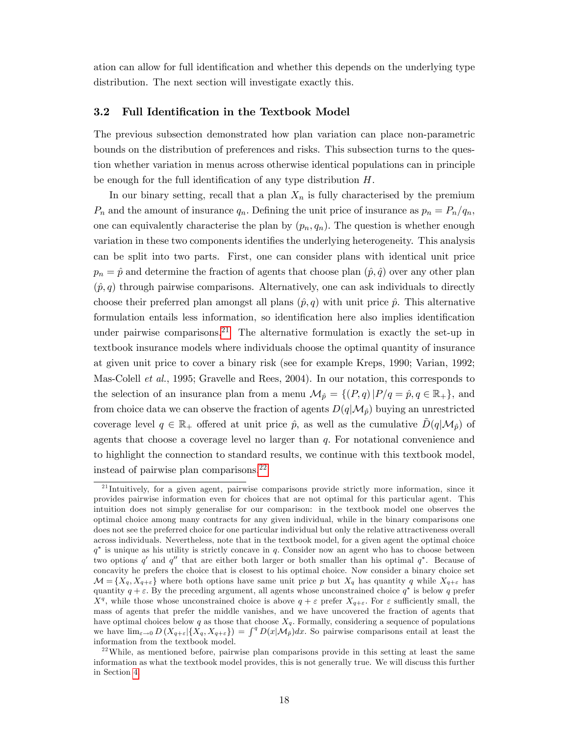ation can allow for full identification and whether this depends on the underlying type distribution. The next section will investigate exactly this.

## 3.2 Full Identification in the Textbook Model

The previous subsection demonstrated how plan variation can place non-parametric bounds on the distribution of preferences and risks. This subsection turns to the question whether variation in menus across otherwise identical populations can in principle be enough for the full identification of any type distribution  $H$ .

In our binary setting, recall that a plan  $X_n$  is fully characterised by the premium  $P_n$  and the amount of insurance  $q_n$ . Defining the unit price of insurance as  $p_n = P_n/q_n$ , one can equivalently characterise the plan by  $(p_n, q_n)$ . The question is whether enough variation in these two components identifies the underlying heterogeneity. This analysis can be split into two parts. First, one can consider plans with identical unit price  $p_n = \hat{p}$  and determine the fraction of agents that choose plan  $(\hat{p}, \hat{q})$  over any other plan  $(\hat{p}, q)$  through pairwise comparisons. Alternatively, one can ask individuals to directly choose their preferred plan amongst all plans  $(\hat{p}, q)$  with unit price  $\hat{p}$ . This alternative formulation entails less information, so identification here also implies identification under pairwise comparisons.<sup>[21](#page-17-0)</sup> The alternative formulation is exactly the set-up in textbook insurance models where individuals choose the optimal quantity of insurance at given unit price to cover a binary risk (see for example Kreps, 1990; Varian, 1992; Mas-Colell et al., 1995; Gravelle and Rees, 2004). In our notation, this corresponds to the selection of an insurance plan from a menu  $\mathcal{M}_{\hat{p}} = \{(P, q)|P/q = \hat{p}, q \in \mathbb{R}_+\}$ , and from choice data we can observe the fraction of agents  $D(q|\mathcal{M}_{\hat{p}})$  buying an unrestricted coverage level  $q \in \mathbb{R}_+$  offered at unit price  $\hat{p}$ , as well as the cumulative  $D(q|\mathcal{M}_{\hat{p}})$  of agents that choose a coverage level no larger than  $q$ . For notational convenience and to highlight the connection to standard results, we continue with this textbook model, instead of pairwise plan comparisons.[22](#page-17-1)

<span id="page-17-0"></span><sup>&</sup>lt;sup>21</sup> Intuitively, for a given agent, pairwise comparisons provide strictly more information, since it provides pairwise information even for choices that are not optimal for this particular agent. This intuition does not simply generalise for our comparison: in the textbook model one observes the optimal choice among many contracts for any given individual, while in the binary comparisons one does not see the preferred choice for one particular individual but only the relative attractiveness overall across individuals. Nevertheless, note that in the textbook model, for a given agent the optimal choice  $q^*$  is unique as his utility is strictly concave in q. Consider now an agent who has to choose between two options q' and q'' that are either both larger or both smaller than his optimal  $q^*$ . Because of concavity he prefers the choice that is closest to his optimal choice. Now consider a binary choice set  $\mathcal{M} = \{X_q, X_{q+\varepsilon}\}\$  where both options have same unit price p but  $X_q$  has quantity q while  $X_{q+\varepsilon}$  has quantity  $q + \varepsilon$ . By the preceding argument, all agents whose unconstrained choice  $q^*$  is below q prefer  $X^q$ , while those whose unconstrained choice is above  $q + \varepsilon$  prefer  $X_{q+\varepsilon}$ . For  $\varepsilon$  sufficiently small, the mass of agents that prefer the middle vanishes, and we have uncovered the fraction of agents that have optimal choices below q as those that choose  $X_q$ . Formally, considering a sequence of populations we have  $\lim_{\varepsilon\to 0} D(X_{q+\varepsilon}|\{X_q,X_{q+\varepsilon}\}) = \int^q D(x|\mathcal{M}_{\hat{p}})dx$ . So pairwise comparisons entail at least the information from the textbook model.

<span id="page-17-1"></span> $2<sup>22</sup>$  While, as mentioned before, pairwise plan comparisons provide in this setting at least the same information as what the textbook model provides, this is not generally true. We will discuss this further in Section [4.](#page-19-0)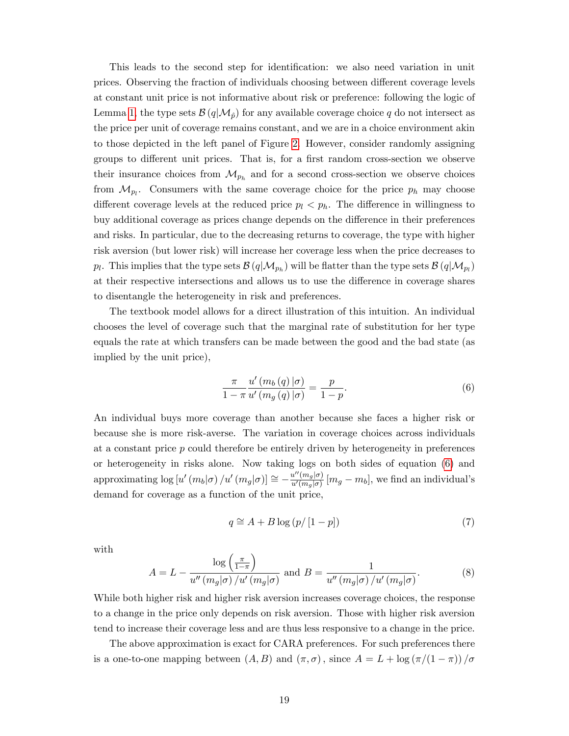This leads to the second step for identification: we also need variation in unit prices. Observing the fraction of individuals choosing between different coverage levels at constant unit price is not informative about risk or preference: following the logic of Lemma [1,](#page-14-1) the type sets  $\mathcal{B}(q|\mathcal{M}_{\hat{p}})$  for any available coverage choice q do not intersect as the price per unit of coverage remains constant, and we are in a choice environment akin to those depicted in the left panel of Figure [2.](#page-14-0) However, consider randomly assigning groups to different unit prices. That is, for a first random cross-section we observe their insurance choices from  $\mathcal{M}_{p_h}$  and for a second cross-section we observe choices from  $\mathcal{M}_{p_l}$ . Consumers with the same coverage choice for the price  $p_h$  may choose different coverage levels at the reduced price  $p_l < p_h$ . The difference in willingness to buy additional coverage as prices change depends on the difference in their preferences and risks. In particular, due to the decreasing returns to coverage, the type with higher risk aversion (but lower risk) will increase her coverage less when the price decreases to  $p_l$ . This implies that the type sets  $\mathcal{B}(q|\mathcal{M}_{p_h})$  will be flatter than the type sets  $\mathcal{B}(q|\mathcal{M}_{p_l})$ at their respective intersections and allows us to use the difference in coverage shares to disentangle the heterogeneity in risk and preferences.

The textbook model allows for a direct illustration of this intuition. An individual chooses the level of coverage such that the marginal rate of substitution for her type equals the rate at which transfers can be made between the good and the bad state (as implied by the unit price),

<span id="page-18-0"></span>
$$
\frac{\pi}{1-\pi} \frac{u'\left(m_b(q)\middle|\sigma\right)}{u'\left(m_g(q)\middle|\sigma\right)} = \frac{p}{1-p}.\tag{6}
$$

An individual buys more coverage than another because she faces a higher risk or because she is more risk-averse. The variation in coverage choices across individuals at a constant price p could therefore be entirely driven by heterogeneity in preferences or heterogeneity in risks alone. Now taking logs on both sides of equation [\(6\)](#page-18-0) and approximating  $\log [u'(m_b|\sigma)/u'(m_g|\sigma)] \cong -\frac{u''(m_g|\sigma)}{u'(m_g|\sigma)}$  $\frac{u^-(m_g|o)}{u'(m_g|\sigma)}$   $[m_g - m_b]$ , we find an individual's demand for coverage as a function of the unit price,

<span id="page-18-1"></span>
$$
q \cong A + B \log (p / [1 - p]) \tag{7}
$$

with

$$
A = L - \frac{\log\left(\frac{\pi}{1-\pi}\right)}{u''\left(m_g|\sigma\right)/u'\left(m_g|\sigma\right)} \text{ and } B = \frac{1}{u''\left(m_g|\sigma\right)/u'\left(m_g|\sigma\right)}.
$$
 (8)

While both higher risk and higher risk aversion increases coverage choices, the response to a change in the price only depends on risk aversion. Those with higher risk aversion tend to increase their coverage less and are thus less responsive to a change in the price.

The above approximation is exact for CARA preferences. For such preferences there is a one-to-one mapping between  $(A, B)$  and  $(\pi, \sigma)$ , since  $A = L + \log(\pi/(1 - \pi)) / \sigma$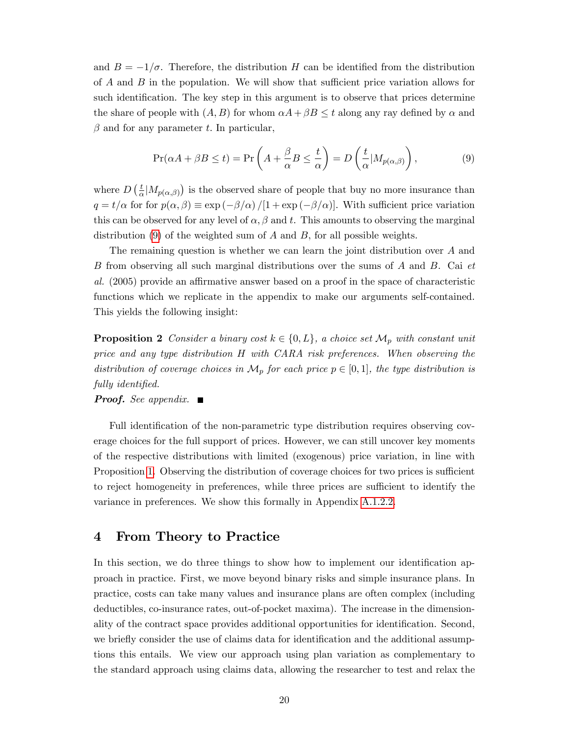and  $B = -1/\sigma$ . Therefore, the distribution H can be identified from the distribution of  $A$  and  $B$  in the population. We will show that sufficient price variation allows for such identification. The key step in this argument is to observe that prices determine the share of people with  $(A, B)$  for whom  $\alpha A + \beta B \leq t$  along any ray defined by  $\alpha$  and  $\beta$  and for any parameter t. In particular,

<span id="page-19-1"></span>
$$
\Pr(\alpha A + \beta B \le t) = \Pr\left(A + \frac{\beta}{\alpha} B \le \frac{t}{\alpha}\right) = D\left(\frac{t}{\alpha} | M_{p(\alpha,\beta)}\right),\tag{9}
$$

where  $D\left(\frac{t}{a}\right)$  $\frac{t}{\alpha}|M_{p(\alpha,\beta)}\rangle$  is the observed share of people that buy no more insurance than  $q = t/\alpha$  for for  $p(\alpha, \beta) \equiv \exp(-\beta/\alpha)/[1 + \exp(-\beta/\alpha)]$ . With sufficient price variation this can be observed for any level of  $\alpha, \beta$  and t. This amounts to observing the marginal distribution  $(9)$  of the weighted sum of A and B, for all possible weights.

The remaining question is whether we can learn the joint distribution over  $A$  and B from observing all such marginal distributions over the sums of A and B. Cai et  $al.$  (2005) provide an affirmative answer based on a proof in the space of characteristic functions which we replicate in the appendix to make our arguments self-contained. This yields the following insight:

<span id="page-19-2"></span>**Proposition 2** Consider a binary cost  $k \in \{0, L\}$ , a choice set  $\mathcal{M}_p$  with constant unit price and any type distribution H with CARA risk preferences. When observing the distribution of coverage choices in  $\mathcal{M}_p$  for each price  $p \in [0, 1]$ , the type distribution is fully identified.

**Proof.** See appendix.  $\blacksquare$ 

Full identification of the non-parametric type distribution requires observing coverage choices for the full support of prices. However, we can still uncover key moments of the respective distributions with limited (exogenous) price variation, in line with Proposition [1.](#page-16-1) Observing the distribution of coverage choices for two prices is sufficient to reject homogeneity in preferences, while three prices are sufficient to identify the variance in preferences. We show this formally in Appendix [A.1.2.2.](#page-46-0)

# <span id="page-19-0"></span>4 From Theory to Practice

In this section, we do three things to show how to implement our identification approach in practice. First, we move beyond binary risks and simple insurance plans. In practice, costs can take many values and insurance plans are often complex (including deductibles, co-insurance rates, out-of-pocket maxima). The increase in the dimensionality of the contract space provides additional opportunities for identification. Second, we briefly consider the use of claims data for identification and the additional assumptions this entails. We view our approach using plan variation as complementary to the standard approach using claims data, allowing the researcher to test and relax the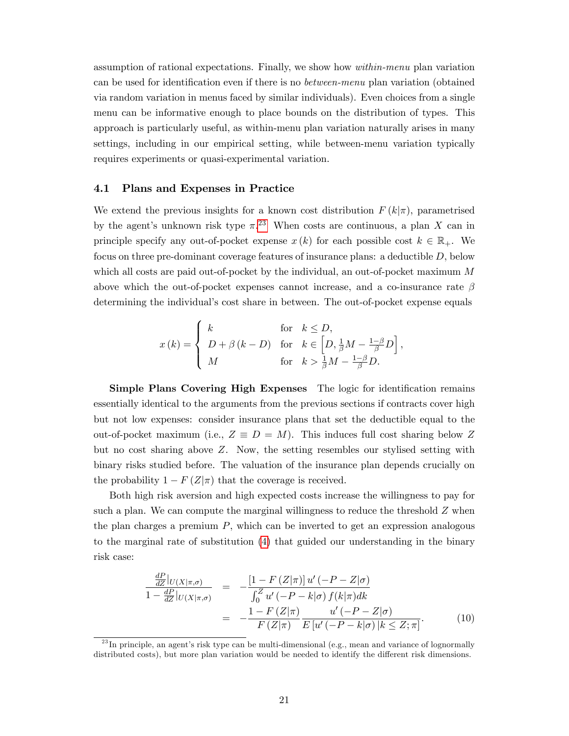assumption of rational expectations. Finally, we show how within-menu plan variation can be used for identification even if there is no *between-menu* plan variation (obtained via random variation in menus faced by similar individuals). Even choices from a single menu can be informative enough to place bounds on the distribution of types. This approach is particularly useful, as within-menu plan variation naturally arises in many settings, including in our empirical setting, while between-menu variation typically requires experiments or quasi-experimental variation.

#### 4.1 Plans and Expenses in Practice

We extend the previous insights for a known cost distribution  $F(k|\pi)$ , parametrised by the agent's unknown risk type  $\pi$ .<sup>[23](#page-20-0)</sup> When costs are continuous, a plan X can in principle specify any out-of-pocket expense  $x(k)$  for each possible cost  $k \in \mathbb{R}_+$ . We focus on three pre-dominant coverage features of insurance plans: a deductible D, below which all costs are paid out-of-pocket by the individual, an out-of-pocket maximum M above which the out-of-pocket expenses cannot increase, and a co-insurance rate  $\beta$ determining the individual's cost share in between. The out-of-pocket expense equals

$$
x(k) = \begin{cases} k & \text{for} \quad k \leq D, \\ D + \beta (k - D) & \text{for} \quad k \in \left[ D, \frac{1}{\beta}M - \frac{1 - \beta}{\beta}D \right], \\ M & \text{for} \quad k > \frac{1}{\beta}M - \frac{1 - \beta}{\beta}D. \end{cases}
$$

Simple Plans Covering High Expenses The logic for identification remains essentially identical to the arguments from the previous sections if contracts cover high but not low expenses: consider insurance plans that set the deductible equal to the out-of-pocket maximum (i.e.,  $Z \equiv D = M$ ). This induces full cost sharing below Z but no cost sharing above  $Z$ . Now, the setting resembles our stylised setting with binary risks studied before. The valuation of the insurance plan depends crucially on the probability  $1 - F(Z|\pi)$  that the coverage is received.

Both high risk aversion and high expected costs increase the willingness to pay for such a plan. We can compute the marginal willingness to reduce the threshold  $Z$  when the plan charges a premium  $P$ , which can be inverted to get an expression analogous to the marginal rate of substitution [\(4\)](#page-11-1) that guided our understanding in the binary risk case:

$$
\frac{\frac{dP}{dZ}|_{U(X|\pi,\sigma)}}{1 - \frac{dP}{dZ}|_{U(X|\pi,\sigma)}} = -\frac{\left[1 - F(Z|\pi)\right]u'(-P - Z|\sigma)}{\int_0^Z u'(-P - k|\sigma) f(k|\pi)dk}
$$
\n
$$
= -\frac{1 - F(Z|\pi)}{F(Z|\pi)} \frac{u'(-P - Z|\sigma)}{E[u'(-P - k|\sigma)]k \le Z;\pi]}.
$$
\n(10)

<span id="page-20-0"></span> $^{23}$ In principle, an agent's risk type can be multi-dimensional (e.g., mean and variance of lognormally distributed costs), but more plan variation would be needed to identify the different risk dimensions.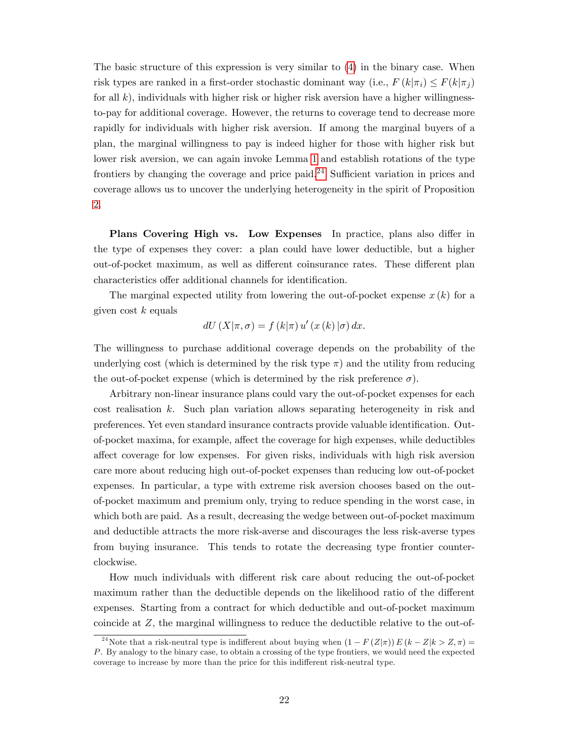The basic structure of this expression is very similar to [\(4\)](#page-11-1) in the binary case. When risk types are ranked in a first-order stochastic dominant way (i.e.,  $F(k|\pi_i) \leq F(k|\pi_i)$ for all  $k$ ), individuals with higher risk or higher risk aversion have a higher willingnessto-pay for additional coverage. However, the returns to coverage tend to decrease more rapidly for individuals with higher risk aversion. If among the marginal buyers of a plan, the marginal willingness to pay is indeed higher for those with higher risk but lower risk aversion, we can again invoke Lemma [1](#page-14-1) and establish rotations of the type frontiers by changing the coverage and price paid.<sup>[24](#page-21-0)</sup> Sufficient variation in prices and coverage allows us to uncover the underlying heterogeneity in the spirit of Proposition [2.](#page-19-2)

Plans Covering High vs. Low Expenses In practice, plans also differ in the type of expenses they cover: a plan could have lower deductible, but a higher out-of-pocket maximum, as well as different coinsurance rates. These different plan characteristics offer additional channels for identification.

The marginal expected utility from lowering the out-of-pocket expense  $x(k)$  for a given cost  $k$  equals

$$
dU(X|\pi,\sigma) = f(k|\pi) u'(x(k)|\sigma) dx.
$$

The willingness to purchase additional coverage depends on the probability of the underlying cost (which is determined by the risk type  $\pi$ ) and the utility from reducing the out-of-pocket expense (which is determined by the risk preference  $\sigma$ ).

Arbitrary non-linear insurance plans could vary the out-of-pocket expenses for each cost realisation k. Such plan variation allows separating heterogeneity in risk and preferences. Yet even standard insurance contracts provide valuable identification. Outof-pocket maxima, for example, affect the coverage for high expenses, while deductibles affect coverage for low expenses. For given risks, individuals with high risk aversion care more about reducing high out-of-pocket expenses than reducing low out-of-pocket expenses. In particular, a type with extreme risk aversion chooses based on the outof-pocket maximum and premium only, trying to reduce spending in the worst case, in which both are paid. As a result, decreasing the wedge between out-of-pocket maximum and deductible attracts the more risk-averse and discourages the less risk-averse types from buying insurance. This tends to rotate the decreasing type frontier counterclockwise.

How much individuals with different risk care about reducing the out-of-pocket maximum rather than the deductible depends on the likelihood ratio of the different expenses. Starting from a contract for which deductible and out-of-pocket maximum coincide at Z, the marginal willingness to reduce the deductible relative to the out-of-

<span id="page-21-0"></span><sup>&</sup>lt;sup>24</sup>Note that a risk-neutral type is indifferent about buying when  $(1 - F(Z|\pi)) E (k - Z|k > Z, \pi) =$ P. By analogy to the binary case, to obtain a crossing of the type frontiers, we would need the expected coverage to increase by more than the price for this indifferent risk-neutral type.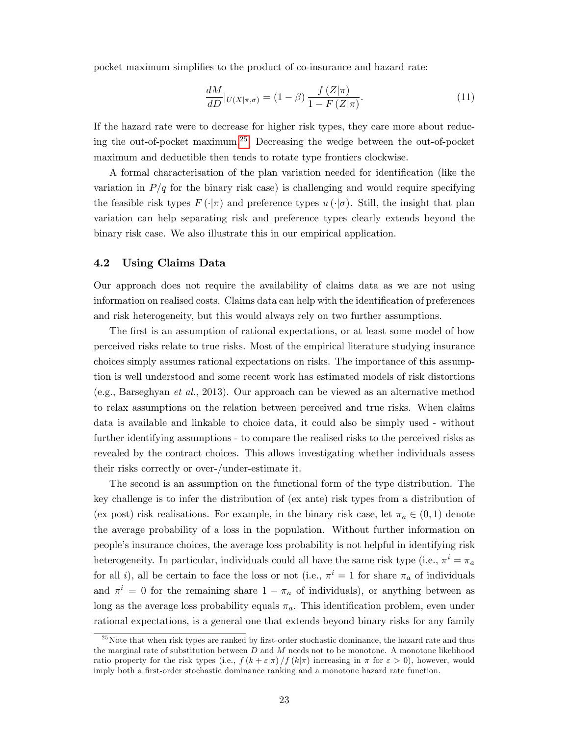pocket maximum simplifies to the product of co-insurance and hazard rate:

$$
\frac{dM}{dD}|_{U(X|\pi,\sigma)} = (1-\beta)\frac{f(Z|\pi)}{1-F(Z|\pi)}.\tag{11}
$$

If the hazard rate were to decrease for higher risk types, they care more about reduc-ing the out-of-pocket maximum.<sup>[25](#page-22-1)</sup> Decreasing the wedge between the out-of-pocket maximum and deductible then tends to rotate type frontiers clockwise.

A formal characterisation of the plan variation needed for identification (like the variation in  $P/q$  for the binary risk case) is challenging and would require specifying the feasible risk types  $F(\cdot|\pi)$  and preference types  $u(\cdot|\sigma)$ . Still, the insight that plan variation can help separating risk and preference types clearly extends beyond the binary risk case. We also illustrate this in our empirical application.

## <span id="page-22-0"></span>4.2 Using Claims Data

Our approach does not require the availability of claims data as we are not using information on realised costs. Claims data can help with the identification of preferences and risk heterogeneity, but this would always rely on two further assumptions.

The first is an assumption of rational expectations, or at least some model of how perceived risks relate to true risks. Most of the empirical literature studying insurance choices simply assumes rational expectations on risks. The importance of this assumption is well understood and some recent work has estimated models of risk distortions (e.g., Barseghyan et al., 2013). Our approach can be viewed as an alternative method to relax assumptions on the relation between perceived and true risks. When claims data is available and linkable to choice data, it could also be simply used - without further identifying assumptions - to compare the realised risks to the perceived risks as revealed by the contract choices. This allows investigating whether individuals assess their risks correctly or over-/under-estimate it.

The second is an assumption on the functional form of the type distribution. The key challenge is to infer the distribution of (ex ante) risk types from a distribution of (ex post) risk realisations. For example, in the binary risk case, let  $\pi_a \in (0,1)$  denote the average probability of a loss in the population. Without further information on peopleís insurance choices, the average loss probability is not helpful in identifying risk heterogeneity. In particular, individuals could all have the same risk type (i.e.,  $\pi^i = \pi_a$ for all *i*), all be certain to face the loss or not (i.e.,  $\pi^{i} = 1$  for share  $\pi_{a}$  of individuals and  $\pi^{i} = 0$  for the remaining share  $1 - \pi_{a}$  of individuals), or anything between as long as the average loss probability equals  $\pi_a$ . This identification problem, even under rational expectations, is a general one that extends beyond binary risks for any family

<span id="page-22-1"></span> $^{25}$ Note that when risk types are ranked by first-order stochastic dominance, the hazard rate and thus the marginal rate of substitution between  $D$  and  $M$  needs not to be monotone. A monotone likelihood ratio property for the risk types (i.e.,  $f(k+\varepsilon|\pi)/f(k|\pi)$  increasing in  $\pi$  for  $\varepsilon > 0$ ), however, would imply both a first-order stochastic dominance ranking and a monotone hazard rate function.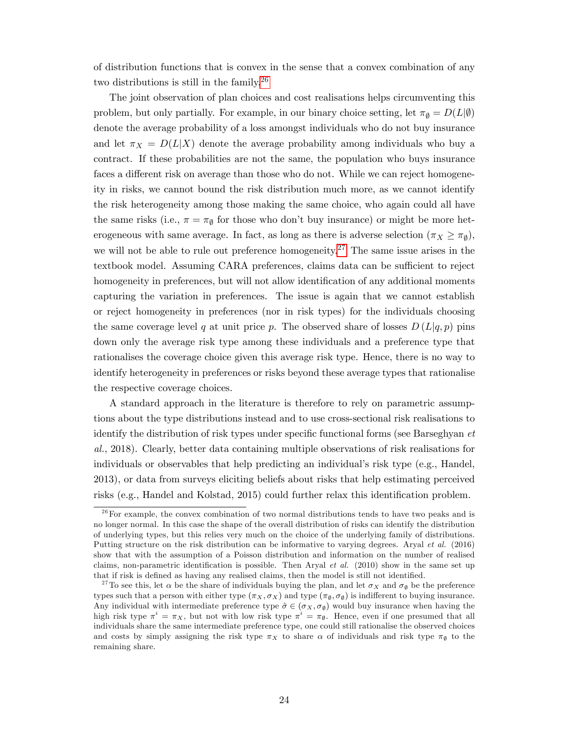of distribution functions that is convex in the sense that a convex combination of any two distributions is still in the family.[26](#page-23-0)

The joint observation of plan choices and cost realisations helps circumventing this problem, but only partially. For example, in our binary choice setting, let  $\pi_{\emptyset} = D(L|\emptyset)$ denote the average probability of a loss amongst individuals who do not buy insurance and let  $\pi_X = D(L|X)$  denote the average probability among individuals who buy a contract. If these probabilities are not the same, the population who buys insurance faces a different risk on average than those who do not. While we can reject homogeneity in risks, we cannot bound the risk distribution much more, as we cannot identify the risk heterogeneity among those making the same choice, who again could all have the same risks (i.e.,  $\pi = \pi_{\emptyset}$  for those who don't buy insurance) or might be more heterogeneous with same average. In fact, as long as there is adverse selection  $(\pi_X \ge \pi_{\emptyset})$ , we will not be able to rule out preference homogeneity.<sup>[27](#page-23-1)</sup> The same issue arises in the textbook model. Assuming CARA preferences, claims data can be sufficient to reject homogeneity in preferences, but will not allow identification of any additional moments capturing the variation in preferences. The issue is again that we cannot establish or reject homogeneity in preferences (nor in risk types) for the individuals choosing the same coverage level q at unit price p. The observed share of losses  $D(L|q, p)$  pins down only the average risk type among these individuals and a preference type that rationalises the coverage choice given this average risk type. Hence, there is no way to identify heterogeneity in preferences or risks beyond these average types that rationalise the respective coverage choices.

A standard approach in the literature is therefore to rely on parametric assumptions about the type distributions instead and to use cross-sectional risk realisations to identify the distribution of risk types under specific functional forms (see Barseghyan  $et$ al., 2018). Clearly, better data containing multiple observations of risk realisations for individuals or observables that help predicting an individual's risk type (e.g., Handel, 2013), or data from surveys eliciting beliefs about risks that help estimating perceived risks (e.g., Handel and Kolstad,  $2015$ ) could further relax this identification problem.

<span id="page-23-0"></span> $26$  For example, the convex combination of two normal distributions tends to have two peaks and is no longer normal. In this case the shape of the overall distribution of risks can identify the distribution of underlying types, but this relies very much on the choice of the underlying family of distributions. Putting structure on the risk distribution can be informative to varying degrees. Aryal et al. (2016) show that with the assumption of a Poisson distribution and information on the number of realised claims, non-parametric identification is possible. Then Aryal et al.  $(2010)$  show in the same set up that if risk is defined as having any realised claims, then the model is still not identified.

<span id="page-23-1"></span><sup>&</sup>lt;sup>27</sup>To see this, let  $\alpha$  be the share of individuals buying the plan, and let  $\sigma_X$  and  $\sigma_\emptyset$  be the preference types such that a person with either type  $(\pi_X, \sigma_X)$  and type  $(\pi_{\emptyset}, \sigma_{\emptyset})$  is indifferent to buying insurance. Any individual with intermediate preference type  $\hat{\sigma} \in (\sigma_X, \sigma_{\emptyset})$  would buy insurance when having the high risk type  $\pi^i = \pi_X$ , but not with low risk type  $\pi^i = \pi_{\emptyset}$ . Hence, even if one presumed that all individuals share the same intermediate preference type, one could still rationalise the observed choices and costs by simply assigning the risk type  $\pi_X$  to share  $\alpha$  of individuals and risk type  $\pi_{\emptyset}$  to the remaining share.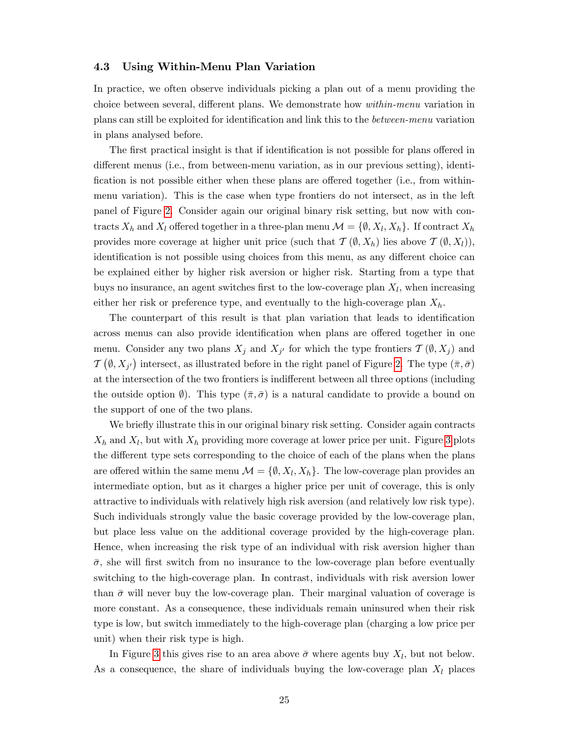## <span id="page-24-0"></span>4.3 Using Within-Menu Plan Variation

In practice, we often observe individuals picking a plan out of a menu providing the choice between several, different plans. We demonstrate how *within-menu* variation in plans can still be exploited for identification and link this to the *between-menu* variation in plans analysed before.

The first practical insight is that if identification is not possible for plans offered in different menus (i.e., from between-menu variation, as in our previous setting), identification is not possible either when these plans are offered together (i.e., from withinmenu variation). This is the case when type frontiers do not intersect, as in the left panel of Figure [2.](#page-14-0) Consider again our original binary risk setting, but now with contracts  $X_h$  and  $X_l$  offered together in a three-plan menu  $\mathcal{M} = \{\emptyset, X_l, X_h\}$ . If contract  $X_h$ provides more coverage at higher unit price (such that  $\mathcal{T}(\emptyset, X_h)$  lies above  $\mathcal{T}(\emptyset, X_l)$ ), identification is not possible using choices from this menu, as any different choice can be explained either by higher risk aversion or higher risk. Starting from a type that buys no insurance, an agent switches first to the low-coverage plan  $X_l$ , when increasing either her risk or preference type, and eventually to the high-coverage plan  $X_h$ .

The counterpart of this result is that plan variation that leads to identification across menus can also provide identification when plans are offered together in one menu. Consider any two plans  $X_j$  and  $X_{j'}$  for which the type frontiers  $\mathcal{T}(\emptyset, X_j)$  and  $\mathcal{T}(\emptyset, X_{j'})$  intersect, as illustrated before in the right panel of Figure [2.](#page-14-0) The type  $(\bar{\pi}, \bar{\sigma})$ at the intersection of the two frontiers is indifferent between all three options (including the outside option  $\emptyset$ ). This type  $(\bar{\pi}, \bar{\sigma})$  is a natural candidate to provide a bound on the support of one of the two plans.

We briefly illustrate this in our original binary risk setting. Consider again contracts  $X_h$  and  $X_l$ , but with  $X_h$  providing more coverage at lower price per unit. Figure [3](#page-25-0) plots the different type sets corresponding to the choice of each of the plans when the plans are offered within the same menu  $\mathcal{M} = \{\emptyset, X_l, X_h\}$ . The low-coverage plan provides an intermediate option, but as it charges a higher price per unit of coverage, this is only attractive to individuals with relatively high risk aversion (and relatively low risk type). Such individuals strongly value the basic coverage provided by the low-coverage plan, but place less value on the additional coverage provided by the high-coverage plan. Hence, when increasing the risk type of an individual with risk aversion higher than  $\bar{\sigma}$ , she will first switch from no insurance to the low-coverage plan before eventually switching to the high-coverage plan. In contrast, individuals with risk aversion lower than  $\bar{\sigma}$  will never buy the low-coverage plan. Their marginal valuation of coverage is more constant. As a consequence, these individuals remain uninsured when their risk type is low, but switch immediately to the high-coverage plan (charging a low price per unit) when their risk type is high.

In Figure [3](#page-25-0) this gives rise to an area above  $\bar{\sigma}$  where agents buy  $X_l$ , but not below. As a consequence, the share of individuals buying the low-coverage plan  $X_l$  places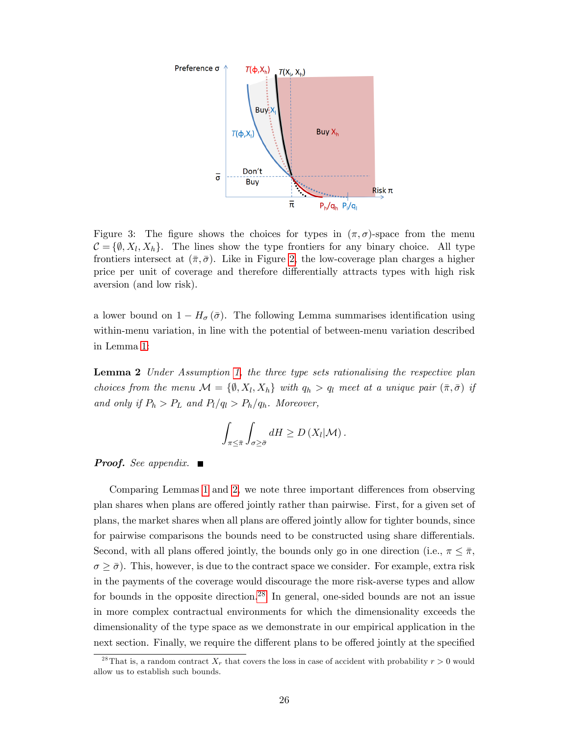

<span id="page-25-0"></span>Figure 3: The figure shows the choices for types in  $(\pi, \sigma)$ -space from the menu  $\mathcal{C} = \{ \emptyset, X_l, X_h \}.$  The lines show the type frontiers for any binary choice. All type frontiers intersect at  $(\bar{\pi}, \bar{\sigma})$ . Like in Figure [2,](#page-14-0) the low-coverage plan charges a higher price per unit of coverage and therefore differentially attracts types with high risk aversion (and low risk).

a lower bound on  $1 - H_{\sigma}(\bar{\sigma})$ . The following Lemma summarises identification using within-menu variation, in line with the potential of between-menu variation described in Lemma [1:](#page-14-1)

<span id="page-25-1"></span>Lemma 2 Under Assumption [1,](#page-10-1) the three type sets rationalising the respective plan choices from the menu  $\mathcal{M} = \{ \emptyset, X_l, X_h \}$  with  $q_h > q_l$  meet at a unique pair  $(\bar{\pi}, \bar{\sigma})$  if and only if  $P_h > P_L$  and  $P_l/q_l > P_h/q_h$ . Moreover,

$$
\int_{\pi \leq \bar{\pi}} \int_{\sigma \geq \bar{\sigma}} dH \geq D\left(X_l|\mathcal{M}\right).
$$

**Proof.** See appendix.  $\blacksquare$ 

Comparing Lemmas [1](#page-14-1) and [2,](#page-25-1) we note three important differences from observing plan shares when plans are offered jointly rather than pairwise. First, for a given set of plans, the market shares when all plans are offered jointly allow for tighter bounds, since for pairwise comparisons the bounds need to be constructed using share differentials. Second, with all plans offered jointly, the bounds only go in one direction (i.e.,  $\pi \leq \bar{\pi}$ ,  $\sigma \geq \bar{\sigma}$ ). This, however, is due to the contract space we consider. For example, extra risk in the payments of the coverage would discourage the more risk-averse types and allow for bounds in the opposite direction.[28](#page-25-2) In general, one-sided bounds are not an issue in more complex contractual environments for which the dimensionality exceeds the dimensionality of the type space as we demonstrate in our empirical application in the next section. Finally, we require the different plans to be offered jointly at the specified

<span id="page-25-2"></span><sup>&</sup>lt;sup>28</sup>That is, a random contract  $X_r$  that covers the loss in case of accident with probability  $r > 0$  would allow us to establish such bounds.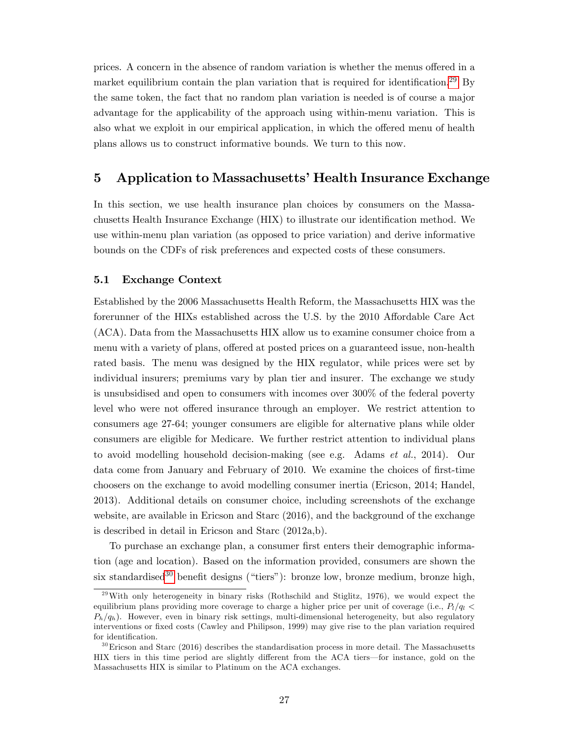prices. A concern in the absence of random variation is whether the menus offered in a market equilibrium contain the plan variation that is required for identification.<sup>[29](#page-26-0)</sup> By the same token, the fact that no random plan variation is needed is of course a major advantage for the applicability of the approach using within-menu variation. This is also what we exploit in our empirical application, in which the offered menu of health plans allows us to construct informative bounds. We turn to this now.

# 5 Application to Massachusetts' Health Insurance Exchange

In this section, we use health insurance plan choices by consumers on the Massachusetts Health Insurance Exchange (HIX) to illustrate our identification method. We use within-menu plan variation (as opposed to price variation) and derive informative bounds on the CDFs of risk preferences and expected costs of these consumers.

## 5.1 Exchange Context

Established by the 2006 Massachusetts Health Reform, the Massachusetts HIX was the forerunner of the HIXs established across the U.S. by the 2010 Affordable Care Act (ACA). Data from the Massachusetts HIX allow us to examine consumer choice from a menu with a variety of plans, offered at posted prices on a guaranteed issue, non-health rated basis. The menu was designed by the HIX regulator, while prices were set by individual insurers; premiums vary by plan tier and insurer. The exchange we study is unsubsidised and open to consumers with incomes over 300% of the federal poverty level who were not offered insurance through an employer. We restrict attention to consumers age 27-64; younger consumers are eligible for alternative plans while older consumers are eligible for Medicare. We further restrict attention to individual plans to avoid modelling household decision-making (see e.g. Adams et al., 2014). Our data come from January and February of 2010. We examine the choices of first-time choosers on the exchange to avoid modelling consumer inertia (Ericson, 2014; Handel, 2013). Additional details on consumer choice, including screenshots of the exchange website, are available in Ericson and Starc (2016), and the background of the exchange is described in detail in Ericson and Starc (2012a,b).

To purchase an exchange plan, a consumer first enters their demographic information (age and location). Based on the information provided, consumers are shown the six standardised<sup>[30](#page-26-1)</sup> benefit designs ("tiers"): bronze low, bronze medium, bronze high,

<span id="page-26-0"></span> $^{29}$ With only heterogeneity in binary risks (Rothschild and Stiglitz, 1976), we would expect the equilibrium plans providing more coverage to charge a higher price per unit of coverage (i.e.,  $P_l/q_l$  <  $P_h/q_h$ ). However, even in binary risk settings, multi-dimensional heterogeneity, but also regulatory interventions or fixed costs (Cawley and Philipson, 1999) may give rise to the plan variation required for identification.

<span id="page-26-1"></span> $30$  Ericson and Starc (2016) describes the standardisation process in more detail. The Massachusetts HIX tiers in this time period are slightly different from the ACA tiers—for instance, gold on the Massachusetts HIX is similar to Platinum on the ACA exchanges.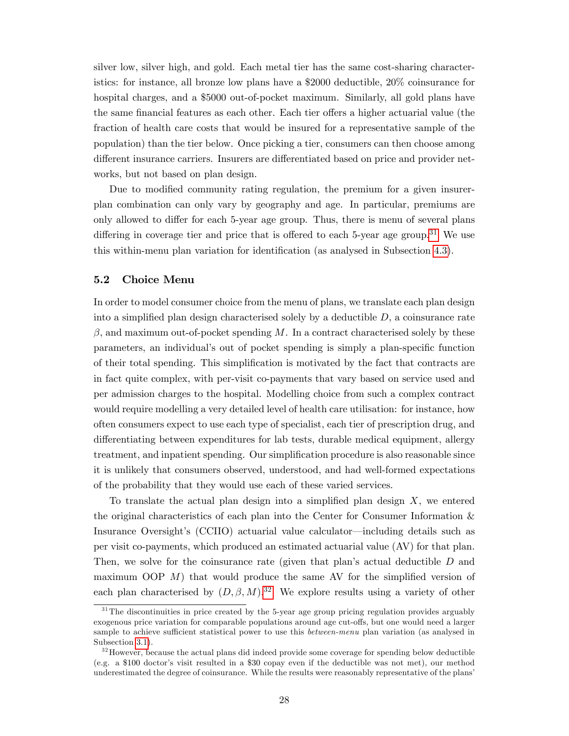silver low, silver high, and gold. Each metal tier has the same cost-sharing characteristics: for instance, all bronze low plans have a \$2000 deductible, 20% coinsurance for hospital charges, and a \$5000 out-of-pocket maximum. Similarly, all gold plans have the same financial features as each other. Each tier offers a higher actuarial value (the fraction of health care costs that would be insured for a representative sample of the population) than the tier below. Once picking a tier, consumers can then choose among different insurance carriers. Insurers are differentiated based on price and provider networks, but not based on plan design.

Due to modified community rating regulation, the premium for a given insurerplan combination can only vary by geography and age. In particular, premiums are only allowed to differ for each 5-year age group. Thus, there is menu of several plans differing in coverage tier and price that is offered to each 5-year age group.<sup>[31](#page-27-0)</sup> We use this within-menu plan variation for identification (as analysed in Subsection [4.3\)](#page-24-0).

#### 5.2 Choice Menu

In order to model consumer choice from the menu of plans, we translate each plan design into a simplified plan design characterised solely by a deductible  $D$ , a coinsurance rate  $\beta$ , and maximum out-of-pocket spending M. In a contract characterised solely by these parameters, an individual's out of pocket spending is simply a plan-specific function of their total spending. This simplification is motivated by the fact that contracts are in fact quite complex, with per-visit co-payments that vary based on service used and per admission charges to the hospital. Modelling choice from such a complex contract would require modelling a very detailed level of health care utilisation: for instance, how often consumers expect to use each type of specialist, each tier of prescription drug, and differentiating between expenditures for lab tests, durable medical equipment, allergy treatment, and inpatient spending. Our simplification procedure is also reasonable since it is unlikely that consumers observed, understood, and had well-formed expectations of the probability that they would use each of these varied services.

To translate the actual plan design into a simplified plan design  $X$ , we entered the original characteristics of each plan into the Center for Consumer Information & Insurance Oversight's (CCIIO) actuarial value calculator—including details such as per visit co-payments, which produced an estimated actuarial value (AV) for that plan. Then, we solve for the coinsurance rate (given that plan's actual deductible  $D$  and maximum OOP  $M$ ) that would produce the same AV for the simplified version of each plan characterised by  $(D, \beta, M)$ .<sup>[32](#page-27-1)</sup> We explore results using a variety of other

<span id="page-27-0"></span><sup>&</sup>lt;sup>31</sup>The discontinuities in price created by the 5-year age group pricing regulation provides arguably exogenous price variation for comparable populations around age cut-offs, but one would need a larger sample to achieve sufficient statistical power to use this *between-menu* plan variation (as analysed in Subsection [3.1\)](#page-12-1).

<span id="page-27-1"></span><sup>&</sup>lt;sup>32</sup> However, because the actual plans did indeed provide some coverage for spending below deductible (e.g. a \$100 doctorís visit resulted in a \$30 copay even if the deductible was not met), our method underestimated the degree of coinsurance. While the results were reasonably representative of the plans'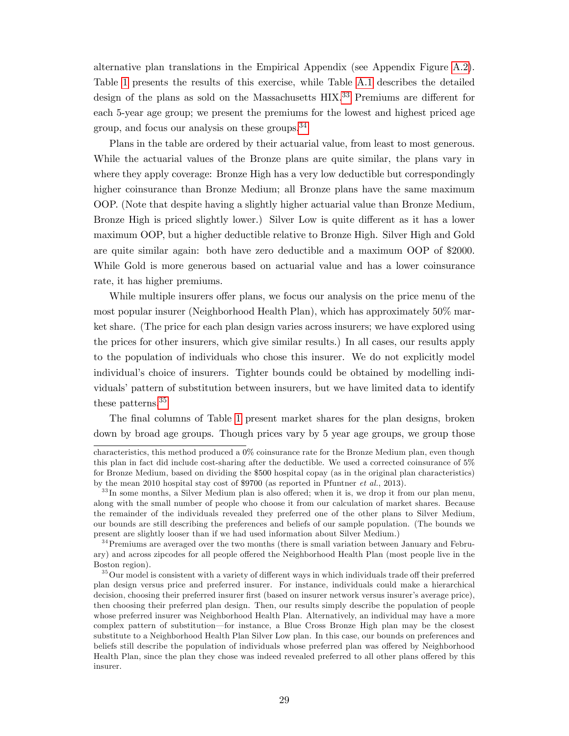alternative plan translations in the Empirical Appendix (see Appendix Figure [A.2\)](#page-14-0). Table [1](#page-40-0) presents the results of this exercise, while Table [A.1](#page-40-0) describes the detailed design of the plans as sold on the Massachusetts  $HIX<sup>33</sup>$  $HIX<sup>33</sup>$  $HIX<sup>33</sup>$  Premiums are different for each 5-year age group; we present the premiums for the lowest and highest priced age group, and focus our analysis on these groups.[34](#page-28-1)

Plans in the table are ordered by their actuarial value, from least to most generous. While the actuarial values of the Bronze plans are quite similar, the plans vary in where they apply coverage: Bronze High has a very low deductible but correspondingly higher coinsurance than Bronze Medium; all Bronze plans have the same maximum OOP. (Note that despite having a slightly higher actuarial value than Bronze Medium, Bronze High is priced slightly lower.) Silver Low is quite different as it has a lower maximum OOP, but a higher deductible relative to Bronze High. Silver High and Gold are quite similar again: both have zero deductible and a maximum OOP of \$2000. While Gold is more generous based on actuarial value and has a lower coinsurance rate, it has higher premiums.

While multiple insurers offer plans, we focus our analysis on the price menu of the most popular insurer (Neighborhood Health Plan), which has approximately 50% market share. (The price for each plan design varies across insurers; we have explored using the prices for other insurers, which give similar results.) In all cases, our results apply to the population of individuals who chose this insurer. We do not explicitly model individual's choice of insurers. Tighter bounds could be obtained by modelling individuals' pattern of substitution between insurers, but we have limited data to identify these patterns.[35](#page-28-2)

The final columns of Table [1](#page-40-0) present market shares for the plan designs, broken down by broad age groups. Though prices vary by 5 year age groups, we group those

characteristics, this method produced a 0% coinsurance rate for the Bronze Medium plan, even though this plan in fact did include cost-sharing after the deductible. We used a corrected coinsurance of 5% for Bronze Medium, based on dividing the \$500 hospital copay (as in the original plan characteristics) by the mean 2010 hospital stay cost of \$9700 (as reported in Pfuntner et al., 2013).

<span id="page-28-0"></span> $33\,\text{In}$  some months, a Silver Medium plan is also offered; when it is, we drop it from our plan menu, along with the small number of people who choose it from our calculation of market shares. Because the remainder of the individuals revealed they preferred one of the other plans to Silver Medium, our bounds are still describing the preferences and beliefs of our sample population. (The bounds we present are slightly looser than if we had used information about Silver Medium.)

<span id="page-28-1"></span><sup>&</sup>lt;sup>34</sup> Premiums are averaged over the two months (there is small variation between January and February) and across zipcodes for all people offered the Neighborhood Health Plan (most people live in the Boston region).

<span id="page-28-2"></span> $35$ Our model is consistent with a variety of different ways in which individuals trade off their preferred plan design versus price and preferred insurer. For instance, individuals could make a hierarchical decision, choosing their preferred insurer first (based on insurer network versus insurer's average price), then choosing their preferred plan design. Then, our results simply describe the population of people whose preferred insurer was Neighborhood Health Plan. Alternatively, an individual may have a more complex pattern of substitution—for instance, a Blue Cross Bronze High plan may be the closest substitute to a Neighborhood Health Plan Silver Low plan. In this case, our bounds on preferences and beliefs still describe the population of individuals whose preferred plan was offered by Neighborhood Health Plan, since the plan they chose was indeed revealed preferred to all other plans offered by this insurer.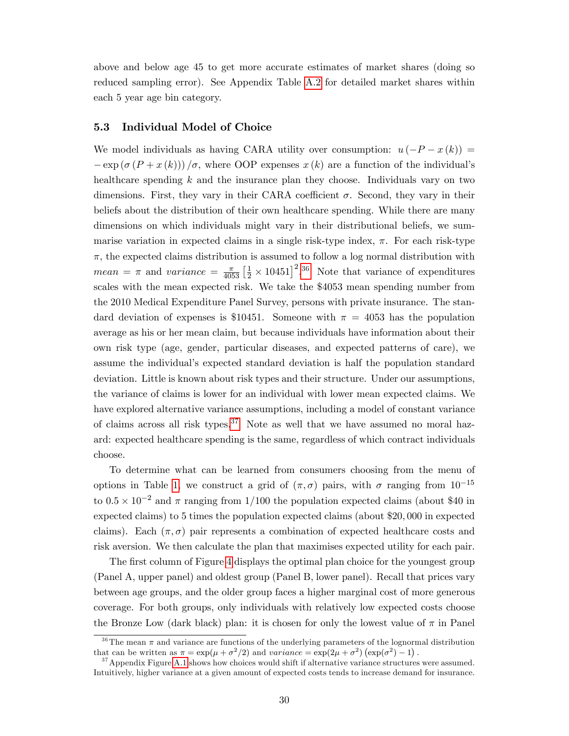above and below age 45 to get more accurate estimates of market shares (doing so reduced sampling error). See Appendix Table [A.2](#page-54-0) for detailed market shares within each 5 year age bin category.

## 5.3 Individual Model of Choice

We model individuals as having CARA utility over consumption:  $u(-P - x(k)) =$  $-\exp\left(\sigma\left(P+x\left(k\right)\right)\right)/\sigma$ , where OOP expenses  $x(k)$  are a function of the individual's healthcare spending  $k$  and the insurance plan they choose. Individuals vary on two dimensions. First, they vary in their CARA coefficient  $\sigma$ . Second, they vary in their beliefs about the distribution of their own healthcare spending. While there are many dimensions on which individuals might vary in their distributional beliefs, we summarise variation in expected claims in a single risk-type index,  $\pi$ . For each risk-type  $\pi$ , the expected claims distribution is assumed to follow a log normal distribution with  $mean = \pi$  and variance  $= \frac{\pi}{4053} \left[\frac{1}{2} \times 10451\right]^2$ .<sup>[36](#page-29-0)</sup> Note that variance of expenditures scales with the mean expected risk. We take the \$4053 mean spending number from the 2010 Medical Expenditure Panel Survey, persons with private insurance. The standard deviation of expenses is \$10451. Someone with  $\pi = 4053$  has the population average as his or her mean claim, but because individuals have information about their own risk type (age, gender, particular diseases, and expected patterns of care), we assume the individual's expected standard deviation is half the population standard deviation. Little is known about risk types and their structure. Under our assumptions, the variance of claims is lower for an individual with lower mean expected claims. We have explored alternative variance assumptions, including a model of constant variance of claims across all risk types.<sup>[37](#page-29-1)</sup> Note as well that we have assumed no moral hazard: expected healthcare spending is the same, regardless of which contract individuals choose.

To determine what can be learned from consumers choosing from the menu of options in Table [1,](#page-40-0) we construct a grid of  $(\pi, \sigma)$  pairs, with  $\sigma$  ranging from  $10^{-15}$ to  $0.5 \times 10^{-2}$  and  $\pi$  ranging from 1/100 the population expected claims (about \$40 in expected claims) to 5 times the population expected claims (about \$20; 000 in expected claims). Each  $(\pi, \sigma)$  pair represents a combination of expected healthcare costs and risk aversion. We then calculate the plan that maximises expected utility for each pair.

The first column of Figure [4](#page-33-0) displays the optimal plan choice for the youngest group (Panel A, upper panel) and oldest group (Panel B, lower panel). Recall that prices vary between age groups, and the older group faces a higher marginal cost of more generous coverage. For both groups, only individuals with relatively low expected costs choose the Bronze Low (dark black) plan: it is chosen for only the lowest value of  $\pi$  in Panel

<span id="page-29-0"></span><sup>&</sup>lt;sup>36</sup>The mean  $\pi$  and variance are functions of the underlying parameters of the lognormal distribution that can be written as  $\pi = \exp(\mu + \sigma^2/2)$  and variance  $= \exp(2\mu + \sigma^2) (\exp(\sigma^2) - 1)$ .

<span id="page-29-1"></span> $37$ Appendix Figure [A.1](#page-13-0) shows how choices would shift if alternative variance structures were assumed. Intuitively, higher variance at a given amount of expected costs tends to increase demand for insurance.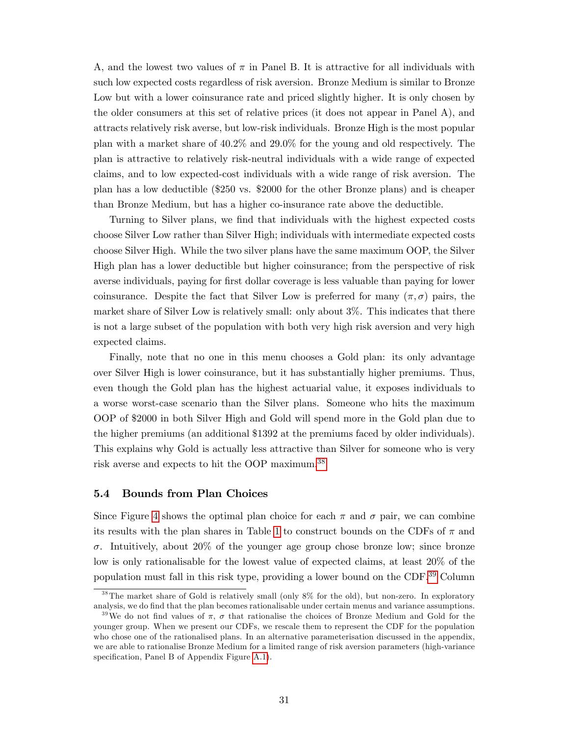A, and the lowest two values of  $\pi$  in Panel B. It is attractive for all individuals with such low expected costs regardless of risk aversion. Bronze Medium is similar to Bronze Low but with a lower coinsurance rate and priced slightly higher. It is only chosen by the older consumers at this set of relative prices (it does not appear in Panel A), and attracts relatively risk averse, but low-risk individuals. Bronze High is the most popular plan with a market share of 40:2% and 29:0% for the young and old respectively. The plan is attractive to relatively risk-neutral individuals with a wide range of expected claims, and to low expected-cost individuals with a wide range of risk aversion. The plan has a low deductible (\$250 vs. \$2000 for the other Bronze plans) and is cheaper than Bronze Medium, but has a higher co-insurance rate above the deductible.

Turning to Silver plans, we find that individuals with the highest expected costs choose Silver Low rather than Silver High; individuals with intermediate expected costs choose Silver High. While the two silver plans have the same maximum OOP, the Silver High plan has a lower deductible but higher coinsurance; from the perspective of risk averse individuals, paying for first dollar coverage is less valuable than paying for lower coinsurance. Despite the fact that Silver Low is preferred for many  $(\pi, \sigma)$  pairs, the market share of Silver Low is relatively small: only about 3%. This indicates that there is not a large subset of the population with both very high risk aversion and very high expected claims.

Finally, note that no one in this menu chooses a Gold plan: its only advantage over Silver High is lower coinsurance, but it has substantially higher premiums. Thus, even though the Gold plan has the highest actuarial value, it exposes individuals to a worse worst-case scenario than the Silver plans. Someone who hits the maximum OOP of \$2000 in both Silver High and Gold will spend more in the Gold plan due to the higher premiums (an additional \$1392 at the premiums faced by older individuals). This explains why Gold is actually less attractive than Silver for someone who is very risk averse and expects to hit the OOP maximum.[38](#page-30-0)

#### 5.4 Bounds from Plan Choices

Since Figure [4](#page-33-0) shows the optimal plan choice for each  $\pi$  and  $\sigma$  pair, we can combine its results with the plan shares in Table [1](#page-40-0) to construct bounds on the CDFs of  $\pi$  and  $\sigma$ . Intuitively, about 20% of the younger age group chose bronze low; since bronze low is only rationalisable for the lowest value of expected claims, at least 20% of the population must fall in this risk type, providing a lower bound on the CDF.[39](#page-30-1) Column

<span id="page-30-0"></span><sup>38</sup>The market share of Gold is relatively small (only 8% for the old), but non-zero. In exploratory analysis, we do Önd that the plan becomes rationalisable under certain menus and variance assumptions.

<span id="page-30-1"></span><sup>&</sup>lt;sup>39</sup>We do not find values of  $\pi$ ,  $\sigma$  that rationalise the choices of Bronze Medium and Gold for the younger group. When we present our CDFs, we rescale them to represent the CDF for the population who chose one of the rationalised plans. In an alternative parameterisation discussed in the appendix, we are able to rationalise Bronze Medium for a limited range of risk aversion parameters (high-variance specification, Panel B of Appendix Figure [A.1\)](#page-13-0).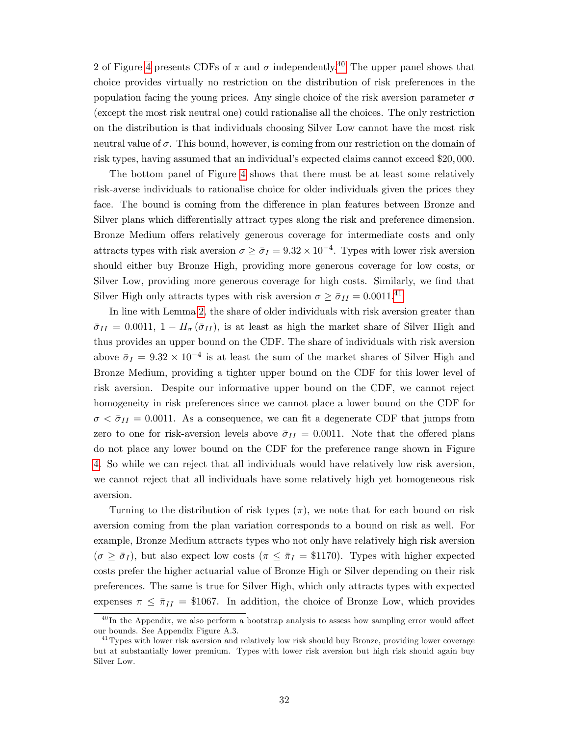2 of Figure [4](#page-33-0) presents CDFs of  $\pi$  and  $\sigma$  independently.<sup>[40](#page-31-0)</sup> The upper panel shows that choice provides virtually no restriction on the distribution of risk preferences in the population facing the young prices. Any single choice of the risk aversion parameter  $\sigma$ (except the most risk neutral one) could rationalise all the choices. The only restriction on the distribution is that individuals choosing Silver Low cannot have the most risk neutral value of  $\sigma$ . This bound, however, is coming from our restriction on the domain of risk types, having assumed that an individual's expected claims cannot exceed \$20,000.

The bottom panel of Figure [4](#page-33-0) shows that there must be at least some relatively risk-averse individuals to rationalise choice for older individuals given the prices they face. The bound is coming from the difference in plan features between Bronze and Silver plans which differentially attract types along the risk and preference dimension. Bronze Medium offers relatively generous coverage for intermediate costs and only attracts types with risk aversion  $\sigma \ge \bar{\sigma}_I = 9.32 \times 10^{-4}$ . Types with lower risk aversion should either buy Bronze High, providing more generous coverage for low costs, or Silver Low, providing more generous coverage for high costs. Similarly, we find that Silver High only attracts types with risk aversion  $\sigma \ge \bar{\sigma}_{II} = 0.0011.^{41}$  $\sigma \ge \bar{\sigma}_{II} = 0.0011.^{41}$  $\sigma \ge \bar{\sigma}_{II} = 0.0011.^{41}$ 

In line with Lemma [2,](#page-25-1) the share of older individuals with risk aversion greater than  $\bar{\sigma}_{II} = 0.0011, 1 - H_{\sigma}(\bar{\sigma}_{II}),$  is at least as high the market share of Silver High and thus provides an upper bound on the CDF. The share of individuals with risk aversion above  $\bar{\sigma}_I = 9.32 \times 10^{-4}$  is at least the sum of the market shares of Silver High and Bronze Medium, providing a tighter upper bound on the CDF for this lower level of risk aversion. Despite our informative upper bound on the CDF, we cannot reject homogeneity in risk preferences since we cannot place a lower bound on the CDF for  $\sigma < \bar{\sigma}_{II} = 0.0011$ . As a consequence, we can fit a degenerate CDF that jumps from zero to one for risk-aversion levels above  $\bar{\sigma}_{II} = 0.0011$ . Note that the offered plans do not place any lower bound on the CDF for the preference range shown in Figure [4.](#page-33-0) So while we can reject that all individuals would have relatively low risk aversion, we cannot reject that all individuals have some relatively high yet homogeneous risk aversion.

Turning to the distribution of risk types  $(\pi)$ , we note that for each bound on risk aversion coming from the plan variation corresponds to a bound on risk as well. For example, Bronze Medium attracts types who not only have relatively high risk aversion  $(\sigma \geq \bar{\sigma}_I)$ , but also expect low costs  $(\pi \leq \bar{\pi}_I = $1170)$ . Types with higher expected costs prefer the higher actuarial value of Bronze High or Silver depending on their risk preferences. The same is true for Silver High, which only attracts types with expected expenses  $\pi \leq \bar{\pi}_{II} = \$1067$ . In addition, the choice of Bronze Low, which provides

<span id="page-31-0"></span> $^{40}$ In the Appendix, we also perform a bootstrap analysis to assess how sampling error would affect our bounds. See Appendix Figure A.3.

<span id="page-31-1"></span><sup>&</sup>lt;sup>41</sup>Types with lower risk aversion and relatively low risk should buy Bronze, providing lower coverage but at substantially lower premium. Types with lower risk aversion but high risk should again buy Silver Low.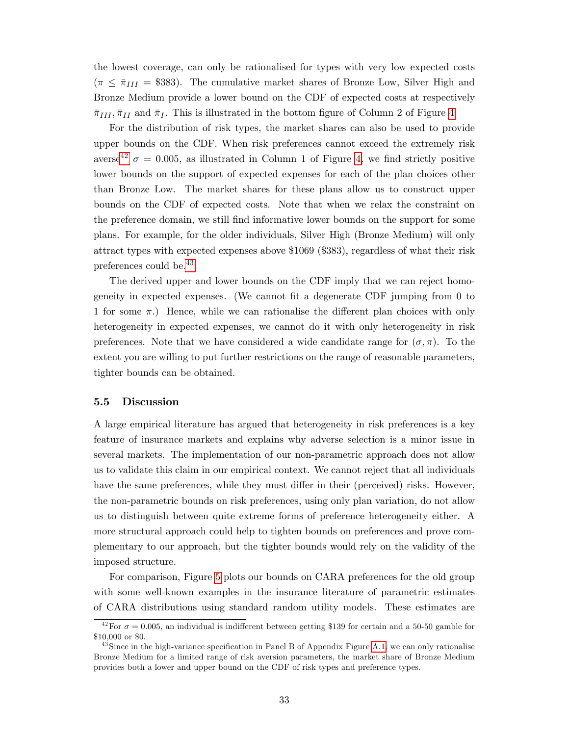the lowest coverage, can only be rationalised for types with very low expected costs  $(\pi \leq \bar{\pi}_{III} = $383)$ . The cumulative market shares of Bronze Low, Silver High and Bronze Medium provide a lower bound on the CDF of expected costs at respectively  $\bar{\pi}_{III}, \bar{\pi}_{II}$  and  $\bar{\pi}_{I}$ . This is illustrated in the bottom figure of Column 2 of Figure [4](#page-33-0)

For the distribution of risk types, the market shares can also be used to provide upper bounds on the CDF. When risk preferences cannot exceed the extremely risk averse<sup>[42](#page-32-0)</sup>  $\sigma = 0.005$ , as illustrated in Column 1 of Figure [4,](#page-33-0) we find strictly positive lower bounds on the support of expected expenses for each of the plan choices other than Bronze Low. The market shares for these plans allow us to construct upper bounds on the CDF of expected costs. Note that when we relax the constraint on the preference domain, we still Önd informative lower bounds on the support for some plans. For example, for the older individuals, Silver High (Bronze Medium) will only attract types with expected expenses above \$1069 (\$383), regardless of what their risk preferences could be.[43](#page-32-1)

The derived upper and lower bounds on the CDF imply that we can reject homogeneity in expected expenses. (We cannot Öt a degenerate CDF jumping from 0 to 1 for some  $\pi$ .) Hence, while we can rationalise the different plan choices with only heterogeneity in expected expenses, we cannot do it with only heterogeneity in risk preferences. Note that we have considered a wide candidate range for  $(\sigma, \pi)$ . To the extent you are willing to put further restrictions on the range of reasonable parameters, tighter bounds can be obtained.

#### 5.5 Discussion

A large empirical literature has argued that heterogeneity in risk preferences is a key feature of insurance markets and explains why adverse selection is a minor issue in several markets. The implementation of our non-parametric approach does not allow us to validate this claim in our empirical context. We cannot reject that all individuals have the same preferences, while they must differ in their (perceived) risks. However, the non-parametric bounds on risk preferences, using only plan variation, do not allow us to distinguish between quite extreme forms of preference heterogeneity either. A more structural approach could help to tighten bounds on preferences and prove complementary to our approach, but the tighter bounds would rely on the validity of the imposed structure.

For comparison, Figure [5](#page-34-0) plots our bounds on CARA preferences for the old group with some well-known examples in the insurance literature of parametric estimates of CARA distributions using standard random utility models. These estimates are

<span id="page-32-0"></span><sup>&</sup>lt;sup>42</sup>For  $\sigma = 0.005$ , an individual is indifferent between getting \$139 for certain and a 50-50 gamble for \$10,000 or \$0.

<span id="page-32-1"></span> $^{43}$ Since in the high-variance specification in Panel B of Appendix Figure [A.1,](#page-13-0) we can only rationalise Bronze Medium for a limited range of risk aversion parameters, the market share of Bronze Medium provides both a lower and upper bound on the CDF of risk types and preference types.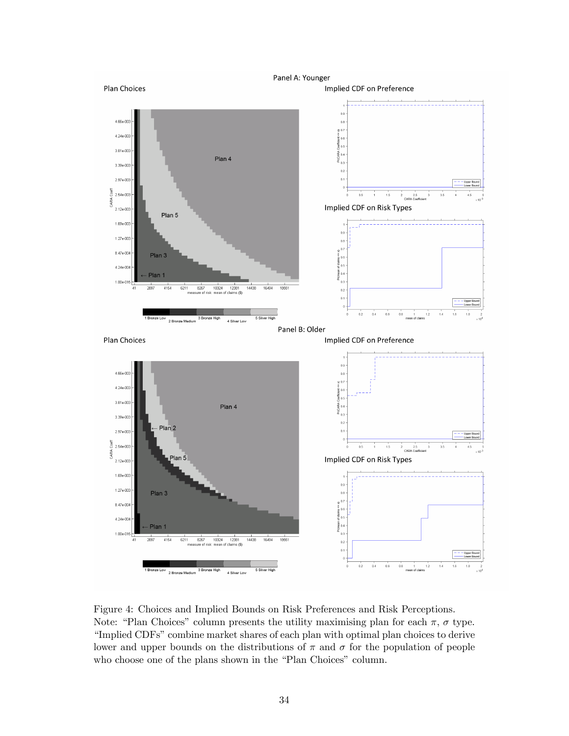

<span id="page-33-0"></span>Figure 4: Choices and Implied Bounds on Risk Preferences and Risk Perceptions. Note: "Plan Choices" column presents the utility maximising plan for each  $\pi$ ,  $\sigma$  type. "Implied CDFs" combine market shares of each plan with optimal plan choices to derive lower and upper bounds on the distributions of  $\pi$  and  $\sigma$  for the population of people who choose one of the plans shown in the "Plan Choices" column.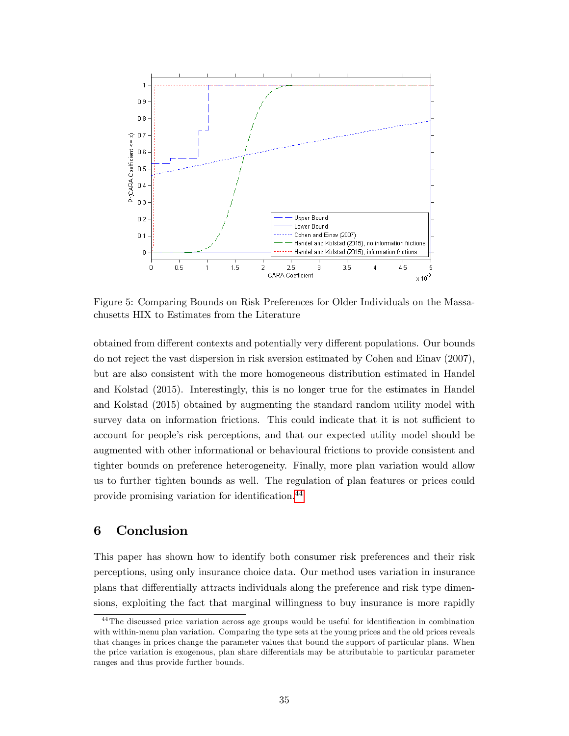

<span id="page-34-0"></span>Figure 5: Comparing Bounds on Risk Preferences for Older Individuals on the Massachusetts HIX to Estimates from the Literature

obtained from different contexts and potentially very different populations. Our bounds do not reject the vast dispersion in risk aversion estimated by Cohen and Einav (2007), but are also consistent with the more homogeneous distribution estimated in Handel and Kolstad (2015). Interestingly, this is no longer true for the estimates in Handel and Kolstad (2015) obtained by augmenting the standard random utility model with survey data on information frictions. This could indicate that it is not sufficient to account for people's risk perceptions, and that our expected utility model should be augmented with other informational or behavioural frictions to provide consistent and tighter bounds on preference heterogeneity. Finally, more plan variation would allow us to further tighten bounds as well. The regulation of plan features or prices could provide promising variation for identification.<sup>[44](#page-34-1)</sup>

# 6 Conclusion

This paper has shown how to identify both consumer risk preferences and their risk perceptions, using only insurance choice data. Our method uses variation in insurance plans that differentially attracts individuals along the preference and risk type dimensions, exploiting the fact that marginal willingness to buy insurance is more rapidly

<span id="page-34-1"></span> $44$ The discussed price variation across age groups would be useful for identification in combination with within-menu plan variation. Comparing the type sets at the young prices and the old prices reveals that changes in prices change the parameter values that bound the support of particular plans. When the price variation is exogenous, plan share differentials may be attributable to particular parameter ranges and thus provide further bounds.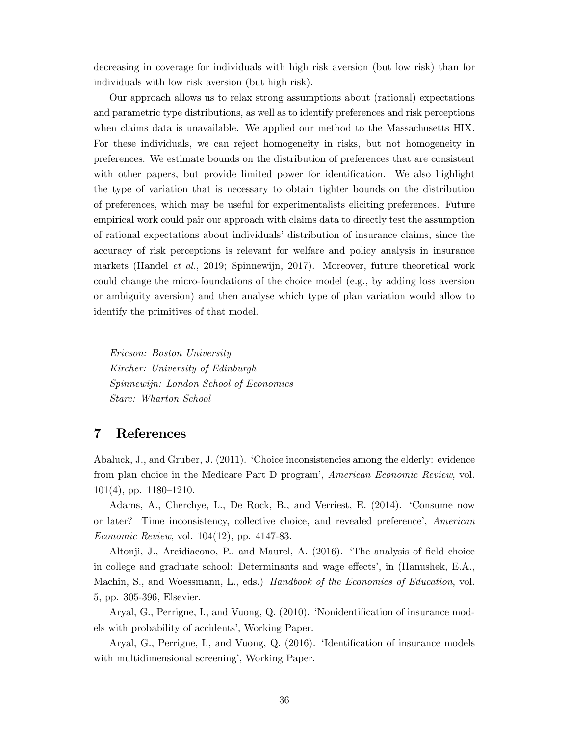decreasing in coverage for individuals with high risk aversion (but low risk) than for individuals with low risk aversion (but high risk).

Our approach allows us to relax strong assumptions about (rational) expectations and parametric type distributions, as well as to identify preferences and risk perceptions when claims data is unavailable. We applied our method to the Massachusetts HIX. For these individuals, we can reject homogeneity in risks, but not homogeneity in preferences. We estimate bounds on the distribution of preferences that are consistent with other papers, but provide limited power for identification. We also highlight the type of variation that is necessary to obtain tighter bounds on the distribution of preferences, which may be useful for experimentalists eliciting preferences. Future empirical work could pair our approach with claims data to directly test the assumption of rational expectations about individualsídistribution of insurance claims, since the accuracy of risk perceptions is relevant for welfare and policy analysis in insurance markets (Handel et al., 2019; Spinnewijn, 2017). Moreover, future theoretical work could change the micro-foundations of the choice model (e.g., by adding loss aversion or ambiguity aversion) and then analyse which type of plan variation would allow to identify the primitives of that model.

Ericson: Boston University Kircher: University of Edinburgh Spinnewijn: London School of Economics Starc: Wharton School

# 7 References

Abaluck, J., and Gruber, J. (2011). 'Choice inconsistencies among the elderly: evidence from plan choice in the Medicare Part D program', American Economic Review, vol.  $101(4)$ , pp.  $1180-1210$ .

Adams, A., Cherchye, L., De Rock, B., and Verriest, E. (2014). 'Consume now or later? Time inconsistency, collective choice, and revealed preference', American Economic Review, vol. 104(12), pp. 4147-83.

Altonji, J., Arcidiacono, P., and Maurel, A. (2016). The analysis of field choice in college and graduate school: Determinants and wage effects', in (Hanushek, E.A., Machin, S., and Woessmann, L., eds.) Handbook of the Economics of Education, vol. 5, pp. 305-396, Elsevier.

Aryal, G., Perrigne, I., and Vuong, Q. (2010). 'Nonidentification of insurance models with probability of accidents', Working Paper.

Aryal, G., Perrigne, I., and Vuong, Q. (2016). 'Identification of insurance models with multidimensional screening', Working Paper.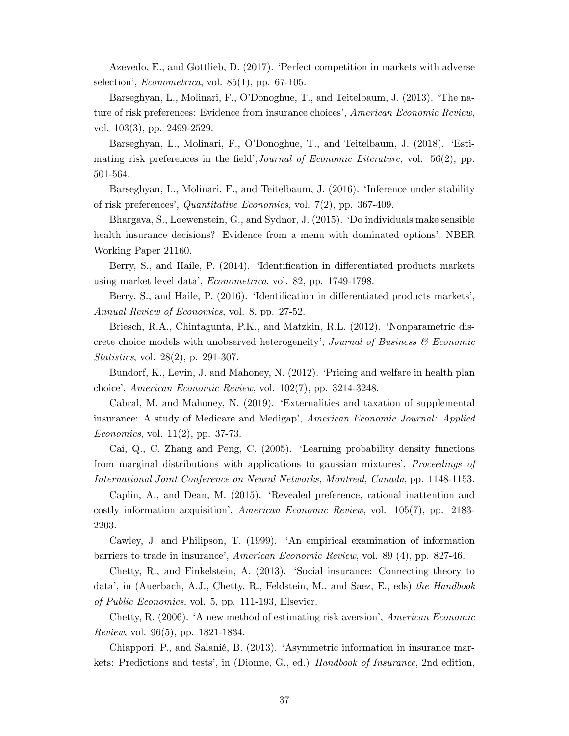Azevedo, E., and Gottlieb, D. (2017). ëPerfect competition in markets with adverse selection', *Econometrica*, vol.  $85(1)$ , pp. 67-105.

Barseghyan, L., Molinari, F., O'Donoghue, T., and Teitelbaum, J. (2013). 'The nature of risk preferences: Evidence from insurance choices', American Economic Review, vol. 103(3), pp. 2499-2529.

Barseghyan, L., Molinari, F., O'Donoghue, T., and Teitelbaum, J. (2018). 'Estimating risk preferences in the field', Journal of Economic Literature, vol.  $56(2)$ , pp. 501-564.

Barseghyan, L., Molinari, F., and Teitelbaum, J. (2016). 'Inference under stability of risk preferencesí, Quantitative Economics, vol. 7(2), pp. 367-409.

Bhargava, S., Loewenstein, G., and Sydnor, J. (2015). ëDo individuals make sensible health insurance decisions? Evidence from a menu with dominated options', NBER Working Paper 21160.

Berry, S., and Haile, P. (2014). 'Identification in differentiated products markets using market level data', *Econometrica*, vol. 82, pp. 1749-1798.

Berry, S., and Haile, P. (2016). 'Identification in differentiated products markets', Annual Review of Economics, vol. 8, pp. 27-52.

Briesch, R.A., Chintagunta, P.K., and Matzkin, R.L. (2012). 'Nonparametric discrete choice models with unobserved heterogeneity', Journal of Business  $\mathcal C$  Economic Statistics, vol. 28(2), p. 291-307.

Bundorf, K., Levin, J. and Mahoney, N. (2012). ëPricing and welfare in health plan choice', American Economic Review, vol.  $102(7)$ , pp. 3214-3248.

Cabral, M. and Mahoney, N. (2019). ëExternalities and taxation of supplemental insurance: A study of Medicare and Medigap', American Economic Journal: Applied Economics, vol. 11(2), pp. 37-73.

Cai, Q., C. Zhang and Peng, C. (2005). ëLearning probability density functions from marginal distributions with applications to gaussian mixtures', *Proceedings of* International Joint Conference on Neural Networks, Montreal, Canada, pp. 1148-1153.

Caplin, A., and Dean, M. (2015). ëRevealed preference, rational inattention and costly information acquisition<sup>'</sup>, American Economic Review, vol.  $105(7)$ , pp. 2183-2203.

Cawley, J. and Philipson, T. (1999). ëAn empirical examination of information barriers to trade in insurance', American Economic Review, vol. 89 (4), pp. 827-46.

Chetty, R., and Finkelstein, A. (2013). Social insurance: Connecting theory to data', in (Auerbach, A.J., Chetty, R., Feldstein, M., and Saez, E., eds) the Handbook of Public Economics, vol. 5, pp. 111-193, Elsevier.

Chetty, R. (2006). 'A new method of estimating risk aversion', American Economic Review, vol. 96(5), pp. 1821-1834.

Chiappori, P., and Salanié, B. (2013). 'Asymmetric information in insurance markets: Predictions and tests', in (Dionne, G., ed.) Handbook of Insurance, 2nd edition,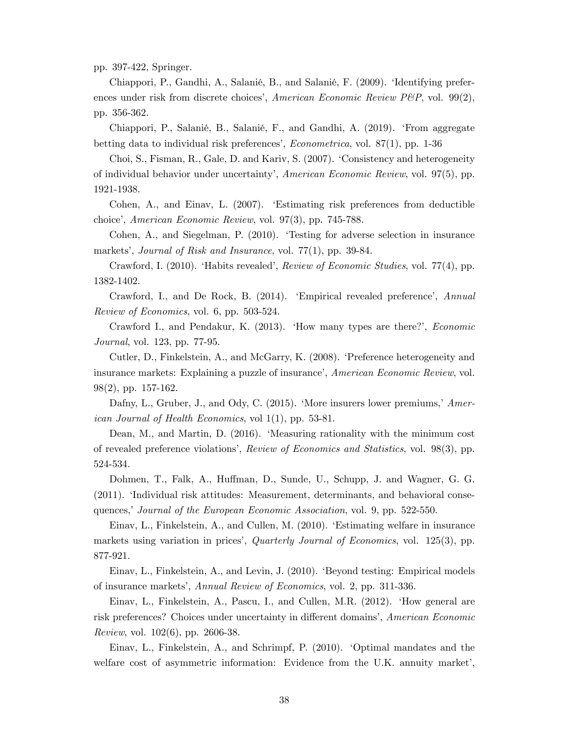pp. 397-422, Springer.

Chiappori, P., Gandhi, A., Salanié, B., and Salanié, F. (2009). 'Identifying preferences under risk from discrete choices', American Economic Review  $P\&P$ , vol. 99(2), pp. 356-362.

Chiappori, P., Salanié, B., Salanié, F., and Gandhi, A. (2019). 'From aggregate betting data to individual risk preferences',  $Econometrica$ , vol. 87(1), pp. 1-36

Choi, S., Fisman, R., Gale, D. and Kariv, S. (2007). 'Consistency and heterogeneity of individual behavior under uncertaintyí, American Economic Review, vol. 97(5), pp. 1921-1938.

Cohen, A., and Einav, L. (2007). ëEstimating risk preferences from deductible choiceí, American Economic Review, vol. 97(3), pp. 745-788.

Cohen, A., and Siegelman, P. (2010). ëTesting for adverse selection in insurance markets', Journal of Risk and Insurance, vol. 77(1), pp. 39-84.

Crawford, I. (2010). 'Habits revealed', *Review of Economic Studies*, vol. 77(4), pp. 1382-1402.

Crawford, I., and De Rock, B. (2014). 'Empirical revealed preference', Annual Review of Economics, vol. 6, pp. 503-524.

Crawford I., and Pendakur, K. (2013). 'How many types are there?', *Economic* Journal, vol. 123, pp. 77-95.

Cutler, D., Finkelstein, A., and McGarry, K. (2008). ëPreference heterogeneity and insurance markets: Explaining a puzzle of insurance', American Economic Review, vol. 98(2), pp. 157-162.

Dafny, L., Gruber, J., and Ody, C. (2015). 'More insurers lower premiums,' American Journal of Health Economics, vol 1(1), pp. 53-81.

Dean, M., and Martin, D. (2016). 'Measuring rationality with the minimum cost of revealed preference violations', Review of Economics and Statistics, vol. 98(3), pp. 524-534.

Dohmen, T., Falk, A., Huffman, D., Sunde, U., Schupp, J. and Wagner, G. G. (2011). ëIndividual risk attitudes: Measurement, determinants, and behavioral consequences,' Journal of the European Economic Association, vol. 9, pp. 522-550.

Einav, L., Finkelstein, A., and Cullen, M. (2010). ëEstimating welfare in insurance markets using variation in prices', Quarterly Journal of Economics, vol. 125(3), pp. 877-921.

Einav, L., Finkelstein, A., and Levin, J. (2010). ëBeyond testing: Empirical models of insurance marketsí, Annual Review of Economics, vol. 2, pp. 311-336.

Einav, L., Finkelstein, A., Pascu, I., and Cullen, M.R. (2012). ëHow general are risk preferences? Choices under uncertainty in different domains', American Economic Review, vol. 102(6), pp. 2606-38.

Einav, L., Finkelstein, A., and Schrimpf, P. (2010). ëOptimal mandates and the welfare cost of asymmetric information: Evidence from the U.K. annuity market',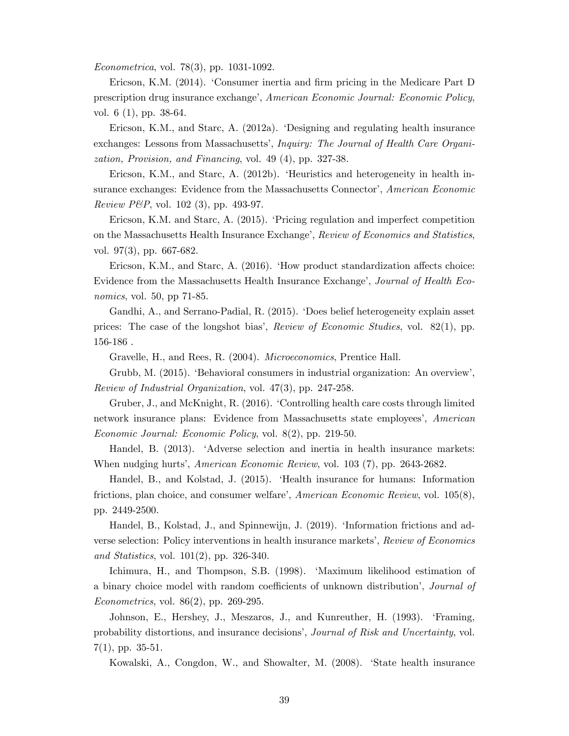Econometrica, vol. 78(3), pp. 1031-1092.

Ericson, K.M. (2014). 'Consumer inertia and firm pricing in the Medicare Part D prescription drug insurance exchangeí, American Economic Journal: Economic Policy, vol. 6 (1), pp. 38-64.

Ericson, K.M., and Starc, A. (2012a). ëDesigning and regulating health insurance exchanges: Lessons from Massachusetts', *Inquiry: The Journal of Health Care Organi*zation, Provision, and Financing, vol. 49 (4), pp. 327-38.

Ericson, K.M., and Starc, A. (2012b). 'Heuristics and heterogeneity in health insurance exchanges: Evidence from the Massachusetts Connector', American Economic Review P&P, vol. 102 (3), pp. 493-97.

Ericson, K.M. and Starc, A. (2015). ëPricing regulation and imperfect competition on the Massachusetts Health Insurance Exchange', Review of Economics and Statistics, vol. 97(3), pp. 667-682.

Ericson, K.M., and Starc, A.  $(2016)$ . 'How product standardization affects choice: Evidence from the Massachusetts Health Insurance Exchange', Journal of Health Economics, vol. 50, pp 71-85.

Gandhi, A., and Serrano-Padial, R. (2015). 'Does belief heterogeneity explain asset prices: The case of the longshot biasí, Review of Economic Studies, vol. 82(1), pp. 156-186 .

Gravelle, H., and Rees, R. (2004). Microeconomics, Prentice Hall.

Grubb, M. (2015). 'Behavioral consumers in industrial organization: An overview', Review of Industrial Organization, vol. 47(3), pp. 247-258.

Gruber, J., and McKnight, R. (2016). ëControlling health care costs through limited network insurance plans: Evidence from Massachusetts state employees', American Economic Journal: Economic Policy, vol. 8(2), pp. 219-50.

Handel, B. (2013). ëAdverse selection and inertia in health insurance markets: When nudging hurts', *American Economic Review*, vol. 103 (7), pp. 2643-2682.

Handel, B., and Kolstad, J. (2015). ëHealth insurance for humans: Information frictions, plan choice, and consumer welfare', American Economic Review, vol.  $105(8)$ , pp. 2449-2500.

Handel, B., Kolstad, J., and Spinnewijn, J. (2019). 'Information frictions and adverse selection: Policy interventions in health insurance markets', Review of Economics and Statistics, vol.  $101(2)$ , pp. 326-340.

Ichimura, H., and Thompson, S.B. (1998). 'Maximum likelihood estimation of a binary choice model with random coefficients of unknown distribution<sup>'</sup>, *Journal of* Econometrics, vol. 86(2), pp. 269-295.

Johnson, E., Hershey, J., Meszaros, J., and Kunreuther, H. (1993). ëFraming, probability distortions, and insurance decisions', *Journal of Risk and Uncertainty*, vol.  $7(1)$ , pp. 35-51.

Kowalski, A., Congdon, W., and Showalter, M. (2008). ëState health insurance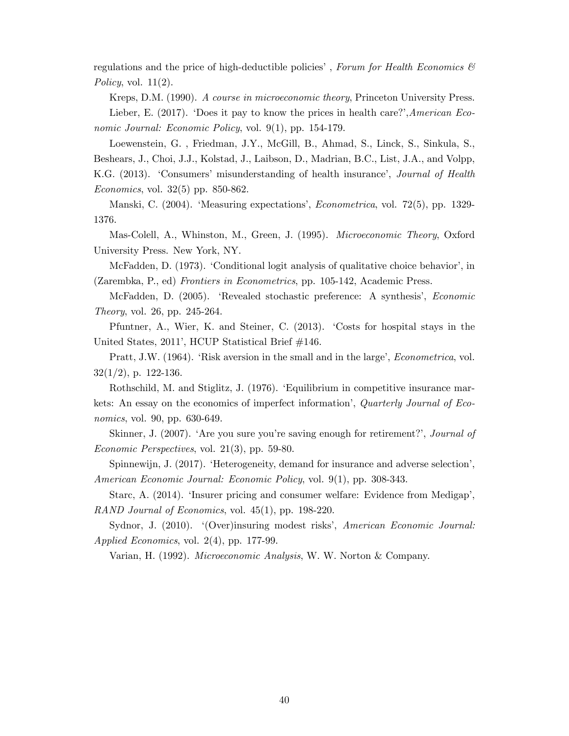regulations and the price of high-deductible policies', Forum for Health Economics  $\mathcal{C}$ Policy, vol.  $11(2)$ .

Kreps, D.M. (1990). A course in microeconomic theory, Princeton University Press. Lieber, E. (2017). 'Does it pay to know the prices in health care?', American Economic Journal: Economic Policy, vol. 9(1), pp. 154-179.

Loewenstein, G. , Friedman, J.Y., McGill, B., Ahmad, S., Linck, S., Sinkula, S., Beshears, J., Choi, J.J., Kolstad, J., Laibson, D., Madrian, B.C., List, J.A., and Volpp, K.G. (2013). 'Consumers' misunderstanding of health insurance', *Journal of Health* Economics, vol. 32(5) pp. 850-862.

Manski, C. (2004). 'Measuring expectations', *Econometrica*, vol. 72(5), pp. 1329-1376.

Mas-Colell, A., Whinston, M., Green, J. (1995). Microeconomic Theory, Oxford University Press. New York, NY.

McFadden, D. (1973). 'Conditional logit analysis of qualitative choice behavior', in (Zarembka, P., ed) Frontiers in Econometrics, pp. 105-142, Academic Press.

McFadden, D. (2005). 'Revealed stochastic preference: A synthesis', *Economic* Theory, vol. 26, pp. 245-264.

Pfuntner, A., Wier, K. and Steiner, C. (2013). ëCosts for hospital stays in the United States, 2011', HCUP Statistical Brief #146.

Pratt, J.W. (1964). 'Risk aversion in the small and in the large', *Econometrica*, vol.  $32(1/2)$ , p. 122-136.

Rothschild, M. and Stiglitz, J. (1976). ëEquilibrium in competitive insurance markets: An essay on the economics of imperfect information<sup>'</sup>, Quarterly Journal of Economics, vol. 90, pp. 630-649.

Skinner, J.  $(2007)$ . 'Are you sure you're saving enough for retirement?', *Journal of* Economic Perspectives, vol. 21(3), pp. 59-80.

Spinnewijn, J. (2017). 'Heterogeneity, demand for insurance and adverse selection', American Economic Journal: Economic Policy, vol. 9(1), pp. 308-343.

Starc, A. (2014). 'Insurer pricing and consumer welfare: Evidence from Medigap', RAND Journal of Economics, vol. 45(1), pp. 198-220.

Sydnor, J. (2010). '(Over)insuring modest risks', American Economic Journal: Applied Economics, vol. 2(4), pp. 177-99.

Varian, H. (1992). Microeconomic Analysis, W. W. Norton & Company.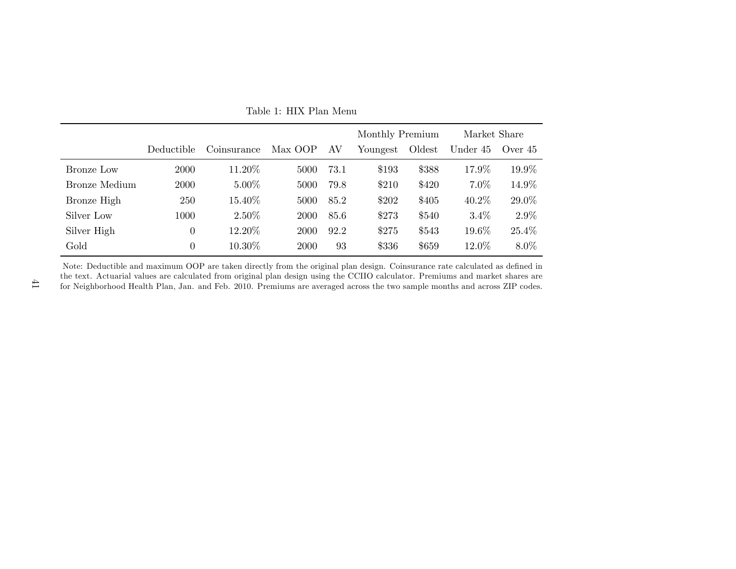|               |                |             |             |      | Monthly Premium |        | Market Share |           |
|---------------|----------------|-------------|-------------|------|-----------------|--------|--------------|-----------|
|               | Deductible     | Coinsurance | Max OOP     | AV   | Youngest        | Oldest | Under 45     | Over $45$ |
| Bronze Low    | 2000           | 11.20%      | 5000        | 73.1 | \$193           | \$388  | 17.9%        | 19.9%     |
| Bronze Medium | 2000           | $5.00\%$    | 5000        | 79.8 | \$210           | \$420  | $7.0\%$      | 14.9%     |
| Bronze High   | 250            | 15.40%      | 5000        | 85.2 | \$202           | \$405  | $40.2\%$     | 29.0%     |
| Silver Low    | 1000           | $2.50\%$    | 2000        | 85.6 | \$273           | \$540  | $3.4\%$      | $2.9\%$   |
| Silver High   | $\overline{0}$ | 12.20%      | 2000        | 92.2 | \$275           | \$543  | 19.6%        | 25.4%     |
| Gold          | $\theta$       | 10.30%      | <b>2000</b> | 93   | \$336           | \$659  | 12.0%        | 8.0%      |

<span id="page-40-0"></span>Table 1: HIX Plan Menu

Note: Deductible and maximum OOP are taken directly from the original plan design. Coinsurance rate calculated as defined in the text. Actuarial values are calculated from original <sup>p</sup>lan design using the CCIIO calculator. Premiums and market shares arefor Neighborhood Health Plan, Jan. and Feb. 2010. Premiums are averaged across the two sample months and across ZIP codes.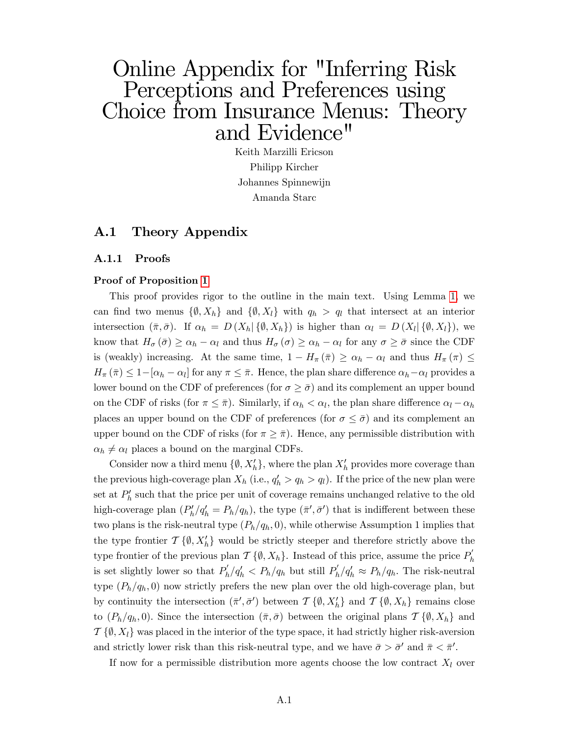# Online Appendix for "Inferring Risk Perceptions and Preferences using Choice from Insurance Menus: Theory and Evidence"

Keith Marzilli Ericson Philipp Kircher Johannes Spinnewijn Amanda Starc

# A.1 Theory Appendix

## A.1.1 Proofs

## Proof of Proposition [1](#page-16-1)

This proof provides rigor to the outline in the main text. Using Lemma [1,](#page-14-1) we can find two menus  $\{\emptyset, X_h\}$  and  $\{\emptyset, X_l\}$  with  $q_h > q_l$  that intersect at an interior intersection  $(\bar{\pi}, \bar{\sigma})$ . If  $\alpha_h = D(X_h | \{\emptyset, X_h\})$  is higher than  $\alpha_l = D(X_l | \{\emptyset, X_l\})$ , we know that  $H_{\sigma}(\bar{\sigma}) \ge \alpha_h - \alpha_l$  and thus  $H_{\sigma}(\sigma) \ge \alpha_h - \alpha_l$  for any  $\sigma \ge \bar{\sigma}$  since the CDF is (weakly) increasing. At the same time,  $1 - H_{\pi}(\bar{\pi}) \ge \alpha_h - \alpha_l$  and thus  $H_{\pi}(\pi) \le$  $H_{\pi}(\bar{\pi}) \leq 1 - [\alpha_h - \alpha_l]$  for any  $\pi \leq \bar{\pi}$ . Hence, the plan share difference  $\alpha_h - \alpha_l$  provides a lower bound on the CDF of preferences (for  $\sigma \geq \bar{\sigma}$ ) and its complement an upper bound on the CDF of risks (for  $\pi \leq \bar{\pi}$ ). Similarly, if  $\alpha_h < \alpha_l$ , the plan share difference  $\alpha_l - \alpha_h$ places an upper bound on the CDF of preferences (for  $\sigma \leq \bar{\sigma}$ ) and its complement an upper bound on the CDF of risks (for  $\pi \geq \overline{\pi}$ ). Hence, any permissible distribution with  $\alpha_h \neq \alpha_l$  places a bound on the marginal CDFs.

Consider now a third menu  $\{\emptyset, X_h'\}$ , where the plan  $X_h'$  provides more coverage than the previous high-coverage plan  $X_h$  (i.e.,  $q'_h > q_h > q_l$ ). If the price of the new plan were set at  $P'_{h}$  such that the price per unit of coverage remains unchanged relative to the old high-coverage plan  $(P'_h/q'_h = P_h/q_h)$ , the type  $(\bar{\pi}', \bar{\sigma}')$  that is indifferent between these two plans is the risk-neutral type  $(P_h/q_h, 0)$ , while otherwise Assumption 1 implies that the type frontier  $\mathcal{T}\{\emptyset, X_h'\}$  would be strictly steeper and therefore strictly above the type frontier of the previous plan  $\mathcal{T}\{\emptyset, X_h\}$ . Instead of this price, assume the price  $P'_h$ is set slightly lower so that  $P'_h/q'_h < P_h/q_h$  but still  $P'_h/q'_h \approx P_h/q_h$ . The risk-neutral type  $(P_h/q_h, 0)$  now strictly prefers the new plan over the old high-coverage plan, but by continuity the intersection  $(\bar{\pi}', \bar{\sigma}')$  between  $\mathcal{T} \{\emptyset, X_h'\}$  and  $\mathcal{T} \{\emptyset, X_h\}$  remains close to  $(P_h/q_h, 0)$ . Since the intersection  $(\bar{\pi}, \bar{\sigma})$  between the original plans  $\mathcal{T} \{\emptyset, X_h\}$  and  $\mathcal{T}\{\emptyset, X_l\}$  was placed in the interior of the type space, it had strictly higher risk-aversion and strictly lower risk than this risk-neutral type, and we have  $\bar{\sigma} > \bar{\sigma}'$  and  $\bar{\pi} < \bar{\pi}'$ .

If now for a permissible distribution more agents choose the low contract  $X_l$  over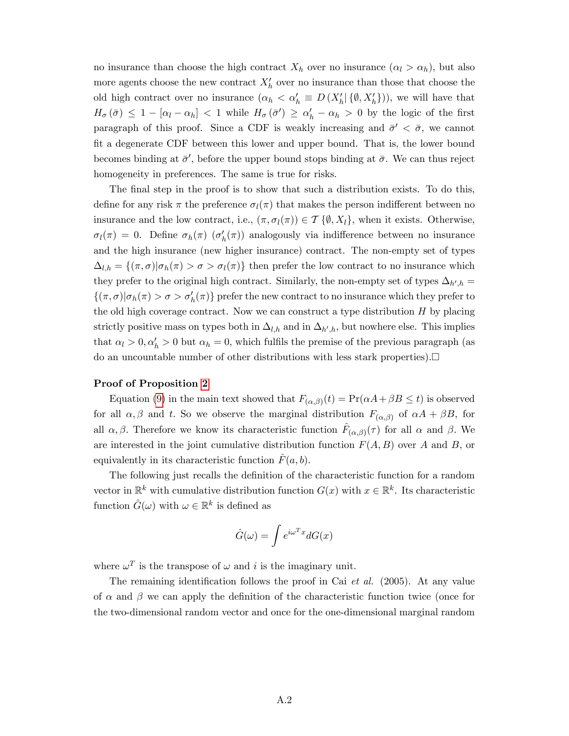no insurance than choose the high contract  $X_h$  over no insurance  $(\alpha_l > \alpha_h)$ , but also more agents choose the new contract  $X'_{h}$  over no insurance than those that choose the old high contract over no insurance  $(\alpha_h < \alpha'_h \equiv D(X'_h | \{\emptyset, X'_h\}))$ , we will have that  $H_{\sigma}(\bar{\sigma}) \leq 1 - [\alpha_l - \alpha_h] < 1$  while  $H_{\sigma}(\bar{\sigma}') \geq \alpha'_h - \alpha_h > 0$  by the logic of the first paragraph of this proof. Since a CDF is weakly increasing and  $\bar{\sigma}' < \bar{\sigma}$ , we cannot Öt a degenerate CDF between this lower and upper bound. That is, the lower bound becomes binding at  $\bar{\sigma}'$ , before the upper bound stops binding at  $\bar{\sigma}$ . We can thus reject homogeneity in preferences. The same is true for risks.

The final step in the proof is to show that such a distribution exists. To do this, define for any risk  $\pi$  the preference  $\sigma_l(\pi)$  that makes the person indifferent between no insurance and the low contract, i.e.,  $(\pi, \sigma_l(\pi)) \in \mathcal{T} \{ \emptyset, X_l \}$ , when it exists. Otherwise,  $\sigma_l(\pi) = 0$ . Define  $\sigma_h(\pi)$  ( $\sigma'_h(\pi)$ ) analogously via indifference between no insurance and the high insurance (new higher insurance) contract. The non-empty set of types  $\Delta_{l,h} = \{(\pi,\sigma)|\sigma_h(\pi) > \sigma > \sigma_l(\pi)\}\$  then prefer the low contract to no insurance which they prefer to the original high contract. Similarly, the non-empty set of types  $\Delta_{h',h} =$  $\{(\pi,\sigma)|\sigma_h(\pi) > \sigma > \sigma'_h(\pi)\}\$ prefer the new contract to no insurance which they prefer to the old high coverage contract. Now we can construct a type distribution  $H$  by placing strictly positive mass on types both in  $\Delta_{l,h}$  and in  $\Delta_{h',h}$ , but nowhere else. This implies that  $\alpha_l > 0, \alpha'_h > 0$  but  $\alpha_h = 0$ , which fulfils the premise of the previous paragraph (as do an uncountable number of other distributions with less stark properties).

## Proof of Proposition [2](#page-19-2)

Equation [\(9\)](#page-19-1) in the main text showed that  $F_{(\alpha,\beta)}(t) = \Pr(\alpha A + \beta B \le t)$  is observed for all  $\alpha, \beta$  and t. So we observe the marginal distribution  $F_{(\alpha,\beta)}$  of  $\alpha A + \beta B$ , for all  $\alpha, \beta$ . Therefore we know its characteristic function  $\hat{F}_{(\alpha,\beta)}(\tau)$  for all  $\alpha$  and  $\beta$ . We are interested in the joint cumulative distribution function  $F(A, B)$  over A and B, or equivalently in its characteristic function  $F(a, b)$ .

The following just recalls the definition of the characteristic function for a random vector in  $\mathbb{R}^k$  with cumulative distribution function  $G(x)$  with  $x \in \mathbb{R}^k$ . Its characteristic function  $\hat{G}(\omega)$  with  $\omega \in \mathbb{R}^k$  is defined as

$$
\hat{G}(\omega) = \int e^{i\omega^T x} dG(x)
$$

where  $\omega^T$  is the transpose of  $\omega$  and i is the imaginary unit.

The remaining identification follows the proof in Cai  $et \ al.$  (2005). At any value of  $\alpha$  and  $\beta$  we can apply the definition of the characteristic function twice (once for the two-dimensional random vector and once for the one-dimensional marginal random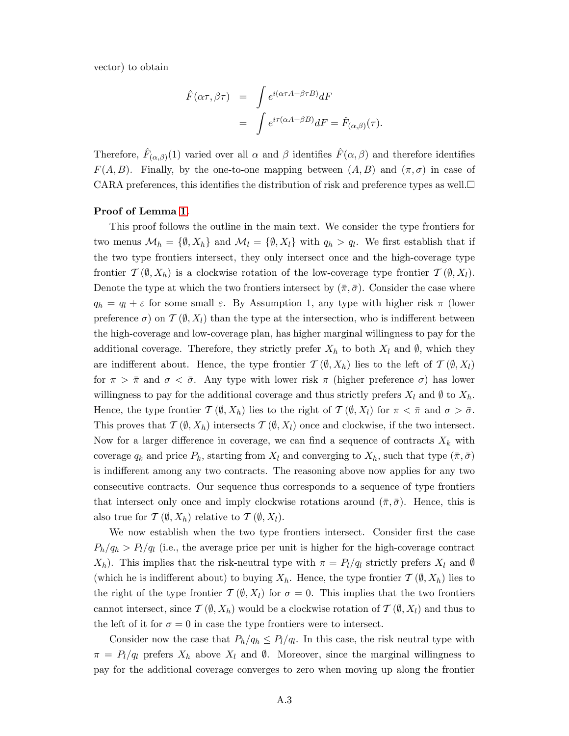vector) to obtain

$$
\hat{F}(\alpha \tau, \beta \tau) = \int e^{i(\alpha \tau A + \beta \tau B)} dF
$$

$$
= \int e^{i\tau(\alpha A + \beta B)} dF = \hat{F}_{(\alpha, \beta)}(\tau).
$$

Therefore,  $\hat{F}_{(\alpha,\beta)}(1)$  varied over all  $\alpha$  and  $\beta$  identifies  $\hat{F}(\alpha,\beta)$  and therefore identifies  $F(A, B)$ . Finally, by the one-to-one mapping between  $(A, B)$  and  $(\pi, \sigma)$  in case of CARA preferences, this identifies the distribution of risk and preference types as well.  $\Box$ 

#### Proof of Lemma [1.](#page-14-1)

This proof follows the outline in the main text. We consider the type frontiers for two menus  $\mathcal{M}_h = \{\emptyset, X_h\}$  and  $\mathcal{M}_l = \{\emptyset, X_l\}$  with  $q_h > q_l$ . We first establish that if the two type frontiers intersect, they only intersect once and the high-coverage type frontier  $\mathcal{T}(\emptyset, X_h)$  is a clockwise rotation of the low-coverage type frontier  $\mathcal{T}(\emptyset, X_l)$ . Denote the type at which the two frontiers intersect by  $(\bar{\pi}, \bar{\sigma})$ . Consider the case where  $q_h = q_l + \varepsilon$  for some small  $\varepsilon$ . By Assumption 1, any type with higher risk  $\pi$  (lower preference  $\sigma$ ) on  $\mathcal{T}(\emptyset, X_l)$  than the type at the intersection, who is indifferent between the high-coverage and low-coverage plan, has higher marginal willingness to pay for the additional coverage. Therefore, they strictly prefer  $X_h$  to both  $X_l$  and  $\emptyset$ , which they are indifferent about. Hence, the type frontier  $\mathcal{T}(\emptyset, X_h)$  lies to the left of  $\mathcal{T}(\emptyset, X_l)$ for  $\pi > \bar{\pi}$  and  $\sigma < \bar{\sigma}$ . Any type with lower risk  $\pi$  (higher preference  $\sigma$ ) has lower willingness to pay for the additional coverage and thus strictly prefers  $X_l$  and  $\emptyset$  to  $X_h$ . Hence, the type frontier  $\mathcal{T}(\emptyset, X_h)$  lies to the right of  $\mathcal{T}(\emptyset, X_l)$  for  $\pi < \bar{\pi}$  and  $\sigma > \bar{\sigma}$ . This proves that  $\mathcal{T}(\emptyset, X_h)$  intersects  $\mathcal{T}(\emptyset, X_l)$  once and clockwise, if the two intersect. Now for a larger difference in coverage, we can find a sequence of contracts  $X_k$  with coverage  $q_k$  and price  $P_k$ , starting from  $X_l$  and converging to  $X_h$ , such that type  $(\bar{\pi}, \bar{\sigma})$ is indifferent among any two contracts. The reasoning above now applies for any two consecutive contracts. Our sequence thus corresponds to a sequence of type frontiers that intersect only once and imply clockwise rotations around  $(\bar{\pi}, \bar{\sigma})$ . Hence, this is also true for  $\mathcal{T}(\emptyset, X_h)$  relative to  $\mathcal{T}(\emptyset, X_l)$ .

We now establish when the two type frontiers intersect. Consider first the case  $P_h/q_h > P_l/q_l$  (i.e., the average price per unit is higher for the high-coverage contract  $X_h$ ). This implies that the risk-neutral type with  $\pi = P_l/q_l$  strictly prefers  $X_l$  and  $\emptyset$ (which he is indifferent about) to buying  $X_h$ . Hence, the type frontier  $\mathcal{T}(\emptyset, X_h)$  lies to the right of the type frontier  $\mathcal{T}(\emptyset, X_l)$  for  $\sigma = 0$ . This implies that the two frontiers cannot intersect, since  $\mathcal{T}(\emptyset, X_h)$  would be a clockwise rotation of  $\mathcal{T}(\emptyset, X_l)$  and thus to the left of it for  $\sigma = 0$  in case the type frontiers were to intersect.

Consider now the case that  $P_h/q_h \leq P_l/q_l$ . In this case, the risk neutral type with  $\pi = P_l/q_l$  prefers  $X_h$  above  $X_l$  and  $\emptyset$ . Moreover, since the marginal willingness to pay for the additional coverage converges to zero when moving up along the frontier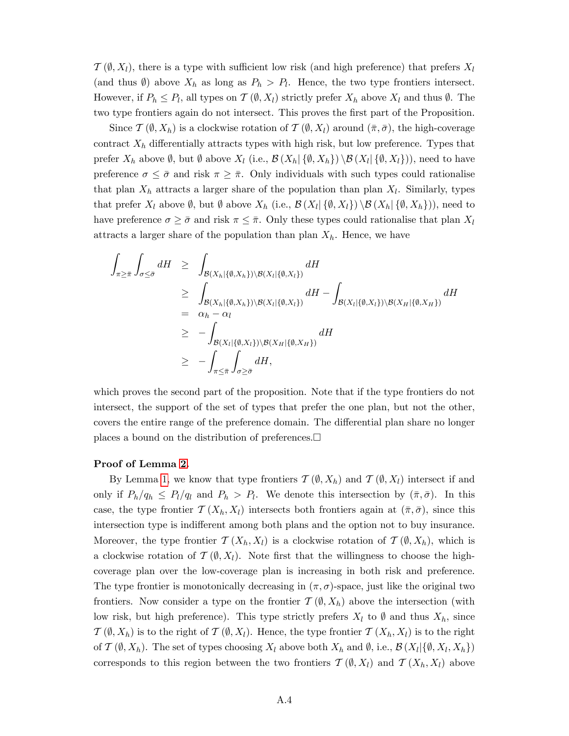$\mathcal{T}(\emptyset, X_l)$ , there is a type with sufficient low risk (and high preference) that prefers  $X_l$ (and thus  $\emptyset$ ) above  $X_h$  as long as  $P_h > P_l$ . Hence, the two type frontiers intersect. However, if  $P_h \leq P_l$ , all types on  $\mathcal{T}(\emptyset, X_l)$  strictly prefer  $X_h$  above  $X_l$  and thus  $\emptyset$ . The two type frontiers again do not intersect. This proves the first part of the Proposition.

Since  $\mathcal{T}(\emptyset, X_h)$  is a clockwise rotation of  $\mathcal{T}(\emptyset, X_l)$  around  $(\bar{\pi}, \bar{\sigma})$ , the high-coverage contract  $X_h$  differentially attracts types with high risk, but low preference. Types that prefer  $X_h$  above  $\emptyset$ , but  $\emptyset$  above  $X_l$  (i.e.,  $\mathcal{B}(X_h | \{\emptyset, X_h\}) \setminus \mathcal{B}(X_l | \{\emptyset, X_l\})$ ), need to have preference  $\sigma \leq \bar{\sigma}$  and risk  $\pi \geq \bar{\pi}$ . Only individuals with such types could rationalise that plan  $X_h$  attracts a larger share of the population than plan  $X_l$ . Similarly, types that prefer  $X_l$  above  $\emptyset$ , but  $\emptyset$  above  $X_h$  (i.e.,  $\mathcal{B}(X_l|\{\emptyset, X_l\})\setminus \mathcal{B}(X_h|\{\emptyset, X_h\})$ ), need to have preference  $\sigma \geq \bar{\sigma}$  and risk  $\pi \leq \bar{\pi}$ . Only these types could rationalise that plan  $X_l$ attracts a larger share of the population than plan  $X_h$ . Hence, we have

$$
\int_{\pi \geq \bar{\pi}} \int_{\sigma \leq \bar{\sigma}} dH \geq \int_{\mathcal{B}(X_h|\{\emptyset, X_h\}) \setminus \mathcal{B}(X_l|\{\emptyset, X_l\})} dH
$$
\n
$$
\geq \int_{\mathcal{B}(X_h|\{\emptyset, X_h\}) \setminus \mathcal{B}(X_l|\{\emptyset, X_l\})} dH - \int_{\mathcal{B}(X_l|\{\emptyset, X_l\}) \setminus \mathcal{B}(X_H|\{\emptyset, X_H\})} dH
$$
\n
$$
= \alpha_h - \alpha_l
$$
\n
$$
\geq - \int_{\mathcal{B}(X_l|\{\emptyset, X_l\}) \setminus \mathcal{B}(X_H|\{\emptyset, X_H\})} dH
$$
\n
$$
\geq - \int_{\pi \leq \bar{\pi}} \int_{\sigma \geq \bar{\sigma}} dH,
$$

which proves the second part of the proposition. Note that if the type frontiers do not intersect, the support of the set of types that prefer the one plan, but not the other, covers the entire range of the preference domain. The differential plan share no longer places a bound on the distribution of preferences.  $\square$ 

#### Proof of Lemma [2.](#page-25-1)

By Lemma [1,](#page-14-1) we know that type frontiers  $\mathcal{T}(\emptyset, X_h)$  and  $\mathcal{T}(\emptyset, X_l)$  intersect if and only if  $P_h/q_h \leq P_l/q_l$  and  $P_h > P_l$ . We denote this intersection by  $(\bar{\pi}, \bar{\sigma})$ . In this case, the type frontier  $\mathcal{T}(X_h, X_l)$  intersects both frontiers again at  $(\bar{\pi}, \bar{\sigma})$ , since this intersection type is indifferent among both plans and the option not to buy insurance. Moreover, the type frontier  $\mathcal{T}(X_h, X_l)$  is a clockwise rotation of  $\mathcal{T}(\emptyset, X_h)$ , which is a clockwise rotation of  $\mathcal{T}(\emptyset, X_l)$ . Note first that the willingness to choose the highcoverage plan over the low-coverage plan is increasing in both risk and preference. The type frontier is monotonically decreasing in  $(\pi, \sigma)$ -space, just like the original two frontiers. Now consider a type on the frontier  $\mathcal{T}(\emptyset, X_h)$  above the intersection (with low risk, but high preference). This type strictly prefers  $X_l$  to  $\emptyset$  and thus  $X_h$ , since  $\mathcal{T}(\emptyset, X_h)$  is to the right of  $\mathcal{T}(\emptyset, X_l)$ . Hence, the type frontier  $\mathcal{T}(X_h, X_l)$  is to the right of  $\mathcal{T}(\emptyset, X_h)$ . The set of types choosing  $X_l$  above both  $X_h$  and  $\emptyset$ , i.e.,  $\mathcal{B}(X_l|\{\emptyset, X_l, X_h\})$ corresponds to this region between the two frontiers  $\mathcal{T}(\emptyset, X_l)$  and  $\mathcal{T}(X_h, X_l)$  above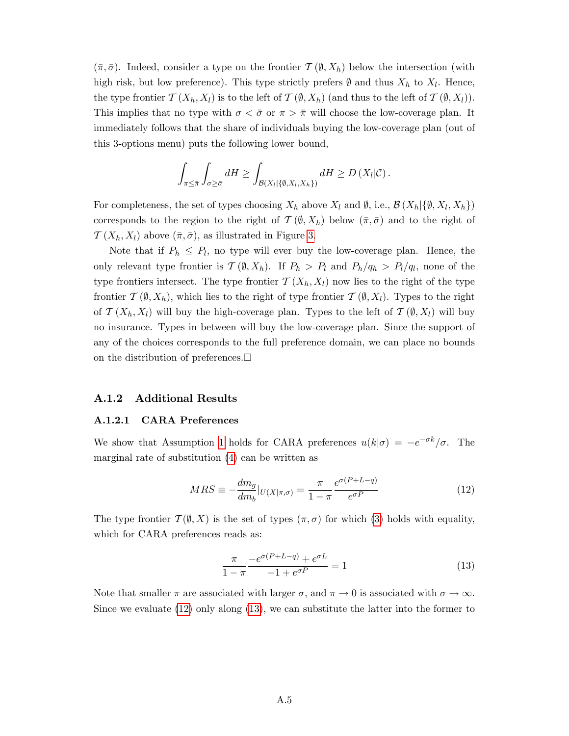$(\bar{\pi}, \bar{\sigma})$ . Indeed, consider a type on the frontier  $\mathcal{T}(\emptyset, X_h)$  below the intersection (with high risk, but low preference). This type strictly prefers  $\emptyset$  and thus  $X_h$  to  $X_l$ . Hence, the type frontier  $\mathcal{T}(X_h, X_l)$  is to the left of  $\mathcal{T}(\emptyset, X_h)$  (and thus to the left of  $\mathcal{T}(\emptyset, X_l)$ ). This implies that no type with  $\sigma < \bar{\sigma}$  or  $\pi > \bar{\pi}$  will choose the low-coverage plan. It immediately follows that the share of individuals buying the low-coverage plan (out of this 3-options menu) puts the following lower bound,

$$
\int_{\pi \leq \bar{\pi}} \int_{\sigma \geq \bar{\sigma}} dH \geq \int_{\mathcal{B}(X_l | \{\emptyset, X_l, X_h\})} dH \geq D(X_l | \mathcal{C}) .
$$

For completeness, the set of types choosing  $X_h$  above  $X_l$  and  $\emptyset$ , i.e.,  $\mathcal{B}(X_h | \{\emptyset, X_l, X_h\})$ corresponds to the region to the right of  $\mathcal{T}(\emptyset, X_h)$  below  $(\bar{\pi}, \bar{\sigma})$  and to the right of  $\mathcal{T}(X_h, X_l)$  above  $(\bar{\pi}, \bar{\sigma})$ , as illustrated in Figure [3.](#page-25-0)

Note that if  $P_h \leq P_l$ , no type will ever buy the low-coverage plan. Hence, the only relevant type frontier is  $\mathcal{T}(\emptyset, X_h)$ . If  $P_h > P_l$  and  $P_h/q_h > P_l/q_l$ , none of the type frontiers intersect. The type frontier  $\mathcal{T}(X_h, X_l)$  now lies to the right of the type frontier  $\mathcal{T}(\emptyset, X_h)$ , which lies to the right of type frontier  $\mathcal{T}(\emptyset, X_l)$ . Types to the right of  $\mathcal{T}(X_h, X_l)$  will buy the high-coverage plan. Types to the left of  $\mathcal{T}(\emptyset, X_l)$  will buy no insurance. Types in between will buy the low-coverage plan. Since the support of any of the choices corresponds to the full preference domain, we can place no bounds on the distribution of preferences.  $\Box$ 

#### A.1.2 Additional Results

#### <span id="page-45-0"></span>A.1.2.1 CARA Preferences

We show that Assumption [1](#page-10-1) holds for CARA preferences  $u(k|\sigma) = -e^{-\sigma k}/\sigma$ . The marginal rate of substitution [\(4\)](#page-11-1) can be written as

<span id="page-45-1"></span>
$$
MRS \equiv -\frac{dm_g}{dm_b}|_{U(X|\pi,\sigma)} = \frac{\pi}{1-\pi} \frac{e^{\sigma(P+L-q)}}{e^{\sigma P}}
$$
(12)

The type frontier  $\mathcal{T}(\emptyset, X)$  is the set of types  $(\pi, \sigma)$  for which [\(3\)](#page-10-2) holds with equality, which for CARA preferences reads as:

<span id="page-45-2"></span>
$$
\frac{\pi}{1-\pi} \frac{-e^{\sigma(P+L-q)} + e^{\sigma L}}{-1 + e^{\sigma P}} = 1
$$
\n(13)

Note that smaller  $\pi$  are associated with larger  $\sigma$ , and  $\pi \to 0$  is associated with  $\sigma \to \infty$ . Since we evaluate [\(12\)](#page-45-1) only along [\(13\)](#page-45-2), we can substitute the latter into the former to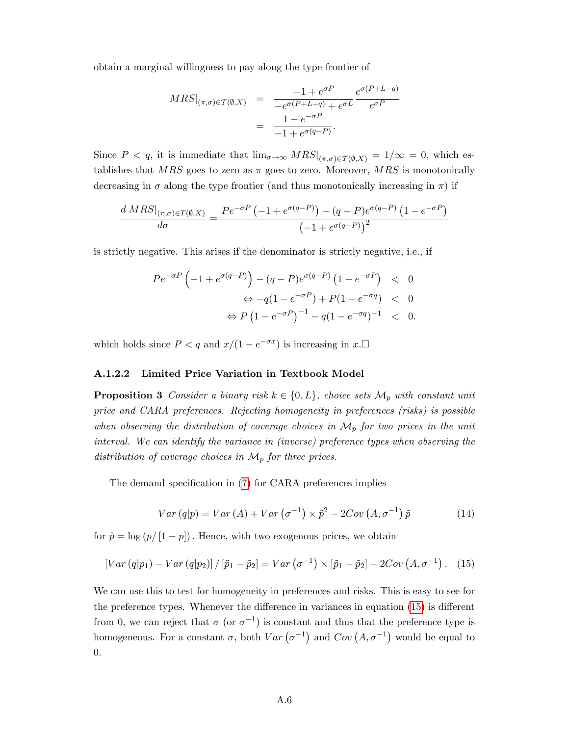obtain a marginal willingness to pay along the type frontier of

$$
MRS|_{(\pi,\sigma)\in\mathcal{T}(\emptyset,X)} = \frac{-1 + e^{\sigma P}}{-e^{\sigma(P+L-q)} + e^{\sigma L}} \frac{e^{\sigma(P+L-q)}}{e^{\sigma P}}
$$

$$
= \frac{1 - e^{-\sigma P}}{-1 + e^{\sigma(q-P)}}.
$$

Since  $P < q$ , it is immediate that  $\lim_{\sigma \to \infty} MRS|_{(\pi,\sigma) \in \mathcal{T}(\emptyset,X)} = 1/\infty = 0$ , which establishes that MRS goes to zero as  $\pi$  goes to zero. Moreover, MRS is monotonically decreasing in  $\sigma$  along the type frontier (and thus monotonically increasing in  $\pi$ ) if

$$
\frac{d\left.MRS\right|_{(\pi,\sigma)\in T(\emptyset,X)}}{d\sigma} = \frac{Pe^{-\sigma P}\left(-1 + e^{\sigma(q-P)}\right) - (q-P)e^{\sigma(q-P)}\left(1 - e^{-\sigma P}\right)}{\left(-1 + e^{\sigma(q-P)}\right)^2}
$$

is strictly negative. This arises if the denominator is strictly negative, i.e., if

$$
Pe^{-\sigma P} \left(-1 + e^{\sigma(q-P)}\right) - (q-P)e^{\sigma(q-P)} \left(1 - e^{-\sigma P}\right) < 0
$$
\n
$$
\Leftrightarrow -q(1 - e^{-\sigma P}) + P(1 - e^{-\sigma q}) < 0
$$
\n
$$
\Leftrightarrow P \left(1 - e^{-\sigma P}\right)^{-1} - q(1 - e^{-\sigma q})^{-1} < 0.
$$

which holds since  $P < q$  and  $x/(1 - e^{-\sigma x})$  is increasing in  $x.\Box$ 

## <span id="page-46-0"></span>A.1.2.2 Limited Price Variation in Textbook Model

**Proposition 3** Consider a binary risk  $k \in \{0, L\}$ , choice sets  $\mathcal{M}_p$  with constant unit price and CARA preferences. Rejecting homogeneity in preferences (risks) is possible when observing the distribution of coverage choices in  $\mathcal{M}_p$  for two prices in the unit interval. We can identify the variance in (inverse) preference types when observing the distribution of coverage choices in  $\mathcal{M}_p$  for three prices.

The demand specification in [\(7\)](#page-18-1) for CARA preferences implies

<span id="page-46-2"></span>
$$
Var (q|p) = Var (A) + Var (\sigma^{-1}) \times \tilde{p}^{2} - 2Cov (A, \sigma^{-1}) \tilde{p}
$$
 (14)

for  $\tilde{p} = \log (p/[1 - p])$ . Hence, with two exogenous prices, we obtain

<span id="page-46-1"></span>
$$
\left[Var\left(q|p_1\right) - Var\left(q|p_2\right)\right] / \left[\tilde{p}_1 - \tilde{p}_2\right] = Var\left(\sigma^{-1}\right) \times \left[\tilde{p}_1 + \tilde{p}_2\right] - 2Cov\left(A, \sigma^{-1}\right). \tag{15}
$$

We can use this to test for homogeneity in preferences and risks. This is easy to see for the preference types. Whenever the difference in variances in equation  $(15)$  is different from 0, we can reject that  $\sigma$  (or  $\sigma^{-1}$ ) is constant and thus that the preference type is homogeneous. For a constant  $\sigma$ , both  $Var(\sigma^{-1})$  and  $Cov(A, \sigma^{-1})$  would be equal to 0.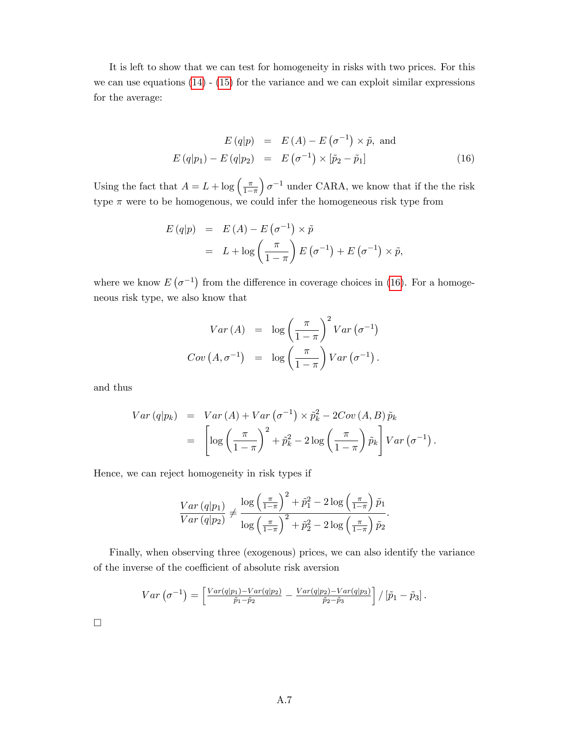It is left to show that we can test for homogeneity in risks with two prices. For this we can use equations  $(14)$  -  $(15)$  for the variance and we can exploit similar expressions for the average:

<span id="page-47-0"></span>
$$
E(q|p) = E(A) - E(\sigma^{-1}) \times \tilde{p}, \text{ and}
$$
  

$$
E(q|p_1) - E(q|p_2) = E(\sigma^{-1}) \times [\tilde{p}_2 - \tilde{p}_1]
$$
 (16)

Using the fact that  $A = L + \log \left( \frac{\pi}{1 - \epsilon} \right)$  $1-\pi$  $\int \sigma^{-1}$  under CARA, we know that if the the risk type  $\pi$  were to be homogenous, we could infer the homogeneous risk type from

$$
E(q|p) = E(A) - E(\sigma^{-1}) \times \tilde{p}
$$
  
=  $L + \log \left(\frac{\pi}{1-\pi}\right) E(\sigma^{-1}) + E(\sigma^{-1}) \times \tilde{p},$ 

where we know  $E(\sigma^{-1})$  from the difference in coverage choices in [\(16\)](#page-47-0). For a homogeneous risk type, we also know that

$$
Var(A) = \log \left(\frac{\pi}{1-\pi}\right)^2 Var(\sigma^{-1})
$$

$$
Cov(A, \sigma^{-1}) = \log \left(\frac{\pi}{1-\pi}\right) Var(\sigma^{-1}).
$$

and thus

$$
Var (q|p_k) = Var (A) + Var (\sigma^{-1}) \times \tilde{p}_k^2 - 2Cov (A, B) \tilde{p}_k
$$
  
= 
$$
\left[ \log \left( \frac{\pi}{1-\pi} \right)^2 + \tilde{p}_k^2 - 2 \log \left( \frac{\pi}{1-\pi} \right) \tilde{p}_k \right] Var (\sigma^{-1}).
$$

Hence, we can reject homogeneity in risk types if

$$
\frac{Var\left(q|p_1\right)}{Var\left(q|p_2\right)} \neq \frac{\log\left(\frac{\pi}{1-\pi}\right)^2 + \tilde{p}_1^2 - 2\log\left(\frac{\pi}{1-\pi}\right)\tilde{p}_1}{\log\left(\frac{\pi}{1-\pi}\right)^2 + \tilde{p}_2^2 - 2\log\left(\frac{\pi}{1-\pi}\right)\tilde{p}_2}.
$$

Finally, when observing three (exogenous) prices, we can also identify the variance of the inverse of the coefficient of absolute risk aversion

$$
Var\left(\sigma^{-1}\right) = \left[\frac{Var(q|p_1) - Var(q|p_2)}{\tilde{p}_1 - \tilde{p}_2} - \frac{Var(q|p_2) - Var(q|p_3)}{\tilde{p}_2 - \tilde{p}_3}\right] / \left[\tilde{p}_1 - \tilde{p}_3\right].
$$

 $\Box$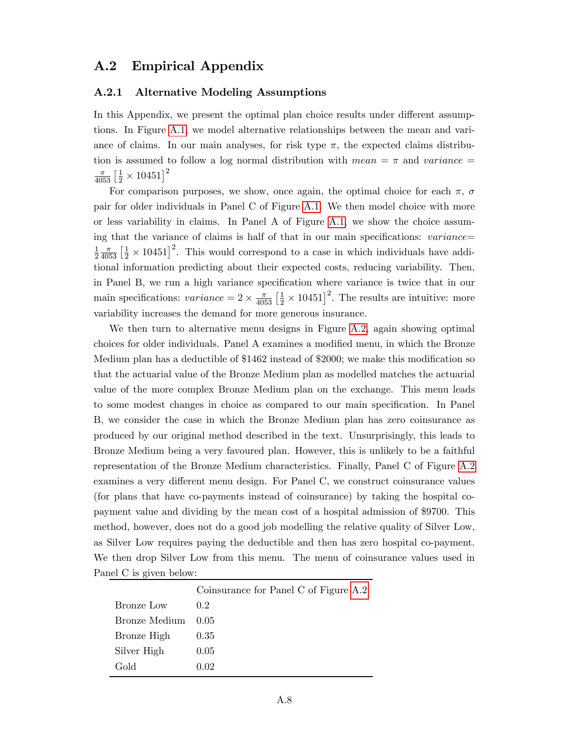# A.2 Empirical Appendix

## A.2.1 Alternative Modeling Assumptions

In this Appendix, we present the optimal plan choice results under different assumptions. In Figure [A.1,](#page-13-0) we model alternative relationships between the mean and variance of claims. In our main analyses, for risk type  $\pi$ , the expected claims distribution is assumed to follow a log normal distribution with mean  $=\pi$  and variance  $=$  $\frac{\pi}{4053}\left[\frac{1}{2}\times10451\right]^2$ 

For comparison purposes, we show, once again, the optimal choice for each  $\pi$ ,  $\sigma$ pair for older individuals in Panel C of Figure [A.1.](#page-13-0) We then model choice with more or less variability in claims. In Panel A of Figure [A.1,](#page-13-0) we show the choice assuming that the variance of claims is half of that in our main specifications:  $variance=$ 1 2  $\frac{\pi}{4053}$   $\left[\frac{1}{2} \times 10451\right]^2$ . This would correspond to a case in which individuals have additional information predicting about their expected costs, reducing variability. Then, in Panel B, we run a high variance specification where variance is twice that in our main specifications:  $variance = 2 \times \frac{\pi}{4053} \left[\frac{1}{2} \times 10451\right]^2$ . The results are intuitive: more variability increases the demand for more generous insurance.

We then turn to alternative menu designs in Figure [A.2,](#page-14-0) again showing optimal choices for older individuals. Panel A examines a modified menu, in which the Bronze Medium plan has a deductible of  $$1462$  instead of  $$2000$ ; we make this modification so that the actuarial value of the Bronze Medium plan as modelled matches the actuarial value of the more complex Bronze Medium plan on the exchange. This menu leads to some modest changes in choice as compared to our main specification. In Panel B, we consider the case in which the Bronze Medium plan has zero coinsurance as produced by our original method described in the text. Unsurprisingly, this leads to Bronze Medium being a very favoured plan. However, this is unlikely to be a faithful representation of the Bronze Medium characteristics. Finally, Panel C of Figure [A.2](#page-14-0) examines a very different menu design. For Panel C, we construct coinsurance values (for plans that have co-payments instead of coinsurance) by taking the hospital copayment value and dividing by the mean cost of a hospital admission of \$9700. This method, however, does not do a good job modelling the relative quality of Silver Low, as Silver Low requires paying the deductible and then has zero hospital co-payment. We then drop Silver Low from this menu. The menu of coinsurance values used in Panel C is given below:

|               | Coinsurance for Panel C of Figure A.2 |
|---------------|---------------------------------------|
| Bronze Low    | $0.2^{\circ}$                         |
| Bronze Medium | 0.05                                  |
| Bronze High   | 0.35                                  |
| Silver High   | 0.05                                  |
| Gold          | 0.02                                  |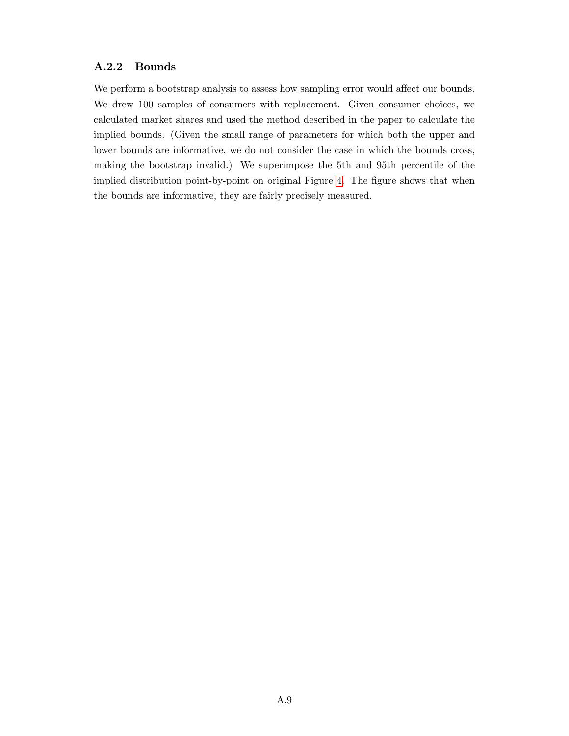# A.2.2 Bounds

We perform a bootstrap analysis to assess how sampling error would affect our bounds. We drew 100 samples of consumers with replacement. Given consumer choices, we calculated market shares and used the method described in the paper to calculate the implied bounds. (Given the small range of parameters for which both the upper and lower bounds are informative, we do not consider the case in which the bounds cross, making the bootstrap invalid.) We superimpose the 5th and 95th percentile of the implied distribution point-by-point on original Figure [4.](#page-33-0) The figure shows that when the bounds are informative, they are fairly precisely measured.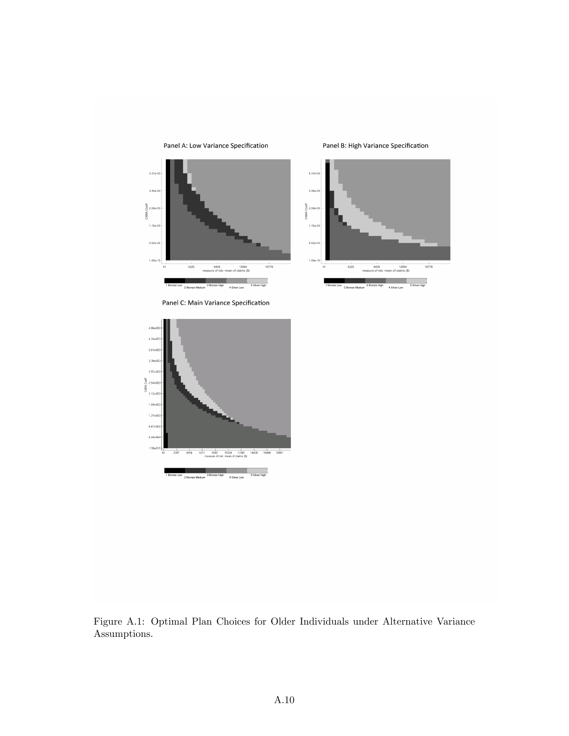

Panel A: Low Variance Specification

Panel B: High Variance Specification





Figure A.1: Optimal Plan Choices for Older Individuals under Alternative Variance Assumptions.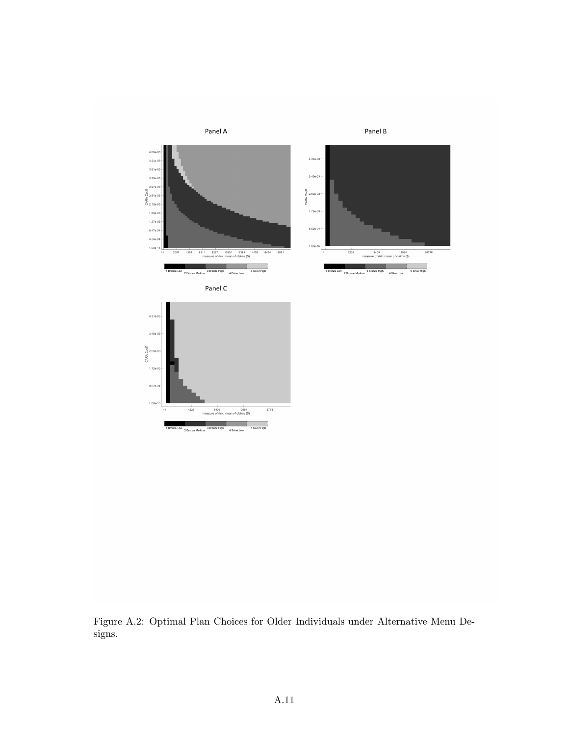

 $1.00<sub>i</sub>$ 

 $rac{1}{4225}$ 

2 Bronze

Figure A.2: Optimal Plan Choices for Older Individuals under Alternative Menu Designs.

 $\frac{1}{16778}$ 

8409<br>
8409 12594<br>
re of risk: mean of claims (\$) 3<br>Bronze High 4 Silver Low 4 Silver Low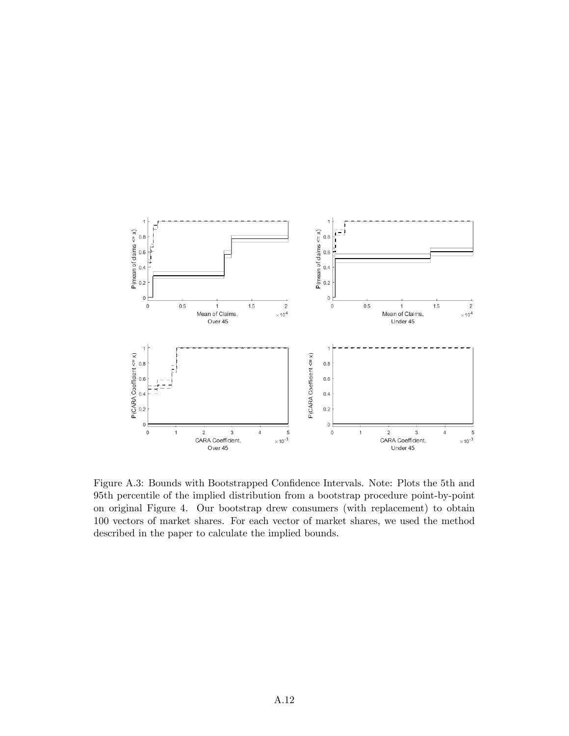

Figure A.3: Bounds with Bootstrapped Confidence Intervals. Note: Plots the 5th and 95th percentile of the implied distribution from a bootstrap procedure point-by-point on original Figure 4. Our bootstrap drew consumers (with replacement) to obtain 100 vectors of market shares. For each vector of market shares, we used the method described in the paper to calculate the implied bounds.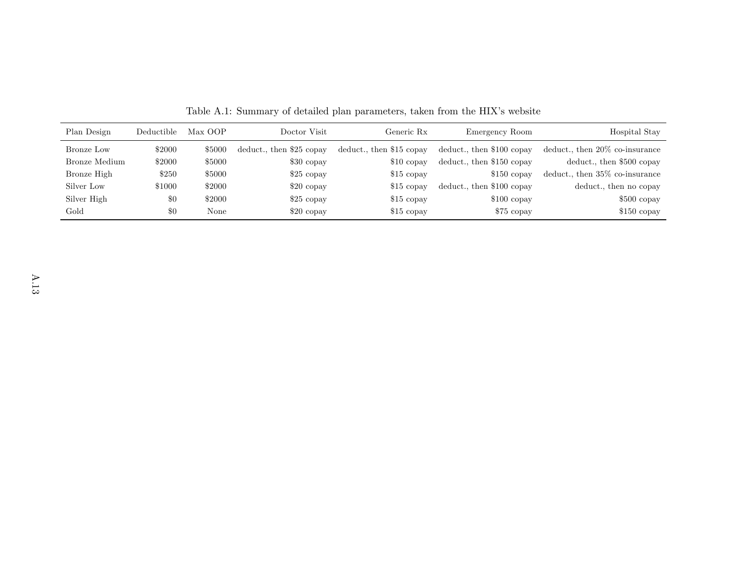| Plan Design   | Deductible | Max OOP | Doctor Visit             | Generic Rx               | Emergency Room            | Hospital Stay                     |
|---------------|------------|---------|--------------------------|--------------------------|---------------------------|-----------------------------------|
| Bronze Low    | \$2000     | \$5000  | deduct., then \$25 copay | deduct., then \$15 copay | deduct., then \$100 copay | deduct., then $20\%$ co-insurance |
| Bronze Medium | \$2000     | \$5000  | $$30$ copay              | $$10$ copay              | deduct., then \$150 copay | deduct., then \$500 copay         |
| Bronze High   | \$250      | \$5000  | $$25$ copay              | $$15$ copay              | $$150$ copay              | deduct., then $35\%$ co-insurance |
| Silver Low    | \$1000     | \$2000  | $$20$ copay              | \$15 copay               | deduct., then \$100 copay | deduct., then no copay            |
| Silver High   | \$0        | \$2000  | $$25$ copay              | \$15 copay               | $$100$ copay              | $$500$ copay                      |
| Gold          | \$0        | None    | $$20$ copay              | $$15$ copay              | \$75 copay                | $$150$ copay                      |

Table A.1: Summary of detailed plan parameters, taken from the HIX's website